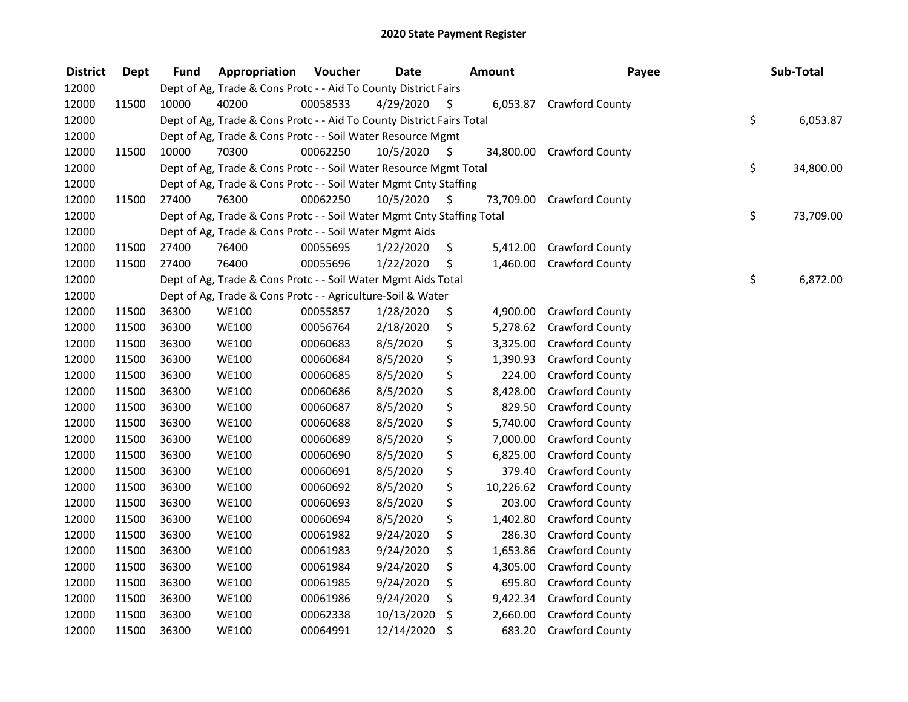| <b>District</b> | <b>Dept</b> | <b>Fund</b> | Appropriation                                                          | Voucher  | <b>Date</b> |     | <b>Amount</b> | Payee                    | Sub-Total       |
|-----------------|-------------|-------------|------------------------------------------------------------------------|----------|-------------|-----|---------------|--------------------------|-----------------|
| 12000           |             |             | Dept of Ag, Trade & Cons Protc - - Aid To County District Fairs        |          |             |     |               |                          |                 |
| 12000           | 11500       | 10000       | 40200                                                                  | 00058533 | 4/29/2020   | \$  |               | 6,053.87 Crawford County |                 |
| 12000           |             |             | Dept of Ag, Trade & Cons Protc - - Aid To County District Fairs Total  |          |             |     |               |                          | \$<br>6,053.87  |
| 12000           |             |             | Dept of Ag, Trade & Cons Protc - - Soil Water Resource Mgmt            |          |             |     |               |                          |                 |
| 12000           | 11500       | 10000       | 70300                                                                  | 00062250 | 10/5/2020   | \$  | 34,800.00     | <b>Crawford County</b>   |                 |
| 12000           |             |             | Dept of Ag, Trade & Cons Protc - - Soil Water Resource Mgmt Total      |          |             |     |               |                          | \$<br>34,800.00 |
| 12000           |             |             | Dept of Ag, Trade & Cons Protc - - Soil Water Mgmt Cnty Staffing       |          |             |     |               |                          |                 |
| 12000           | 11500       | 27400       | 76300                                                                  | 00062250 | 10/5/2020   | -\$ | 73,709.00     | <b>Crawford County</b>   |                 |
| 12000           |             |             | Dept of Ag, Trade & Cons Protc - - Soil Water Mgmt Cnty Staffing Total |          |             |     |               |                          | \$<br>73,709.00 |
| 12000           |             |             | Dept of Ag, Trade & Cons Protc - - Soil Water Mgmt Aids                |          |             |     |               |                          |                 |
| 12000           | 11500       | 27400       | 76400                                                                  | 00055695 | 1/22/2020   | \$  | 5,412.00      | Crawford County          |                 |
| 12000           | 11500       | 27400       | 76400                                                                  | 00055696 | 1/22/2020   | \$  | 1,460.00      | Crawford County          |                 |
| 12000           |             |             | Dept of Ag, Trade & Cons Protc - - Soil Water Mgmt Aids Total          |          |             |     |               |                          | \$<br>6,872.00  |
| 12000           |             |             | Dept of Ag, Trade & Cons Protc - - Agriculture-Soil & Water            |          |             |     |               |                          |                 |
| 12000           | 11500       | 36300       | <b>WE100</b>                                                           | 00055857 | 1/28/2020   | \$  | 4,900.00      | Crawford County          |                 |
| 12000           | 11500       | 36300       | <b>WE100</b>                                                           | 00056764 | 2/18/2020   | \$  | 5,278.62      | <b>Crawford County</b>   |                 |
| 12000           | 11500       | 36300       | <b>WE100</b>                                                           | 00060683 | 8/5/2020    | \$  | 3,325.00      | Crawford County          |                 |
| 12000           | 11500       | 36300       | <b>WE100</b>                                                           | 00060684 | 8/5/2020    | \$  | 1,390.93      | Crawford County          |                 |
| 12000           | 11500       | 36300       | <b>WE100</b>                                                           | 00060685 | 8/5/2020    | \$  | 224.00        | <b>Crawford County</b>   |                 |
| 12000           | 11500       | 36300       | <b>WE100</b>                                                           | 00060686 | 8/5/2020    | \$  | 8,428.00      | <b>Crawford County</b>   |                 |
| 12000           | 11500       | 36300       | <b>WE100</b>                                                           | 00060687 | 8/5/2020    | \$  | 829.50        | <b>Crawford County</b>   |                 |
| 12000           | 11500       | 36300       | <b>WE100</b>                                                           | 00060688 | 8/5/2020    | \$  | 5,740.00      | <b>Crawford County</b>   |                 |
| 12000           | 11500       | 36300       | <b>WE100</b>                                                           | 00060689 | 8/5/2020    | \$  | 7,000.00      | Crawford County          |                 |
| 12000           | 11500       | 36300       | <b>WE100</b>                                                           | 00060690 | 8/5/2020    | \$  | 6,825.00      | Crawford County          |                 |
| 12000           | 11500       | 36300       | <b>WE100</b>                                                           | 00060691 | 8/5/2020    | \$  | 379.40        | <b>Crawford County</b>   |                 |
| 12000           | 11500       | 36300       | <b>WE100</b>                                                           | 00060692 | 8/5/2020    | \$  | 10,226.62     | Crawford County          |                 |
| 12000           | 11500       | 36300       | <b>WE100</b>                                                           | 00060693 | 8/5/2020    | \$  | 203.00        | Crawford County          |                 |
| 12000           | 11500       | 36300       | <b>WE100</b>                                                           | 00060694 | 8/5/2020    | \$  | 1,402.80      | Crawford County          |                 |
| 12000           | 11500       | 36300       | <b>WE100</b>                                                           | 00061982 | 9/24/2020   | \$  | 286.30        | Crawford County          |                 |
| 12000           | 11500       | 36300       | <b>WE100</b>                                                           | 00061983 | 9/24/2020   | \$  | 1,653.86      | Crawford County          |                 |
| 12000           | 11500       | 36300       | <b>WE100</b>                                                           | 00061984 | 9/24/2020   | \$  | 4,305.00      | <b>Crawford County</b>   |                 |
| 12000           | 11500       | 36300       | <b>WE100</b>                                                           | 00061985 | 9/24/2020   | \$  | 695.80        | <b>Crawford County</b>   |                 |
| 12000           | 11500       | 36300       | <b>WE100</b>                                                           | 00061986 | 9/24/2020   | \$  | 9,422.34      | <b>Crawford County</b>   |                 |
| 12000           | 11500       | 36300       | <b>WE100</b>                                                           | 00062338 | 10/13/2020  | \$  | 2,660.00      | <b>Crawford County</b>   |                 |
| 12000           | 11500       | 36300       | WE100                                                                  | 00064991 | 12/14/2020  | \$  | 683.20        | Crawford County          |                 |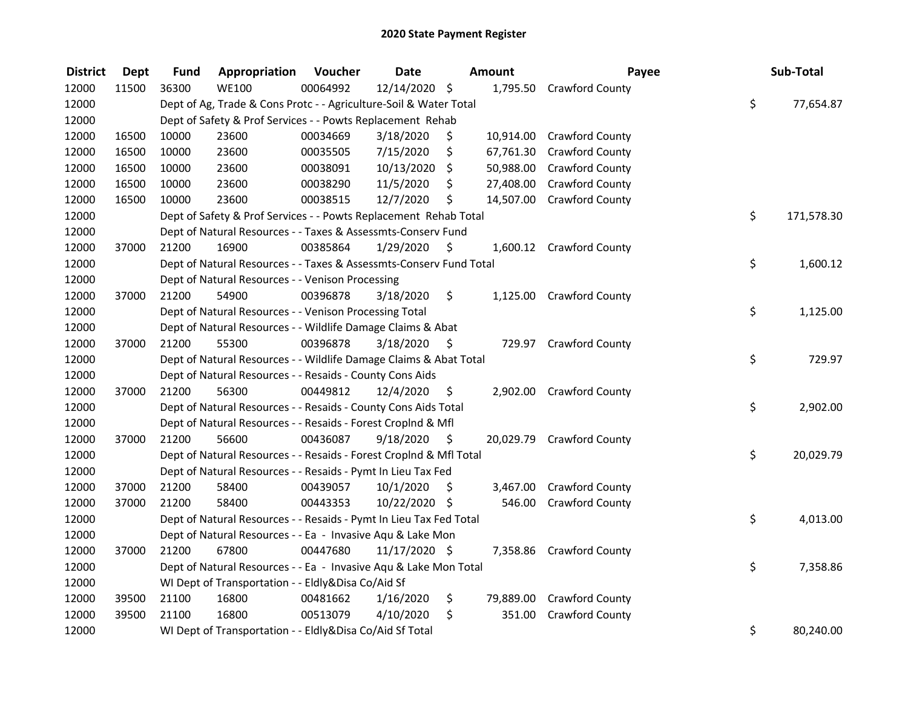| <b>District</b> | <b>Dept</b> | Fund  | Appropriation                                                      | Voucher  | <b>Date</b>   |      | Amount    | Payee                     | Sub-Total        |
|-----------------|-------------|-------|--------------------------------------------------------------------|----------|---------------|------|-----------|---------------------------|------------------|
| 12000           | 11500       | 36300 | <b>WE100</b>                                                       | 00064992 | 12/14/2020 \$ |      | 1,795.50  | <b>Crawford County</b>    |                  |
| 12000           |             |       | Dept of Ag, Trade & Cons Protc - - Agriculture-Soil & Water Total  |          |               |      |           |                           | \$<br>77,654.87  |
| 12000           |             |       | Dept of Safety & Prof Services - - Powts Replacement Rehab         |          |               |      |           |                           |                  |
| 12000           | 16500       | 10000 | 23600                                                              | 00034669 | 3/18/2020     | \$   |           | 10,914.00 Crawford County |                  |
| 12000           | 16500       | 10000 | 23600                                                              | 00035505 | 7/15/2020     | \$   | 67,761.30 | <b>Crawford County</b>    |                  |
| 12000           | 16500       | 10000 | 23600                                                              | 00038091 | 10/13/2020    | \$   | 50,988.00 | <b>Crawford County</b>    |                  |
| 12000           | 16500       | 10000 | 23600                                                              | 00038290 | 11/5/2020     | \$   | 27,408.00 | <b>Crawford County</b>    |                  |
| 12000           | 16500       | 10000 | 23600                                                              | 00038515 | 12/7/2020     | \$   | 14,507.00 | <b>Crawford County</b>    |                  |
| 12000           |             |       | Dept of Safety & Prof Services - - Powts Replacement Rehab Total   |          |               |      |           |                           | \$<br>171,578.30 |
| 12000           |             |       | Dept of Natural Resources - - Taxes & Assessmts-Conserv Fund       |          |               |      |           |                           |                  |
| 12000           | 37000       | 21200 | 16900                                                              | 00385864 | 1/29/2020     | -\$  |           | 1,600.12 Crawford County  |                  |
| 12000           |             |       | Dept of Natural Resources - - Taxes & Assessmts-Conserv Fund Total |          |               |      |           |                           | \$<br>1,600.12   |
| 12000           |             |       | Dept of Natural Resources - - Venison Processing                   |          |               |      |           |                           |                  |
| 12000           | 37000       | 21200 | 54900                                                              | 00396878 | 3/18/2020     | \$   | 1,125.00  | <b>Crawford County</b>    |                  |
| 12000           |             |       | Dept of Natural Resources - - Venison Processing Total             |          |               |      |           |                           | \$<br>1,125.00   |
| 12000           |             |       | Dept of Natural Resources - - Wildlife Damage Claims & Abat        |          |               |      |           |                           |                  |
| 12000           | 37000       | 21200 | 55300                                                              | 00396878 | 3/18/2020     | \$   |           | 729.97 Crawford County    |                  |
| 12000           |             |       | Dept of Natural Resources - - Wildlife Damage Claims & Abat Total  |          |               |      |           |                           | \$<br>729.97     |
| 12000           |             |       | Dept of Natural Resources - - Resaids - County Cons Aids           |          |               |      |           |                           |                  |
| 12000           | 37000       | 21200 | 56300                                                              | 00449812 | 12/4/2020     | \$   | 2,902.00  | <b>Crawford County</b>    |                  |
| 12000           |             |       | Dept of Natural Resources - - Resaids - County Cons Aids Total     |          |               |      |           |                           | \$<br>2,902.00   |
| 12000           |             |       | Dept of Natural Resources - - Resaids - Forest Croplnd & Mfl       |          |               |      |           |                           |                  |
| 12000           | 37000       | 21200 | 56600                                                              | 00436087 | 9/18/2020     | - \$ |           | 20,029.79 Crawford County |                  |
| 12000           |             |       | Dept of Natural Resources - - Resaids - Forest CropInd & Mfl Total |          |               |      |           |                           | \$<br>20,029.79  |
| 12000           |             |       | Dept of Natural Resources - - Resaids - Pymt In Lieu Tax Fed       |          |               |      |           |                           |                  |
| 12000           | 37000       | 21200 | 58400                                                              | 00439057 | 10/1/2020     | -\$  | 3,467.00  | Crawford County           |                  |
| 12000           | 37000       | 21200 | 58400                                                              | 00443353 | 10/22/2020 \$ |      | 546.00    | Crawford County           |                  |
| 12000           |             |       | Dept of Natural Resources - - Resaids - Pymt In Lieu Tax Fed Total |          |               |      |           |                           | \$<br>4,013.00   |
| 12000           |             |       | Dept of Natural Resources - - Ea - Invasive Aqu & Lake Mon         |          |               |      |           |                           |                  |
| 12000           | 37000       | 21200 | 67800                                                              | 00447680 | 11/17/2020 \$ |      |           | 7,358.86 Crawford County  |                  |
| 12000           |             |       | Dept of Natural Resources - - Ea - Invasive Aqu & Lake Mon Total   |          |               |      |           |                           | \$<br>7,358.86   |
| 12000           |             |       | WI Dept of Transportation - - Eldly&Disa Co/Aid Sf                 |          |               |      |           |                           |                  |
| 12000           | 39500       | 21100 | 16800                                                              | 00481662 | 1/16/2020     | \$   | 79,889.00 | <b>Crawford County</b>    |                  |
| 12000           | 39500       | 21100 | 16800                                                              | 00513079 | 4/10/2020     | \$   | 351.00    | Crawford County           |                  |
| 12000           |             |       | WI Dept of Transportation - - Eldly&Disa Co/Aid Sf Total           |          |               |      |           |                           | \$<br>80,240.00  |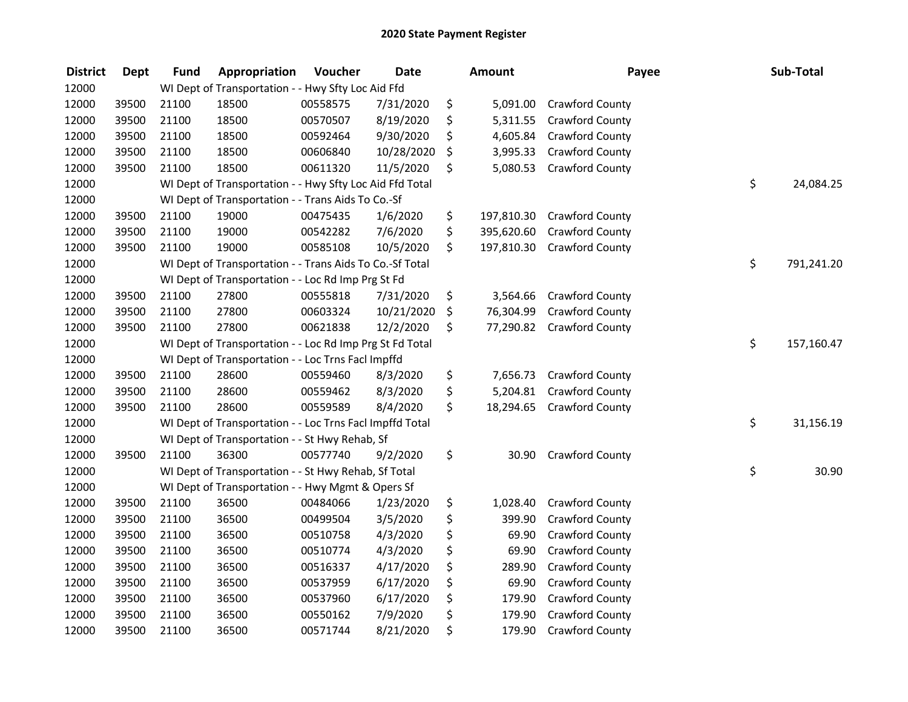| <b>District</b> | <b>Dept</b> | <b>Fund</b> | Appropriation                                            | Voucher  | <b>Date</b> | Amount           | Payee                  | Sub-Total        |
|-----------------|-------------|-------------|----------------------------------------------------------|----------|-------------|------------------|------------------------|------------------|
| 12000           |             |             | WI Dept of Transportation - - Hwy Sfty Loc Aid Ffd       |          |             |                  |                        |                  |
| 12000           | 39500       | 21100       | 18500                                                    | 00558575 | 7/31/2020   | \$<br>5,091.00   | <b>Crawford County</b> |                  |
| 12000           | 39500       | 21100       | 18500                                                    | 00570507 | 8/19/2020   | \$<br>5,311.55   | Crawford County        |                  |
| 12000           | 39500       | 21100       | 18500                                                    | 00592464 | 9/30/2020   | \$<br>4,605.84   | Crawford County        |                  |
| 12000           | 39500       | 21100       | 18500                                                    | 00606840 | 10/28/2020  | \$<br>3,995.33   | Crawford County        |                  |
| 12000           | 39500       | 21100       | 18500                                                    | 00611320 | 11/5/2020   | \$<br>5,080.53   | Crawford County        |                  |
| 12000           |             |             | WI Dept of Transportation - - Hwy Sfty Loc Aid Ffd Total |          |             |                  |                        | \$<br>24,084.25  |
| 12000           |             |             | WI Dept of Transportation - - Trans Aids To Co.-Sf       |          |             |                  |                        |                  |
| 12000           | 39500       | 21100       | 19000                                                    | 00475435 | 1/6/2020    | \$<br>197,810.30 | <b>Crawford County</b> |                  |
| 12000           | 39500       | 21100       | 19000                                                    | 00542282 | 7/6/2020    | \$<br>395,620.60 | <b>Crawford County</b> |                  |
| 12000           | 39500       | 21100       | 19000                                                    | 00585108 | 10/5/2020   | \$<br>197,810.30 | Crawford County        |                  |
| 12000           |             |             | WI Dept of Transportation - - Trans Aids To Co.-Sf Total |          |             |                  |                        | \$<br>791,241.20 |
| 12000           |             |             | WI Dept of Transportation - - Loc Rd Imp Prg St Fd       |          |             |                  |                        |                  |
| 12000           | 39500       | 21100       | 27800                                                    | 00555818 | 7/31/2020   | \$<br>3,564.66   | Crawford County        |                  |
| 12000           | 39500       | 21100       | 27800                                                    | 00603324 | 10/21/2020  | \$<br>76,304.99  | Crawford County        |                  |
| 12000           | 39500       | 21100       | 27800                                                    | 00621838 | 12/2/2020   | \$<br>77,290.82  | Crawford County        |                  |
| 12000           |             |             | WI Dept of Transportation - - Loc Rd Imp Prg St Fd Total |          |             |                  |                        | \$<br>157,160.47 |
| 12000           |             |             | WI Dept of Transportation - - Loc Trns FacI Impffd       |          |             |                  |                        |                  |
| 12000           | 39500       | 21100       | 28600                                                    | 00559460 | 8/3/2020    | \$<br>7,656.73   | <b>Crawford County</b> |                  |
| 12000           | 39500       | 21100       | 28600                                                    | 00559462 | 8/3/2020    | \$<br>5,204.81   | <b>Crawford County</b> |                  |
| 12000           | 39500       | 21100       | 28600                                                    | 00559589 | 8/4/2020    | \$<br>18,294.65  | <b>Crawford County</b> |                  |
| 12000           |             |             | WI Dept of Transportation - - Loc Trns FacI Impffd Total |          |             |                  |                        | \$<br>31,156.19  |
| 12000           |             |             | WI Dept of Transportation - - St Hwy Rehab, Sf           |          |             |                  |                        |                  |
| 12000           | 39500       | 21100       | 36300                                                    | 00577740 | 9/2/2020    | \$<br>30.90      | Crawford County        |                  |
| 12000           |             |             | WI Dept of Transportation - - St Hwy Rehab, Sf Total     |          |             |                  |                        | \$<br>30.90      |
| 12000           |             |             | WI Dept of Transportation - - Hwy Mgmt & Opers Sf        |          |             |                  |                        |                  |
| 12000           | 39500       | 21100       | 36500                                                    | 00484066 | 1/23/2020   | \$<br>1,028.40   | Crawford County        |                  |
| 12000           | 39500       | 21100       | 36500                                                    | 00499504 | 3/5/2020    | \$<br>399.90     | Crawford County        |                  |
| 12000           | 39500       | 21100       | 36500                                                    | 00510758 | 4/3/2020    | \$<br>69.90      | Crawford County        |                  |
| 12000           | 39500       | 21100       | 36500                                                    | 00510774 | 4/3/2020    | \$<br>69.90      | Crawford County        |                  |
| 12000           | 39500       | 21100       | 36500                                                    | 00516337 | 4/17/2020   | \$<br>289.90     | Crawford County        |                  |
| 12000           | 39500       | 21100       | 36500                                                    | 00537959 | 6/17/2020   | \$<br>69.90      | <b>Crawford County</b> |                  |
| 12000           | 39500       | 21100       | 36500                                                    | 00537960 | 6/17/2020   | \$<br>179.90     | Crawford County        |                  |
| 12000           | 39500       | 21100       | 36500                                                    | 00550162 | 7/9/2020    | \$<br>179.90     | Crawford County        |                  |
| 12000           | 39500       | 21100       | 36500                                                    | 00571744 | 8/21/2020   | \$<br>179.90     | Crawford County        |                  |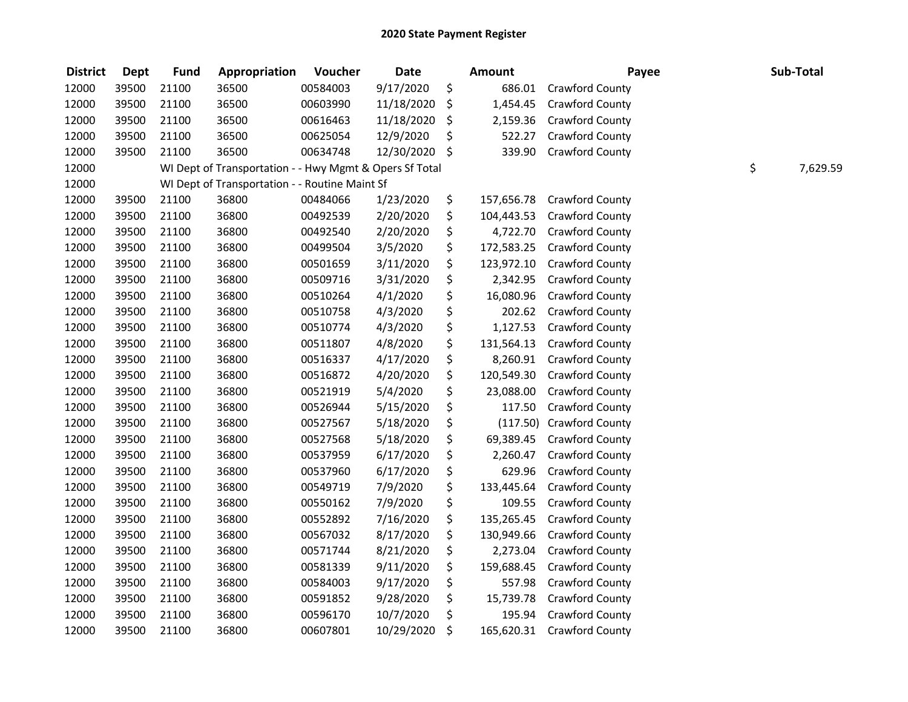| <b>District</b> | <b>Dept</b> | <b>Fund</b> | Appropriation                                           | Voucher  | <b>Date</b> | <b>Amount</b>    | Payee                  | Sub-Total      |
|-----------------|-------------|-------------|---------------------------------------------------------|----------|-------------|------------------|------------------------|----------------|
| 12000           | 39500       | 21100       | 36500                                                   | 00584003 | 9/17/2020   | \$<br>686.01     | Crawford County        |                |
| 12000           | 39500       | 21100       | 36500                                                   | 00603990 | 11/18/2020  | \$<br>1,454.45   | Crawford County        |                |
| 12000           | 39500       | 21100       | 36500                                                   | 00616463 | 11/18/2020  | \$<br>2,159.36   | Crawford County        |                |
| 12000           | 39500       | 21100       | 36500                                                   | 00625054 | 12/9/2020   | \$<br>522.27     | Crawford County        |                |
| 12000           | 39500       | 21100       | 36500                                                   | 00634748 | 12/30/2020  | \$<br>339.90     | Crawford County        |                |
| 12000           |             |             | WI Dept of Transportation - - Hwy Mgmt & Opers Sf Total |          |             |                  |                        | \$<br>7,629.59 |
| 12000           |             |             | WI Dept of Transportation - - Routine Maint Sf          |          |             |                  |                        |                |
| 12000           | 39500       | 21100       | 36800                                                   | 00484066 | 1/23/2020   | \$<br>157,656.78 | <b>Crawford County</b> |                |
| 12000           | 39500       | 21100       | 36800                                                   | 00492539 | 2/20/2020   | \$<br>104,443.53 | Crawford County        |                |
| 12000           | 39500       | 21100       | 36800                                                   | 00492540 | 2/20/2020   | \$<br>4,722.70   | Crawford County        |                |
| 12000           | 39500       | 21100       | 36800                                                   | 00499504 | 3/5/2020    | \$<br>172,583.25 | Crawford County        |                |
| 12000           | 39500       | 21100       | 36800                                                   | 00501659 | 3/11/2020   | \$<br>123,972.10 | Crawford County        |                |
| 12000           | 39500       | 21100       | 36800                                                   | 00509716 | 3/31/2020   | \$<br>2,342.95   | Crawford County        |                |
| 12000           | 39500       | 21100       | 36800                                                   | 00510264 | 4/1/2020    | \$<br>16,080.96  | Crawford County        |                |
| 12000           | 39500       | 21100       | 36800                                                   | 00510758 | 4/3/2020    | \$<br>202.62     | Crawford County        |                |
| 12000           | 39500       | 21100       | 36800                                                   | 00510774 | 4/3/2020    | \$<br>1,127.53   | Crawford County        |                |
| 12000           | 39500       | 21100       | 36800                                                   | 00511807 | 4/8/2020    | \$<br>131,564.13 | Crawford County        |                |
| 12000           | 39500       | 21100       | 36800                                                   | 00516337 | 4/17/2020   | \$<br>8,260.91   | Crawford County        |                |
| 12000           | 39500       | 21100       | 36800                                                   | 00516872 | 4/20/2020   | \$<br>120,549.30 | Crawford County        |                |
| 12000           | 39500       | 21100       | 36800                                                   | 00521919 | 5/4/2020    | \$<br>23,088.00  | Crawford County        |                |
| 12000           | 39500       | 21100       | 36800                                                   | 00526944 | 5/15/2020   | \$<br>117.50     | Crawford County        |                |
| 12000           | 39500       | 21100       | 36800                                                   | 00527567 | 5/18/2020   | \$<br>(117.50)   | Crawford County        |                |
| 12000           | 39500       | 21100       | 36800                                                   | 00527568 | 5/18/2020   | \$<br>69,389.45  | Crawford County        |                |
| 12000           | 39500       | 21100       | 36800                                                   | 00537959 | 6/17/2020   | \$<br>2,260.47   | Crawford County        |                |
| 12000           | 39500       | 21100       | 36800                                                   | 00537960 | 6/17/2020   | \$<br>629.96     | Crawford County        |                |
| 12000           | 39500       | 21100       | 36800                                                   | 00549719 | 7/9/2020    | \$<br>133,445.64 | Crawford County        |                |
| 12000           | 39500       | 21100       | 36800                                                   | 00550162 | 7/9/2020    | \$<br>109.55     | Crawford County        |                |
| 12000           | 39500       | 21100       | 36800                                                   | 00552892 | 7/16/2020   | \$<br>135,265.45 | Crawford County        |                |
| 12000           | 39500       | 21100       | 36800                                                   | 00567032 | 8/17/2020   | \$<br>130,949.66 | Crawford County        |                |
| 12000           | 39500       | 21100       | 36800                                                   | 00571744 | 8/21/2020   | \$<br>2,273.04   | Crawford County        |                |
| 12000           | 39500       | 21100       | 36800                                                   | 00581339 | 9/11/2020   | \$<br>159,688.45 | Crawford County        |                |
| 12000           | 39500       | 21100       | 36800                                                   | 00584003 | 9/17/2020   | \$<br>557.98     | <b>Crawford County</b> |                |
| 12000           | 39500       | 21100       | 36800                                                   | 00591852 | 9/28/2020   | \$<br>15,739.78  | <b>Crawford County</b> |                |
| 12000           | 39500       | 21100       | 36800                                                   | 00596170 | 10/7/2020   | \$<br>195.94     | Crawford County        |                |
| 12000           | 39500       | 21100       | 36800                                                   | 00607801 | 10/29/2020  | \$<br>165,620.31 | <b>Crawford County</b> |                |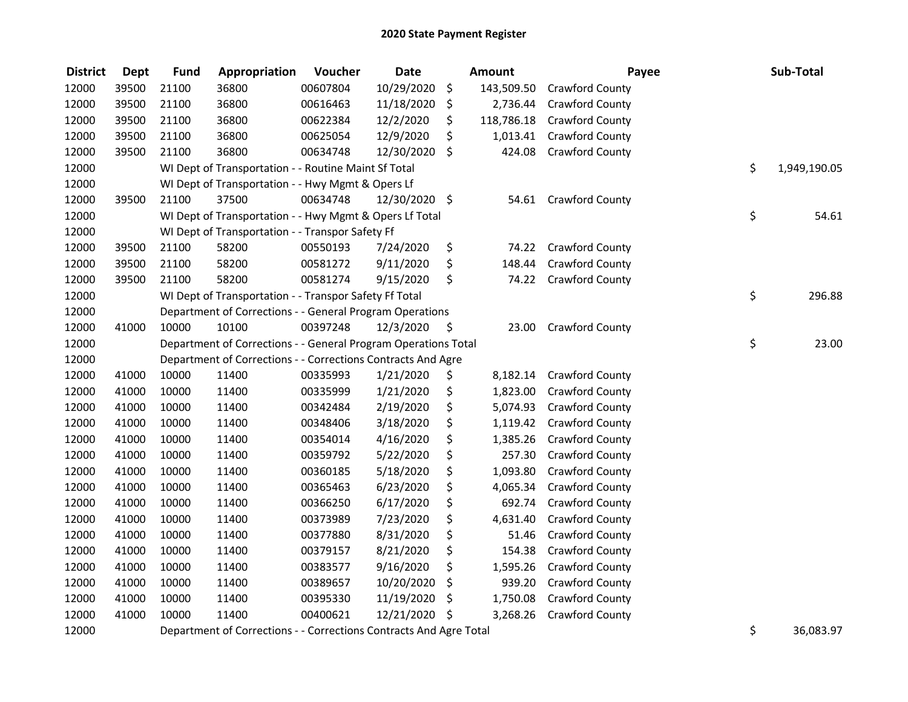| <b>District</b> | <b>Dept</b> | <b>Fund</b> | Appropriation                                                      | Voucher  | <b>Date</b>   | Amount           | Payee                  | Sub-Total          |
|-----------------|-------------|-------------|--------------------------------------------------------------------|----------|---------------|------------------|------------------------|--------------------|
| 12000           | 39500       | 21100       | 36800                                                              | 00607804 | 10/29/2020    | \$<br>143,509.50 | Crawford County        |                    |
| 12000           | 39500       | 21100       | 36800                                                              | 00616463 | 11/18/2020    | \$<br>2,736.44   | Crawford County        |                    |
| 12000           | 39500       | 21100       | 36800                                                              | 00622384 | 12/2/2020     | \$<br>118,786.18 | Crawford County        |                    |
| 12000           | 39500       | 21100       | 36800                                                              | 00625054 | 12/9/2020     | \$<br>1,013.41   | Crawford County        |                    |
| 12000           | 39500       | 21100       | 36800                                                              | 00634748 | 12/30/2020    | \$<br>424.08     | Crawford County        |                    |
| 12000           |             |             | WI Dept of Transportation - - Routine Maint Sf Total               |          |               |                  |                        | \$<br>1,949,190.05 |
| 12000           |             |             | WI Dept of Transportation - - Hwy Mgmt & Opers Lf                  |          |               |                  |                        |                    |
| 12000           | 39500       | 21100       | 37500                                                              | 00634748 | 12/30/2020 \$ | 54.61            | <b>Crawford County</b> |                    |
| 12000           |             |             | WI Dept of Transportation - - Hwy Mgmt & Opers Lf Total            |          |               |                  |                        | \$<br>54.61        |
| 12000           |             |             | WI Dept of Transportation - - Transpor Safety Ff                   |          |               |                  |                        |                    |
| 12000           | 39500       | 21100       | 58200                                                              | 00550193 | 7/24/2020     | \$<br>74.22      | Crawford County        |                    |
| 12000           | 39500       | 21100       | 58200                                                              | 00581272 | 9/11/2020     | \$<br>148.44     | Crawford County        |                    |
| 12000           | 39500       | 21100       | 58200                                                              | 00581274 | 9/15/2020     | \$<br>74.22      | Crawford County        |                    |
| 12000           |             |             | WI Dept of Transportation - - Transpor Safety Ff Total             |          |               |                  |                        | \$<br>296.88       |
| 12000           |             |             | Department of Corrections - - General Program Operations           |          |               |                  |                        |                    |
| 12000           | 41000       | 10000       | 10100                                                              | 00397248 | 12/3/2020     | \$<br>23.00      | <b>Crawford County</b> |                    |
| 12000           |             |             | Department of Corrections - - General Program Operations Total     |          |               |                  |                        | \$<br>23.00        |
| 12000           |             |             | Department of Corrections - - Corrections Contracts And Agre       |          |               |                  |                        |                    |
| 12000           | 41000       | 10000       | 11400                                                              | 00335993 | 1/21/2020     | \$<br>8,182.14   | <b>Crawford County</b> |                    |
| 12000           | 41000       | 10000       | 11400                                                              | 00335999 | 1/21/2020     | \$<br>1,823.00   | <b>Crawford County</b> |                    |
| 12000           | 41000       | 10000       | 11400                                                              | 00342484 | 2/19/2020     | \$<br>5,074.93   | Crawford County        |                    |
| 12000           | 41000       | 10000       | 11400                                                              | 00348406 | 3/18/2020     | \$<br>1,119.42   | Crawford County        |                    |
| 12000           | 41000       | 10000       | 11400                                                              | 00354014 | 4/16/2020     | \$<br>1,385.26   | Crawford County        |                    |
| 12000           | 41000       | 10000       | 11400                                                              | 00359792 | 5/22/2020     | \$<br>257.30     | Crawford County        |                    |
| 12000           | 41000       | 10000       | 11400                                                              | 00360185 | 5/18/2020     | \$<br>1,093.80   | Crawford County        |                    |
| 12000           | 41000       | 10000       | 11400                                                              | 00365463 | 6/23/2020     | \$<br>4,065.34   | Crawford County        |                    |
| 12000           | 41000       | 10000       | 11400                                                              | 00366250 | 6/17/2020     | \$<br>692.74     | Crawford County        |                    |
| 12000           | 41000       | 10000       | 11400                                                              | 00373989 | 7/23/2020     | \$<br>4,631.40   | Crawford County        |                    |
| 12000           | 41000       | 10000       | 11400                                                              | 00377880 | 8/31/2020     | \$<br>51.46      | Crawford County        |                    |
| 12000           | 41000       | 10000       | 11400                                                              | 00379157 | 8/21/2020     | \$<br>154.38     | Crawford County        |                    |
| 12000           | 41000       | 10000       | 11400                                                              | 00383577 | 9/16/2020     | \$<br>1,595.26   | <b>Crawford County</b> |                    |
| 12000           | 41000       | 10000       | 11400                                                              | 00389657 | 10/20/2020    | \$<br>939.20     | Crawford County        |                    |
| 12000           | 41000       | 10000       | 11400                                                              | 00395330 | 11/19/2020    | \$<br>1,750.08   | Crawford County        |                    |
| 12000           | 41000       | 10000       | 11400                                                              | 00400621 | 12/21/2020    | \$<br>3,268.26   | Crawford County        |                    |
| 12000           |             |             | Department of Corrections - - Corrections Contracts And Agre Total |          |               |                  |                        | \$<br>36,083.97    |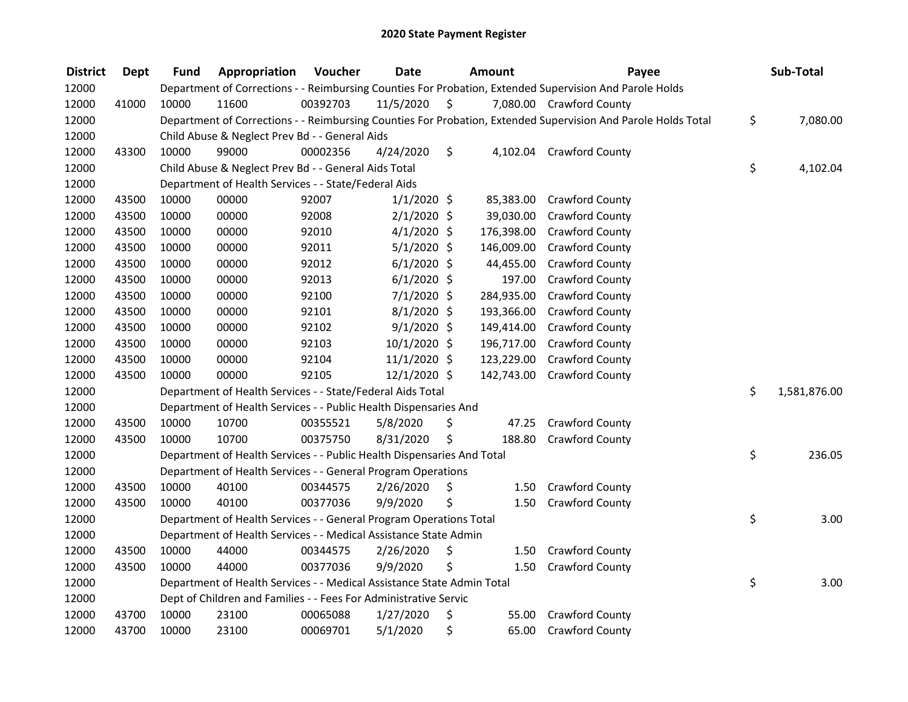| <b>District</b> | <b>Dept</b> | <b>Fund</b> | Appropriation                                                          | Voucher  | <b>Date</b>    |         | Amount     | Payee                                                                                                         | Sub-Total          |
|-----------------|-------------|-------------|------------------------------------------------------------------------|----------|----------------|---------|------------|---------------------------------------------------------------------------------------------------------------|--------------------|
| 12000           |             |             |                                                                        |          |                |         |            | Department of Corrections - - Reimbursing Counties For Probation, Extended Supervision And Parole Holds       |                    |
| 12000           | 41000       | 10000       | 11600                                                                  | 00392703 | 11/5/2020      | $\zeta$ |            | 7,080.00 Crawford County                                                                                      |                    |
| 12000           |             |             |                                                                        |          |                |         |            | Department of Corrections - - Reimbursing Counties For Probation, Extended Supervision And Parole Holds Total | \$<br>7,080.00     |
| 12000           |             |             | Child Abuse & Neglect Prev Bd - - General Aids                         |          |                |         |            |                                                                                                               |                    |
| 12000           | 43300       | 10000       | 99000                                                                  | 00002356 | 4/24/2020      | \$      |            | 4,102.04 Crawford County                                                                                      |                    |
| 12000           |             |             | Child Abuse & Neglect Prev Bd - - General Aids Total                   |          |                |         |            |                                                                                                               | \$<br>4,102.04     |
| 12000           |             |             | Department of Health Services - - State/Federal Aids                   |          |                |         |            |                                                                                                               |                    |
| 12000           | 43500       | 10000       | 00000                                                                  | 92007    | $1/1/2020$ \$  |         |            | 85,383.00 Crawford County                                                                                     |                    |
| 12000           | 43500       | 10000       | 00000                                                                  | 92008    | $2/1/2020$ \$  |         | 39,030.00  | <b>Crawford County</b>                                                                                        |                    |
| 12000           | 43500       | 10000       | 00000                                                                  | 92010    | $4/1/2020$ \$  |         | 176,398.00 | <b>Crawford County</b>                                                                                        |                    |
| 12000           | 43500       | 10000       | 00000                                                                  | 92011    | $5/1/2020$ \$  |         | 146,009.00 | <b>Crawford County</b>                                                                                        |                    |
| 12000           | 43500       | 10000       | 00000                                                                  | 92012    | $6/1/2020$ \$  |         | 44,455.00  | <b>Crawford County</b>                                                                                        |                    |
| 12000           | 43500       | 10000       | 00000                                                                  | 92013    | $6/1/2020$ \$  |         | 197.00     | <b>Crawford County</b>                                                                                        |                    |
| 12000           | 43500       | 10000       | 00000                                                                  | 92100    | $7/1/2020$ \$  |         | 284,935.00 | <b>Crawford County</b>                                                                                        |                    |
| 12000           | 43500       | 10000       | 00000                                                                  | 92101    | $8/1/2020$ \$  |         | 193,366.00 | <b>Crawford County</b>                                                                                        |                    |
| 12000           | 43500       | 10000       | 00000                                                                  | 92102    | $9/1/2020$ \$  |         | 149,414.00 | <b>Crawford County</b>                                                                                        |                    |
| 12000           | 43500       | 10000       | 00000                                                                  | 92103    | 10/1/2020 \$   |         | 196,717.00 | <b>Crawford County</b>                                                                                        |                    |
| 12000           | 43500       | 10000       | 00000                                                                  | 92104    | $11/1/2020$ \$ |         | 123,229.00 | Crawford County                                                                                               |                    |
| 12000           | 43500       | 10000       | 00000                                                                  | 92105    | 12/1/2020 \$   |         | 142,743.00 | <b>Crawford County</b>                                                                                        |                    |
| 12000           |             |             | Department of Health Services - - State/Federal Aids Total             |          |                |         |            |                                                                                                               | \$<br>1,581,876.00 |
| 12000           |             |             | Department of Health Services - - Public Health Dispensaries And       |          |                |         |            |                                                                                                               |                    |
| 12000           | 43500       | 10000       | 10700                                                                  | 00355521 | 5/8/2020       | \$      | 47.25      | <b>Crawford County</b>                                                                                        |                    |
| 12000           | 43500       | 10000       | 10700                                                                  | 00375750 | 8/31/2020      | \$      | 188.80     | <b>Crawford County</b>                                                                                        |                    |
| 12000           |             |             | Department of Health Services - - Public Health Dispensaries And Total |          |                |         |            |                                                                                                               | \$<br>236.05       |
| 12000           |             |             | Department of Health Services - - General Program Operations           |          |                |         |            |                                                                                                               |                    |
| 12000           | 43500       | 10000       | 40100                                                                  | 00344575 | 2/26/2020      | \$      | 1.50       | <b>Crawford County</b>                                                                                        |                    |
| 12000           | 43500       | 10000       | 40100                                                                  | 00377036 | 9/9/2020       | \$      | 1.50       | <b>Crawford County</b>                                                                                        |                    |
| 12000           |             |             | Department of Health Services - - General Program Operations Total     |          |                |         |            |                                                                                                               | \$<br>3.00         |
| 12000           |             |             | Department of Health Services - - Medical Assistance State Admin       |          |                |         |            |                                                                                                               |                    |
| 12000           | 43500       | 10000       | 44000                                                                  | 00344575 | 2/26/2020      | \$      | 1.50       | <b>Crawford County</b>                                                                                        |                    |
| 12000           | 43500       | 10000       | 44000                                                                  | 00377036 | 9/9/2020       | \$      | 1.50       | <b>Crawford County</b>                                                                                        |                    |
| 12000           |             |             | Department of Health Services - - Medical Assistance State Admin Total |          |                |         |            |                                                                                                               | \$<br>3.00         |
| 12000           |             |             | Dept of Children and Families - - Fees For Administrative Servic       |          |                |         |            |                                                                                                               |                    |
| 12000           | 43700       | 10000       | 23100                                                                  | 00065088 | 1/27/2020      | \$      | 55.00      | <b>Crawford County</b>                                                                                        |                    |
| 12000           | 43700       | 10000       | 23100                                                                  | 00069701 | 5/1/2020       | \$      | 65.00      | <b>Crawford County</b>                                                                                        |                    |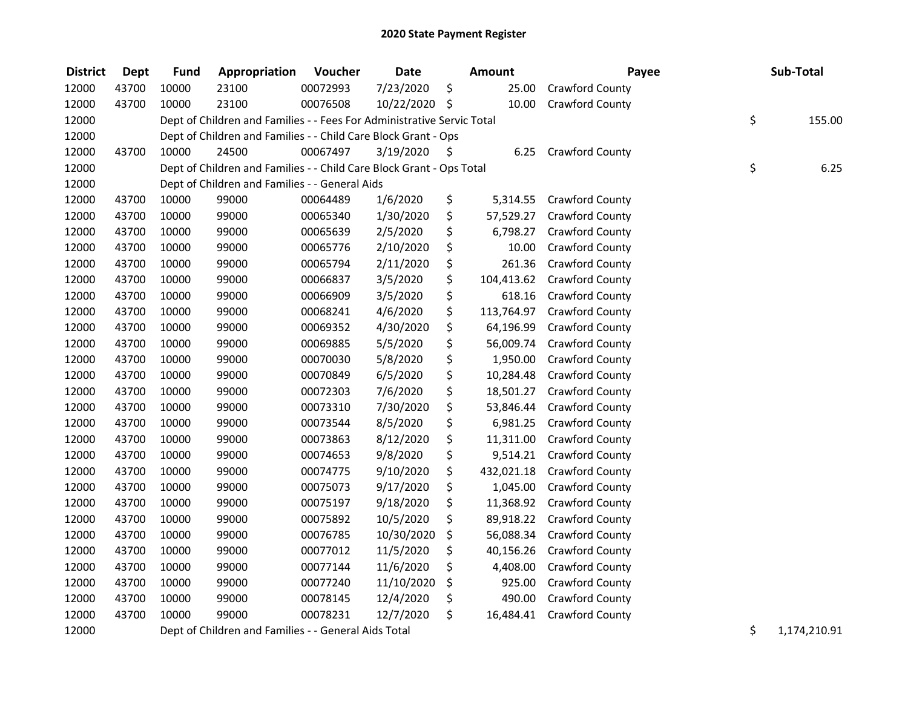| <b>District</b> | <b>Dept</b> | <b>Fund</b> | Appropriation                                                          | Voucher  | <b>Date</b>   | <b>Amount</b>    | Payee                  | Sub-Total          |
|-----------------|-------------|-------------|------------------------------------------------------------------------|----------|---------------|------------------|------------------------|--------------------|
| 12000           | 43700       | 10000       | 23100                                                                  | 00072993 | 7/23/2020     | \$<br>25.00      | Crawford County        |                    |
| 12000           | 43700       | 10000       | 23100                                                                  | 00076508 | 10/22/2020 \$ | 10.00            | Crawford County        |                    |
| 12000           |             |             | Dept of Children and Families - - Fees For Administrative Servic Total |          |               |                  |                        | \$<br>155.00       |
| 12000           |             |             | Dept of Children and Families - - Child Care Block Grant - Ops         |          |               |                  |                        |                    |
| 12000           | 43700       | 10000       | 24500                                                                  | 00067497 | 3/19/2020     | \$<br>6.25       | <b>Crawford County</b> |                    |
| 12000           |             |             | Dept of Children and Families - - Child Care Block Grant - Ops Total   |          |               |                  |                        | \$<br>6.25         |
| 12000           |             |             | Dept of Children and Families - - General Aids                         |          |               |                  |                        |                    |
| 12000           | 43700       | 10000       | 99000                                                                  | 00064489 | 1/6/2020      | \$<br>5,314.55   | <b>Crawford County</b> |                    |
| 12000           | 43700       | 10000       | 99000                                                                  | 00065340 | 1/30/2020     | \$<br>57,529.27  | <b>Crawford County</b> |                    |
| 12000           | 43700       | 10000       | 99000                                                                  | 00065639 | 2/5/2020      | \$<br>6,798.27   | Crawford County        |                    |
| 12000           | 43700       | 10000       | 99000                                                                  | 00065776 | 2/10/2020     | \$<br>10.00      | Crawford County        |                    |
| 12000           | 43700       | 10000       | 99000                                                                  | 00065794 | 2/11/2020     | \$<br>261.36     | Crawford County        |                    |
| 12000           | 43700       | 10000       | 99000                                                                  | 00066837 | 3/5/2020      | \$<br>104,413.62 | Crawford County        |                    |
| 12000           | 43700       | 10000       | 99000                                                                  | 00066909 | 3/5/2020      | \$<br>618.16     | <b>Crawford County</b> |                    |
| 12000           | 43700       | 10000       | 99000                                                                  | 00068241 | 4/6/2020      | \$<br>113,764.97 | Crawford County        |                    |
| 12000           | 43700       | 10000       | 99000                                                                  | 00069352 | 4/30/2020     | \$<br>64,196.99  | Crawford County        |                    |
| 12000           | 43700       | 10000       | 99000                                                                  | 00069885 | 5/5/2020      | \$<br>56,009.74  | Crawford County        |                    |
| 12000           | 43700       | 10000       | 99000                                                                  | 00070030 | 5/8/2020      | \$<br>1,950.00   | Crawford County        |                    |
| 12000           | 43700       | 10000       | 99000                                                                  | 00070849 | 6/5/2020      | \$<br>10,284.48  | Crawford County        |                    |
| 12000           | 43700       | 10000       | 99000                                                                  | 00072303 | 7/6/2020      | \$<br>18,501.27  | Crawford County        |                    |
| 12000           | 43700       | 10000       | 99000                                                                  | 00073310 | 7/30/2020     | \$<br>53,846.44  | Crawford County        |                    |
| 12000           | 43700       | 10000       | 99000                                                                  | 00073544 | 8/5/2020      | \$<br>6,981.25   | Crawford County        |                    |
| 12000           | 43700       | 10000       | 99000                                                                  | 00073863 | 8/12/2020     | \$<br>11,311.00  | Crawford County        |                    |
| 12000           | 43700       | 10000       | 99000                                                                  | 00074653 | 9/8/2020      | \$<br>9,514.21   | Crawford County        |                    |
| 12000           | 43700       | 10000       | 99000                                                                  | 00074775 | 9/10/2020     | \$<br>432,021.18 | Crawford County        |                    |
| 12000           | 43700       | 10000       | 99000                                                                  | 00075073 | 9/17/2020     | \$<br>1,045.00   | Crawford County        |                    |
| 12000           | 43700       | 10000       | 99000                                                                  | 00075197 | 9/18/2020     | \$<br>11,368.92  | <b>Crawford County</b> |                    |
| 12000           | 43700       | 10000       | 99000                                                                  | 00075892 | 10/5/2020     | \$<br>89,918.22  | Crawford County        |                    |
| 12000           | 43700       | 10000       | 99000                                                                  | 00076785 | 10/30/2020    | \$<br>56,088.34  | Crawford County        |                    |
| 12000           | 43700       | 10000       | 99000                                                                  | 00077012 | 11/5/2020     | \$<br>40,156.26  | <b>Crawford County</b> |                    |
| 12000           | 43700       | 10000       | 99000                                                                  | 00077144 | 11/6/2020     | \$<br>4,408.00   | Crawford County        |                    |
| 12000           | 43700       | 10000       | 99000                                                                  | 00077240 | 11/10/2020    | \$<br>925.00     | Crawford County        |                    |
| 12000           | 43700       | 10000       | 99000                                                                  | 00078145 | 12/4/2020     | \$<br>490.00     | Crawford County        |                    |
| 12000           | 43700       | 10000       | 99000                                                                  | 00078231 | 12/7/2020     | \$<br>16,484.41  | Crawford County        |                    |
| 12000           |             |             | Dept of Children and Families - - General Aids Total                   |          |               |                  |                        | \$<br>1,174,210.91 |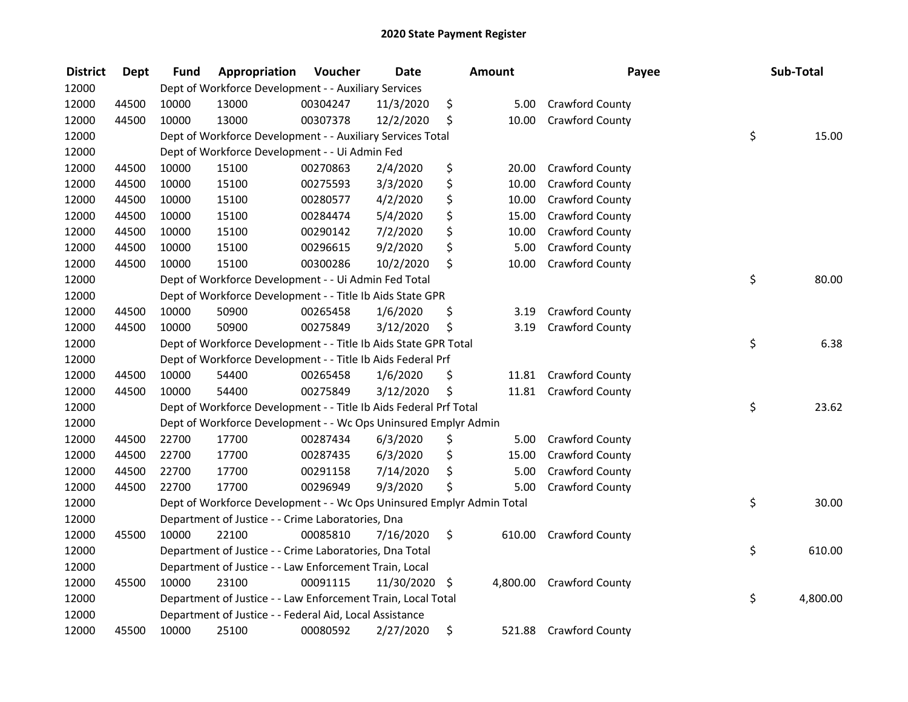| <b>District</b> | <b>Dept</b> | <b>Fund</b> | Appropriation                                                         | Voucher  | <b>Date</b>   | Amount       | Payee                  | Sub-Total      |
|-----------------|-------------|-------------|-----------------------------------------------------------------------|----------|---------------|--------------|------------------------|----------------|
| 12000           |             |             | Dept of Workforce Development - - Auxiliary Services                  |          |               |              |                        |                |
| 12000           | 44500       | 10000       | 13000                                                                 | 00304247 | 11/3/2020     | \$<br>5.00   | Crawford County        |                |
| 12000           | 44500       | 10000       | 13000                                                                 | 00307378 | 12/2/2020     | \$<br>10.00  | Crawford County        |                |
| 12000           |             |             | Dept of Workforce Development - - Auxiliary Services Total            |          |               |              |                        | \$<br>15.00    |
| 12000           |             |             | Dept of Workforce Development - - Ui Admin Fed                        |          |               |              |                        |                |
| 12000           | 44500       | 10000       | 15100                                                                 | 00270863 | 2/4/2020      | \$<br>20.00  | Crawford County        |                |
| 12000           | 44500       | 10000       | 15100                                                                 | 00275593 | 3/3/2020      | \$<br>10.00  | Crawford County        |                |
| 12000           | 44500       | 10000       | 15100                                                                 | 00280577 | 4/2/2020      | \$<br>10.00  | Crawford County        |                |
| 12000           | 44500       | 10000       | 15100                                                                 | 00284474 | 5/4/2020      | \$<br>15.00  | <b>Crawford County</b> |                |
| 12000           | 44500       | 10000       | 15100                                                                 | 00290142 | 7/2/2020      | \$<br>10.00  | <b>Crawford County</b> |                |
| 12000           | 44500       | 10000       | 15100                                                                 | 00296615 | 9/2/2020      | \$<br>5.00   | <b>Crawford County</b> |                |
| 12000           | 44500       | 10000       | 15100                                                                 | 00300286 | 10/2/2020     | \$<br>10.00  | Crawford County        |                |
| 12000           |             |             | Dept of Workforce Development - - Ui Admin Fed Total                  |          |               |              |                        | \$<br>80.00    |
| 12000           |             |             | Dept of Workforce Development - - Title Ib Aids State GPR             |          |               |              |                        |                |
| 12000           | 44500       | 10000       | 50900                                                                 | 00265458 | 1/6/2020      | \$<br>3.19   | Crawford County        |                |
| 12000           | 44500       | 10000       | 50900                                                                 | 00275849 | 3/12/2020     | \$<br>3.19   | Crawford County        |                |
| 12000           |             |             | Dept of Workforce Development - - Title Ib Aids State GPR Total       |          |               |              |                        | \$<br>6.38     |
| 12000           |             |             | Dept of Workforce Development - - Title Ib Aids Federal Prf           |          |               |              |                        |                |
| 12000           | 44500       | 10000       | 54400                                                                 | 00265458 | 1/6/2020      | \$<br>11.81  | <b>Crawford County</b> |                |
| 12000           | 44500       | 10000       | 54400                                                                 | 00275849 | 3/12/2020     | \$<br>11.81  | <b>Crawford County</b> |                |
| 12000           |             |             | Dept of Workforce Development - - Title Ib Aids Federal Prf Total     |          |               |              |                        | \$<br>23.62    |
| 12000           |             |             | Dept of Workforce Development - - Wc Ops Uninsured Emplyr Admin       |          |               |              |                        |                |
| 12000           | 44500       | 22700       | 17700                                                                 | 00287434 | 6/3/2020      | \$<br>5.00   | Crawford County        |                |
| 12000           | 44500       | 22700       | 17700                                                                 | 00287435 | 6/3/2020      | \$<br>15.00  | Crawford County        |                |
| 12000           | 44500       | 22700       | 17700                                                                 | 00291158 | 7/14/2020     | \$<br>5.00   | Crawford County        |                |
| 12000           | 44500       | 22700       | 17700                                                                 | 00296949 | 9/3/2020      | \$<br>5.00   | Crawford County        |                |
| 12000           |             |             | Dept of Workforce Development - - Wc Ops Uninsured Emplyr Admin Total |          |               |              |                        | \$<br>30.00    |
| 12000           |             |             | Department of Justice - - Crime Laboratories, Dna                     |          |               |              |                        |                |
| 12000           | 45500       | 10000       | 22100                                                                 | 00085810 | 7/16/2020     | \$<br>610.00 | <b>Crawford County</b> |                |
| 12000           |             |             | Department of Justice - - Crime Laboratories, Dna Total               |          |               |              |                        | \$<br>610.00   |
| 12000           |             |             | Department of Justice - - Law Enforcement Train, Local                |          |               |              |                        |                |
| 12000           | 45500       | 10000       | 23100                                                                 | 00091115 | 11/30/2020 \$ | 4,800.00     | <b>Crawford County</b> |                |
| 12000           |             |             | Department of Justice - - Law Enforcement Train, Local Total          |          |               |              |                        | \$<br>4,800.00 |
| 12000           |             |             | Department of Justice - - Federal Aid, Local Assistance               |          |               |              |                        |                |
| 12000           | 45500       | 10000       | 25100                                                                 | 00080592 | 2/27/2020     | \$           | 521.88 Crawford County |                |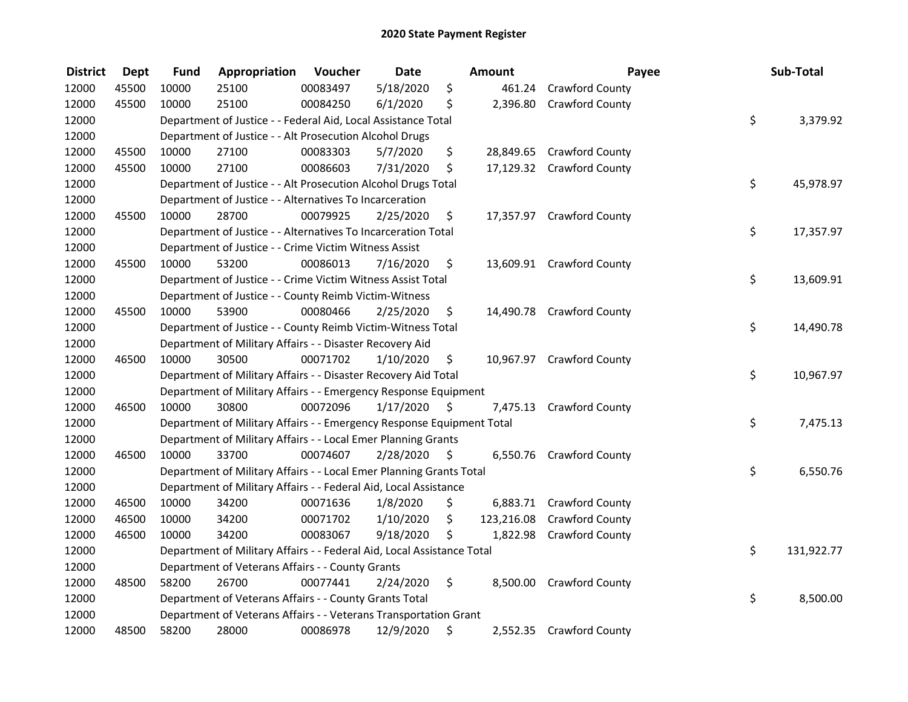| <b>District</b> | <b>Dept</b> | <b>Fund</b> | Appropriation                                                          | <b>Voucher</b> | <b>Date</b> |    | <b>Amount</b> | Payee                     | Sub-Total        |
|-----------------|-------------|-------------|------------------------------------------------------------------------|----------------|-------------|----|---------------|---------------------------|------------------|
| 12000           | 45500       | 10000       | 25100                                                                  | 00083497       | 5/18/2020   | \$ | 461.24        | Crawford County           |                  |
| 12000           | 45500       | 10000       | 25100                                                                  | 00084250       | 6/1/2020    | \$ | 2,396.80      | <b>Crawford County</b>    |                  |
| 12000           |             |             | Department of Justice - - Federal Aid, Local Assistance Total          |                |             |    |               |                           | \$<br>3,379.92   |
| 12000           |             |             | Department of Justice - - Alt Prosecution Alcohol Drugs                |                |             |    |               |                           |                  |
| 12000           | 45500       | 10000       | 27100                                                                  | 00083303       | 5/7/2020    | \$ |               | 28,849.65 Crawford County |                  |
| 12000           | 45500       | 10000       | 27100                                                                  | 00086603       | 7/31/2020   | \$ |               | 17,129.32 Crawford County |                  |
| 12000           |             |             | Department of Justice - - Alt Prosecution Alcohol Drugs Total          |                |             |    |               |                           | \$<br>45,978.97  |
| 12000           |             |             | Department of Justice - - Alternatives To Incarceration                |                |             |    |               |                           |                  |
| 12000           | 45500       | 10000       | 28700                                                                  | 00079925       | 2/25/2020   | \$ |               | 17,357.97 Crawford County |                  |
| 12000           |             |             | Department of Justice - - Alternatives To Incarceration Total          |                |             |    |               |                           | \$<br>17,357.97  |
| 12000           |             |             | Department of Justice - - Crime Victim Witness Assist                  |                |             |    |               |                           |                  |
| 12000           | 45500       | 10000       | 53200                                                                  | 00086013       | 7/16/2020   | \$ |               | 13,609.91 Crawford County |                  |
| 12000           |             |             | Department of Justice - - Crime Victim Witness Assist Total            |                |             |    |               |                           | \$<br>13,609.91  |
| 12000           |             |             | Department of Justice - - County Reimb Victim-Witness                  |                |             |    |               |                           |                  |
| 12000           | 45500       | 10000       | 53900                                                                  | 00080466       | 2/25/2020   | \$ |               | 14,490.78 Crawford County |                  |
| 12000           |             |             | Department of Justice - - County Reimb Victim-Witness Total            |                |             |    |               |                           | \$<br>14,490.78  |
| 12000           |             |             | Department of Military Affairs - - Disaster Recovery Aid               |                |             |    |               |                           |                  |
| 12000           | 46500       | 10000       | 30500                                                                  | 00071702       | 1/10/2020   | \$ |               | 10,967.97 Crawford County |                  |
| 12000           |             |             | Department of Military Affairs - - Disaster Recovery Aid Total         |                |             |    |               |                           | \$<br>10,967.97  |
| 12000           |             |             | Department of Military Affairs - - Emergency Response Equipment        |                |             |    |               |                           |                  |
| 12000           | 46500       | 10000       | 30800                                                                  | 00072096       | 1/17/2020   | Ŝ. | 7,475.13      | <b>Crawford County</b>    |                  |
| 12000           |             |             | Department of Military Affairs - - Emergency Response Equipment Total  |                |             |    |               |                           | \$<br>7,475.13   |
| 12000           |             |             | Department of Military Affairs - - Local Emer Planning Grants          |                |             |    |               |                           |                  |
| 12000           | 46500       | 10000       | 33700                                                                  | 00074607       | 2/28/2020   | \$ |               | 6,550.76 Crawford County  |                  |
| 12000           |             |             | Department of Military Affairs - - Local Emer Planning Grants Total    |                |             |    |               |                           | \$<br>6,550.76   |
| 12000           |             |             | Department of Military Affairs - - Federal Aid, Local Assistance       |                |             |    |               |                           |                  |
| 12000           | 46500       | 10000       | 34200                                                                  | 00071636       | 1/8/2020    | \$ | 6,883.71      | <b>Crawford County</b>    |                  |
| 12000           | 46500       | 10000       | 34200                                                                  | 00071702       | 1/10/2020   | \$ | 123,216.08    | <b>Crawford County</b>    |                  |
| 12000           | 46500       | 10000       | 34200                                                                  | 00083067       | 9/18/2020   | S  | 1,822.98      | <b>Crawford County</b>    |                  |
| 12000           |             |             | Department of Military Affairs - - Federal Aid, Local Assistance Total |                |             |    |               |                           | \$<br>131,922.77 |
| 12000           |             |             | Department of Veterans Affairs - - County Grants                       |                |             |    |               |                           |                  |
| 12000           | 48500       | 58200       | 26700                                                                  | 00077441       | 2/24/2020   | \$ |               | 8,500.00 Crawford County  |                  |
| 12000           |             |             | Department of Veterans Affairs - - County Grants Total                 |                |             |    |               |                           | \$<br>8,500.00   |
| 12000           |             |             | Department of Veterans Affairs - - Veterans Transportation Grant       |                |             |    |               |                           |                  |
| 12000           | 48500       | 58200       | 28000                                                                  | 00086978       | 12/9/2020   | \$ |               | 2,552.35 Crawford County  |                  |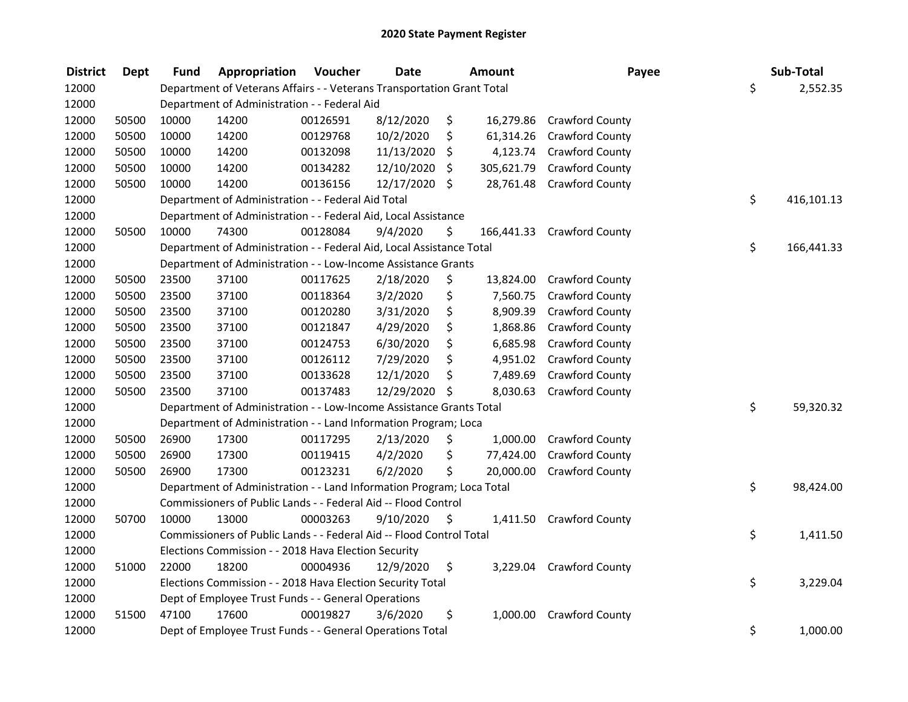| <b>District</b> | <b>Dept</b> | <b>Fund</b> | Appropriation                                                          | Voucher  | <b>Date</b>   | <b>Amount</b>    | Payee                      | Sub-Total        |
|-----------------|-------------|-------------|------------------------------------------------------------------------|----------|---------------|------------------|----------------------------|------------------|
| 12000           |             |             | Department of Veterans Affairs - - Veterans Transportation Grant Total |          |               |                  |                            | \$<br>2,552.35   |
| 12000           |             |             | Department of Administration - - Federal Aid                           |          |               |                  |                            |                  |
| 12000           | 50500       | 10000       | 14200                                                                  | 00126591 | 8/12/2020     | \$<br>16,279.86  | <b>Crawford County</b>     |                  |
| 12000           | 50500       | 10000       | 14200                                                                  | 00129768 | 10/2/2020     | \$<br>61,314.26  | <b>Crawford County</b>     |                  |
| 12000           | 50500       | 10000       | 14200                                                                  | 00132098 | 11/13/2020    | \$<br>4,123.74   | <b>Crawford County</b>     |                  |
| 12000           | 50500       | 10000       | 14200                                                                  | 00134282 | 12/10/2020    | \$<br>305,621.79 | <b>Crawford County</b>     |                  |
| 12000           | 50500       | 10000       | 14200                                                                  | 00136156 | 12/17/2020 \$ | 28,761.48        | <b>Crawford County</b>     |                  |
| 12000           |             |             | Department of Administration - - Federal Aid Total                     |          |               |                  |                            | \$<br>416,101.13 |
| 12000           |             |             | Department of Administration - - Federal Aid, Local Assistance         |          |               |                  |                            |                  |
| 12000           | 50500       | 10000       | 74300                                                                  | 00128084 | 9/4/2020      | \$               | 166,441.33 Crawford County |                  |
| 12000           |             |             | Department of Administration - - Federal Aid, Local Assistance Total   |          |               |                  |                            | \$<br>166,441.33 |
| 12000           |             |             | Department of Administration - - Low-Income Assistance Grants          |          |               |                  |                            |                  |
| 12000           | 50500       | 23500       | 37100                                                                  | 00117625 | 2/18/2020     | \$<br>13,824.00  | <b>Crawford County</b>     |                  |
| 12000           | 50500       | 23500       | 37100                                                                  | 00118364 | 3/2/2020      | \$<br>7,560.75   | <b>Crawford County</b>     |                  |
| 12000           | 50500       | 23500       | 37100                                                                  | 00120280 | 3/31/2020     | \$<br>8,909.39   | <b>Crawford County</b>     |                  |
| 12000           | 50500       | 23500       | 37100                                                                  | 00121847 | 4/29/2020     | \$<br>1,868.86   | Crawford County            |                  |
| 12000           | 50500       | 23500       | 37100                                                                  | 00124753 | 6/30/2020     | \$<br>6,685.98   | Crawford County            |                  |
| 12000           | 50500       | 23500       | 37100                                                                  | 00126112 | 7/29/2020     | \$<br>4,951.02   | Crawford County            |                  |
| 12000           | 50500       | 23500       | 37100                                                                  | 00133628 | 12/1/2020     | \$<br>7,489.69   | <b>Crawford County</b>     |                  |
| 12000           | 50500       | 23500       | 37100                                                                  | 00137483 | 12/29/2020    | \$<br>8,030.63   | <b>Crawford County</b>     |                  |
| 12000           |             |             | Department of Administration - - Low-Income Assistance Grants Total    |          |               |                  |                            | \$<br>59,320.32  |
| 12000           |             |             | Department of Administration - - Land Information Program; Loca        |          |               |                  |                            |                  |
| 12000           | 50500       | 26900       | 17300                                                                  | 00117295 | 2/13/2020     | \$<br>1,000.00   | <b>Crawford County</b>     |                  |
| 12000           | 50500       | 26900       | 17300                                                                  | 00119415 | 4/2/2020      | \$<br>77,424.00  | Crawford County            |                  |
| 12000           | 50500       | 26900       | 17300                                                                  | 00123231 | 6/2/2020      | \$<br>20,000.00  | <b>Crawford County</b>     |                  |
| 12000           |             |             | Department of Administration - - Land Information Program; Loca Total  |          |               |                  |                            | \$<br>98,424.00  |
| 12000           |             |             | Commissioners of Public Lands - - Federal Aid -- Flood Control         |          |               |                  |                            |                  |
| 12000           | 50700       | 10000       | 13000                                                                  | 00003263 | 9/10/2020     | \$               | 1,411.50 Crawford County   |                  |
| 12000           |             |             | Commissioners of Public Lands - - Federal Aid -- Flood Control Total   |          |               |                  |                            | \$<br>1,411.50   |
| 12000           |             |             | Elections Commission - - 2018 Hava Election Security                   |          |               |                  |                            |                  |
| 12000           | 51000       | 22000       | 18200                                                                  | 00004936 | 12/9/2020     | \$               | 3,229.04 Crawford County   |                  |
| 12000           |             |             | Elections Commission - - 2018 Hava Election Security Total             |          |               |                  |                            | \$<br>3,229.04   |
| 12000           |             |             | Dept of Employee Trust Funds - - General Operations                    |          |               |                  |                            |                  |
| 12000           | 51500       | 47100       | 17600                                                                  | 00019827 | 3/6/2020      | \$<br>1,000.00   | <b>Crawford County</b>     |                  |
| 12000           |             |             | Dept of Employee Trust Funds - - General Operations Total              |          |               |                  |                            | \$<br>1,000.00   |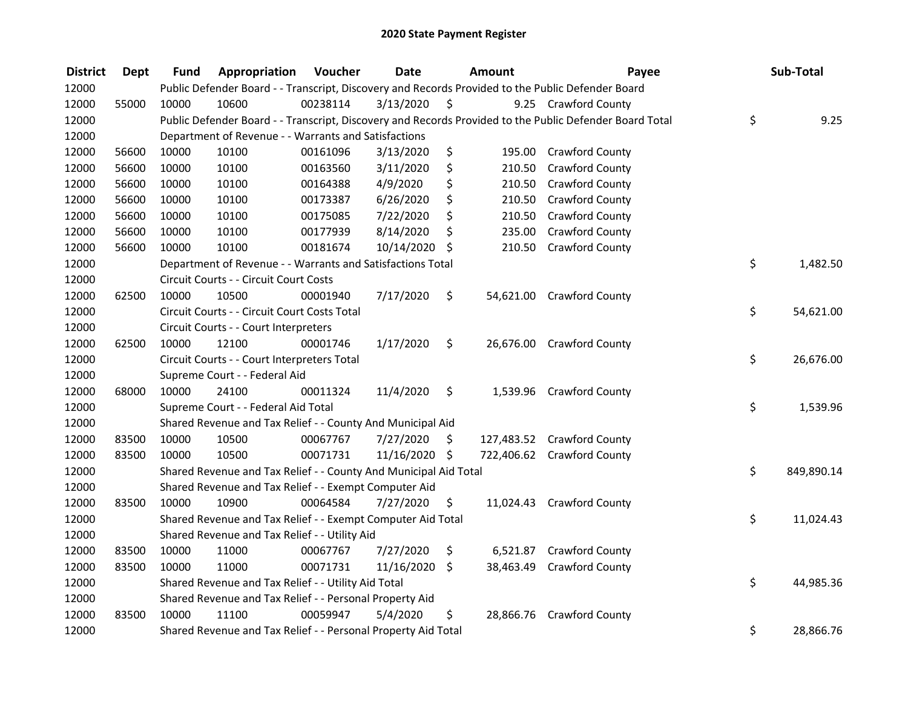| <b>District</b> | <b>Dept</b> | <b>Fund</b> | Appropriation                                                    | Voucher  | <b>Date</b>   |         | Amount     | Payee                                                                                                   | Sub-Total        |
|-----------------|-------------|-------------|------------------------------------------------------------------|----------|---------------|---------|------------|---------------------------------------------------------------------------------------------------------|------------------|
| 12000           |             |             |                                                                  |          |               |         |            | Public Defender Board - - Transcript, Discovery and Records Provided to the Public Defender Board       |                  |
| 12000           | 55000       | 10000       | 10600                                                            | 00238114 | 3/13/2020     | \$      |            | 9.25 Crawford County                                                                                    |                  |
| 12000           |             |             |                                                                  |          |               |         |            | Public Defender Board - - Transcript, Discovery and Records Provided to the Public Defender Board Total | \$<br>9.25       |
| 12000           |             |             | Department of Revenue - - Warrants and Satisfactions             |          |               |         |            |                                                                                                         |                  |
| 12000           | 56600       | 10000       | 10100                                                            | 00161096 | 3/13/2020     | \$      |            | 195.00 Crawford County                                                                                  |                  |
| 12000           | 56600       | 10000       | 10100                                                            | 00163560 | 3/11/2020     | \$      | 210.50     | <b>Crawford County</b>                                                                                  |                  |
| 12000           | 56600       | 10000       | 10100                                                            | 00164388 | 4/9/2020      | \$      | 210.50     | <b>Crawford County</b>                                                                                  |                  |
| 12000           | 56600       | 10000       | 10100                                                            | 00173387 | 6/26/2020     | \$      | 210.50     | <b>Crawford County</b>                                                                                  |                  |
| 12000           | 56600       | 10000       | 10100                                                            | 00175085 | 7/22/2020     | \$      | 210.50     | <b>Crawford County</b>                                                                                  |                  |
| 12000           | 56600       | 10000       | 10100                                                            | 00177939 | 8/14/2020     | \$      | 235.00     | <b>Crawford County</b>                                                                                  |                  |
| 12000           | 56600       | 10000       | 10100                                                            | 00181674 | 10/14/2020    | \$      | 210.50     | Crawford County                                                                                         |                  |
| 12000           |             |             | Department of Revenue - - Warrants and Satisfactions Total       |          |               |         |            |                                                                                                         | \$<br>1,482.50   |
| 12000           |             |             | Circuit Courts - - Circuit Court Costs                           |          |               |         |            |                                                                                                         |                  |
| 12000           | 62500       | 10000       | 10500                                                            | 00001940 | 7/17/2020     | \$      |            | 54,621.00 Crawford County                                                                               |                  |
| 12000           |             |             | Circuit Courts - - Circuit Court Costs Total                     |          |               |         |            |                                                                                                         | \$<br>54,621.00  |
| 12000           |             |             | Circuit Courts - - Court Interpreters                            |          |               |         |            |                                                                                                         |                  |
| 12000           | 62500       | 10000       | 12100                                                            | 00001746 | 1/17/2020     | \$      |            | 26,676.00 Crawford County                                                                               |                  |
| 12000           |             |             | Circuit Courts - - Court Interpreters Total                      |          |               |         |            |                                                                                                         | \$<br>26,676.00  |
| 12000           |             |             | Supreme Court - - Federal Aid                                    |          |               |         |            |                                                                                                         |                  |
| 12000           | 68000       | 10000       | 24100                                                            | 00011324 | 11/4/2020     | \$      | 1,539.96   | <b>Crawford County</b>                                                                                  |                  |
| 12000           |             |             | Supreme Court - - Federal Aid Total                              |          |               |         |            |                                                                                                         | \$<br>1,539.96   |
| 12000           |             |             | Shared Revenue and Tax Relief - - County And Municipal Aid       |          |               |         |            |                                                                                                         |                  |
| 12000           | 83500       | 10000       | 10500                                                            | 00067767 | 7/27/2020     | -\$     |            | 127,483.52 Crawford County                                                                              |                  |
| 12000           | 83500       | 10000       | 10500                                                            | 00071731 | 11/16/2020 \$ |         | 722,406.62 | <b>Crawford County</b>                                                                                  |                  |
| 12000           |             |             | Shared Revenue and Tax Relief - - County And Municipal Aid Total |          |               |         |            |                                                                                                         | \$<br>849,890.14 |
| 12000           |             |             | Shared Revenue and Tax Relief - - Exempt Computer Aid            |          |               |         |            |                                                                                                         |                  |
| 12000           | 83500       | 10000       | 10900                                                            | 00064584 | 7/27/2020     | \$      |            | 11,024.43 Crawford County                                                                               |                  |
| 12000           |             |             | Shared Revenue and Tax Relief - - Exempt Computer Aid Total      |          |               |         |            |                                                                                                         | \$<br>11,024.43  |
| 12000           |             |             | Shared Revenue and Tax Relief - - Utility Aid                    |          |               |         |            |                                                                                                         |                  |
| 12000           | 83500       | 10000       | 11000                                                            | 00067767 | 7/27/2020     | \$      |            | 6,521.87 Crawford County                                                                                |                  |
| 12000           | 83500       | 10000       | 11000                                                            | 00071731 | 11/16/2020    | $\zeta$ | 38,463.49  | <b>Crawford County</b>                                                                                  |                  |
| 12000           |             |             | Shared Revenue and Tax Relief - - Utility Aid Total              |          |               |         |            |                                                                                                         | \$<br>44,985.36  |
| 12000           |             |             | Shared Revenue and Tax Relief - - Personal Property Aid          |          |               |         |            |                                                                                                         |                  |
| 12000           | 83500       | 10000       | 11100                                                            | 00059947 | 5/4/2020      | \$      |            | 28,866.76 Crawford County                                                                               |                  |
| 12000           |             |             | Shared Revenue and Tax Relief - - Personal Property Aid Total    |          |               |         |            |                                                                                                         | \$<br>28,866.76  |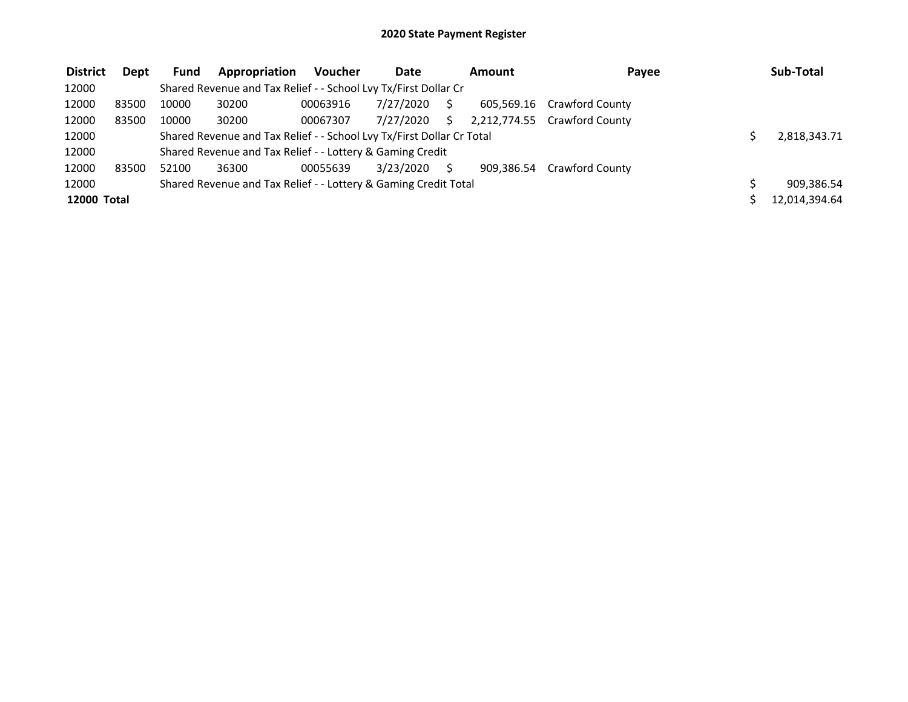| <b>District</b>    | Dept  | <b>Fund</b> | Appropriation                                                         | <b>Voucher</b> | Date      |    | Amount     | Payee                        | Sub-Total     |
|--------------------|-------|-------------|-----------------------------------------------------------------------|----------------|-----------|----|------------|------------------------------|---------------|
| 12000              |       |             | Shared Revenue and Tax Relief - - School Lvy Tx/First Dollar Cr       |                |           |    |            |                              |               |
| 12000              | 83500 | 10000       | 30200                                                                 | 00063916       | 7/27/2020 |    |            | 605,569.16 Crawford County   |               |
| 12000              | 83500 | 10000       | 30200                                                                 | 00067307       | 7/27/2020 | S. |            | 2,212,774.55 Crawford County |               |
| 12000              |       |             | Shared Revenue and Tax Relief - - School Lvy Tx/First Dollar Cr Total |                |           |    |            |                              | 2,818,343.71  |
| 12000              |       |             | Shared Revenue and Tax Relief - - Lottery & Gaming Credit             |                |           |    |            |                              |               |
| 12000              | 83500 | 52100       | 36300                                                                 | 00055639       | 3/23/2020 |    | 909.386.54 | <b>Crawford County</b>       |               |
| 12000              |       |             | Shared Revenue and Tax Relief - - Lottery & Gaming Credit Total       |                |           |    |            |                              | 909,386.54    |
| <b>12000 Total</b> |       |             |                                                                       |                |           |    |            |                              | 12,014,394.64 |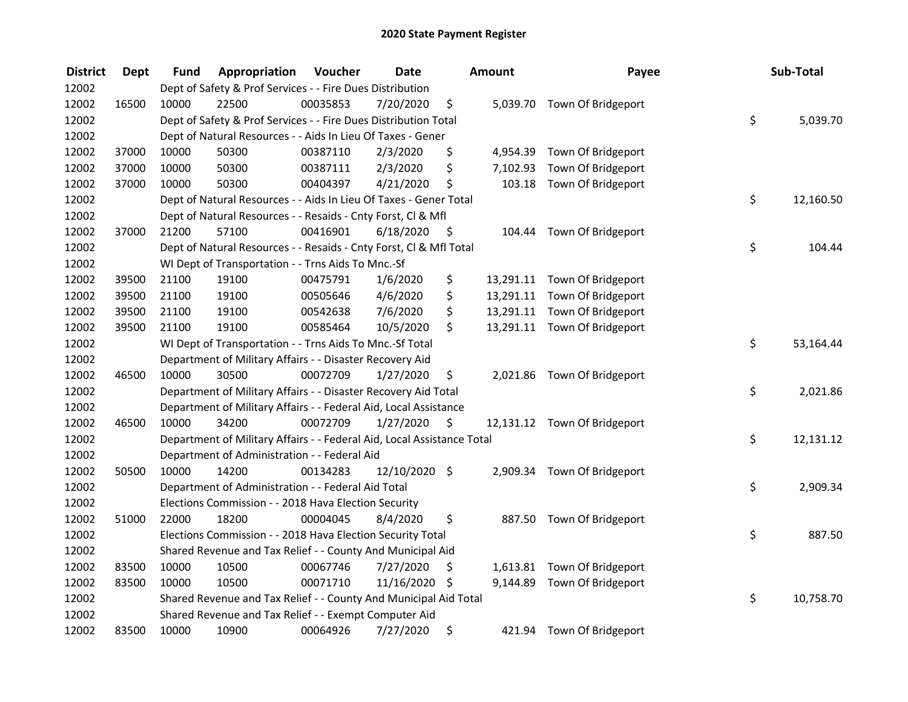| <b>District</b> | <b>Dept</b> | Fund  | Appropriation                                                          | Voucher  | <b>Date</b>   |      | <b>Amount</b> | Payee                        | Sub-Total       |
|-----------------|-------------|-------|------------------------------------------------------------------------|----------|---------------|------|---------------|------------------------------|-----------------|
| 12002           |             |       | Dept of Safety & Prof Services - - Fire Dues Distribution              |          |               |      |               |                              |                 |
| 12002           | 16500       | 10000 | 22500                                                                  | 00035853 | 7/20/2020     | \$   |               | 5,039.70 Town Of Bridgeport  |                 |
| 12002           |             |       | Dept of Safety & Prof Services - - Fire Dues Distribution Total        |          |               |      |               |                              | \$<br>5,039.70  |
| 12002           |             |       | Dept of Natural Resources - - Aids In Lieu Of Taxes - Gener            |          |               |      |               |                              |                 |
| 12002           | 37000       | 10000 | 50300                                                                  | 00387110 | 2/3/2020      | \$   |               | 4,954.39 Town Of Bridgeport  |                 |
| 12002           | 37000       | 10000 | 50300                                                                  | 00387111 | 2/3/2020      | \$   | 7,102.93      | Town Of Bridgeport           |                 |
| 12002           | 37000       | 10000 | 50300                                                                  | 00404397 | 4/21/2020     | \$   |               | 103.18 Town Of Bridgeport    |                 |
| 12002           |             |       | Dept of Natural Resources - - Aids In Lieu Of Taxes - Gener Total      |          |               |      |               |                              | \$<br>12,160.50 |
| 12002           |             |       | Dept of Natural Resources - - Resaids - Cnty Forst, Cl & Mfl           |          |               |      |               |                              |                 |
| 12002           | 37000       | 21200 | 57100                                                                  | 00416901 | 6/18/2020     | - \$ |               | 104.44 Town Of Bridgeport    |                 |
| 12002           |             |       | Dept of Natural Resources - - Resaids - Cnty Forst, Cl & Mfl Total     |          |               |      |               |                              | \$<br>104.44    |
| 12002           |             |       | WI Dept of Transportation - - Trns Aids To Mnc.-Sf                     |          |               |      |               |                              |                 |
| 12002           | 39500       | 21100 | 19100                                                                  | 00475791 | 1/6/2020      | \$   |               | 13,291.11 Town Of Bridgeport |                 |
| 12002           | 39500       | 21100 | 19100                                                                  | 00505646 | 4/6/2020      | \$   |               | 13,291.11 Town Of Bridgeport |                 |
| 12002           | 39500       | 21100 | 19100                                                                  | 00542638 | 7/6/2020      | \$   |               | 13,291.11 Town Of Bridgeport |                 |
| 12002           | 39500       | 21100 | 19100                                                                  | 00585464 | 10/5/2020     | \$   |               | 13,291.11 Town Of Bridgeport |                 |
| 12002           |             |       | WI Dept of Transportation - - Trns Aids To Mnc.-Sf Total               |          |               |      |               |                              | \$<br>53,164.44 |
| 12002           |             |       | Department of Military Affairs - - Disaster Recovery Aid               |          |               |      |               |                              |                 |
| 12002           | 46500       | 10000 | 30500                                                                  | 00072709 | 1/27/2020     | \$   |               | 2,021.86 Town Of Bridgeport  |                 |
| 12002           |             |       | Department of Military Affairs - - Disaster Recovery Aid Total         |          |               |      |               |                              | \$<br>2,021.86  |
| 12002           |             |       | Department of Military Affairs - - Federal Aid, Local Assistance       |          |               |      |               |                              |                 |
| 12002           | 46500       | 10000 | 34200                                                                  | 00072709 | 1/27/2020     | - \$ |               | 12,131.12 Town Of Bridgeport |                 |
| 12002           |             |       | Department of Military Affairs - - Federal Aid, Local Assistance Total |          |               |      |               |                              | \$<br>12,131.12 |
| 12002           |             |       | Department of Administration - - Federal Aid                           |          |               |      |               |                              |                 |
| 12002           | 50500       | 10000 | 14200                                                                  | 00134283 | 12/10/2020 \$ |      |               | 2,909.34 Town Of Bridgeport  |                 |
| 12002           |             |       | Department of Administration - - Federal Aid Total                     |          |               |      |               |                              | \$<br>2,909.34  |
| 12002           |             |       | Elections Commission - - 2018 Hava Election Security                   |          |               |      |               |                              |                 |
| 12002           | 51000       | 22000 | 18200                                                                  | 00004045 | 8/4/2020      | \$   |               | 887.50 Town Of Bridgeport    |                 |
| 12002           |             |       | Elections Commission - - 2018 Hava Election Security Total             |          |               |      |               |                              | \$<br>887.50    |
| 12002           |             |       | Shared Revenue and Tax Relief - - County And Municipal Aid             |          |               |      |               |                              |                 |
| 12002           | 83500       | 10000 | 10500                                                                  | 00067746 | 7/27/2020     | \$   |               | 1,613.81 Town Of Bridgeport  |                 |
| 12002           | 83500       | 10000 | 10500                                                                  | 00071710 | 11/16/2020 \$ |      |               | 9,144.89 Town Of Bridgeport  |                 |
| 12002           |             |       | Shared Revenue and Tax Relief - - County And Municipal Aid Total       |          |               |      |               |                              | \$<br>10,758.70 |
| 12002           |             |       | Shared Revenue and Tax Relief - - Exempt Computer Aid                  |          |               |      |               |                              |                 |
| 12002           | 83500       | 10000 | 10900                                                                  | 00064926 | 7/27/2020     | \$   | 421.94        | Town Of Bridgeport           |                 |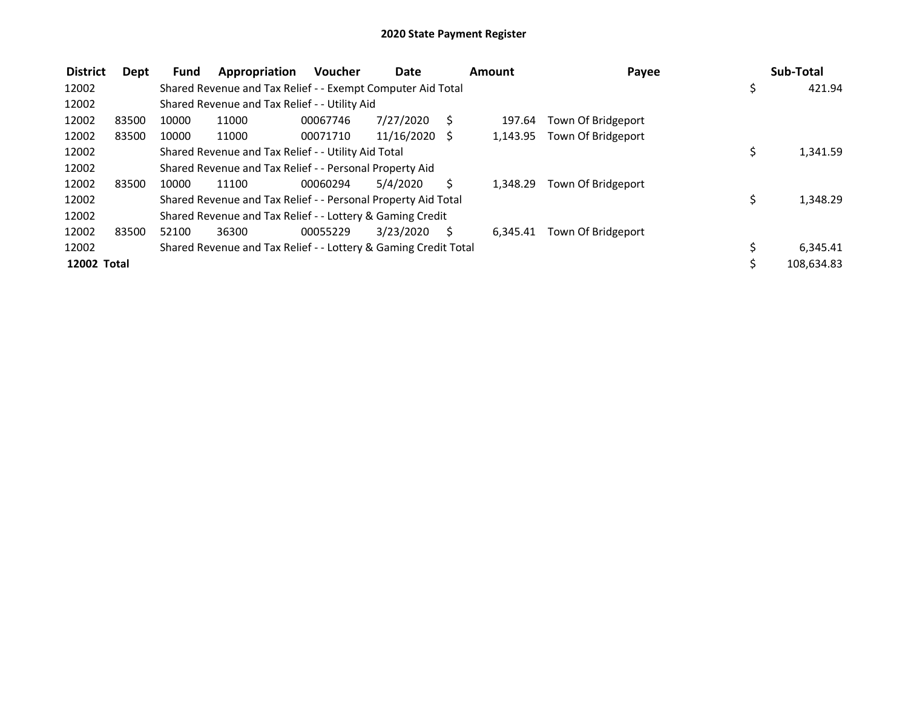| <b>District</b> | Dept  | <b>Fund</b> | Appropriation                                                   | <b>Voucher</b> | Date            |    | Amount   | Payee              |     | Sub-Total  |
|-----------------|-------|-------------|-----------------------------------------------------------------|----------------|-----------------|----|----------|--------------------|-----|------------|
| 12002           |       |             | Shared Revenue and Tax Relief - - Exempt Computer Aid Total     |                |                 |    |          |                    | \$, | 421.94     |
| 12002           |       |             | Shared Revenue and Tax Relief - - Utility Aid                   |                |                 |    |          |                    |     |            |
| 12002           | 83500 | 10000       | 11000                                                           | 00067746       | 7/27/2020       | S  | 197.64   | Town Of Bridgeport |     |            |
| 12002           | 83500 | 10000       | 11000                                                           | 00071710       | $11/16/2020$ \$ |    | 1,143.95 | Town Of Bridgeport |     |            |
| 12002           |       |             | Shared Revenue and Tax Relief - - Utility Aid Total             |                |                 |    |          |                    |     | 1,341.59   |
| 12002           |       |             | Shared Revenue and Tax Relief - - Personal Property Aid         |                |                 |    |          |                    |     |            |
| 12002           | 83500 | 10000       | 11100                                                           | 00060294       | 5/4/2020        | Ś. | 1.348.29 | Town Of Bridgeport |     |            |
| 12002           |       |             | Shared Revenue and Tax Relief - - Personal Property Aid Total   |                |                 |    |          |                    | \$  | 1,348.29   |
| 12002           |       |             | Shared Revenue and Tax Relief - - Lottery & Gaming Credit       |                |                 |    |          |                    |     |            |
| 12002           | 83500 | 52100       | 36300                                                           | 00055229       | 3/23/2020       | S. | 6.345.41 | Town Of Bridgeport |     |            |
| 12002           |       |             | Shared Revenue and Tax Relief - - Lottery & Gaming Credit Total |                |                 |    |          |                    |     | 6,345.41   |
| 12002 Total     |       |             |                                                                 |                |                 |    |          |                    |     | 108,634.83 |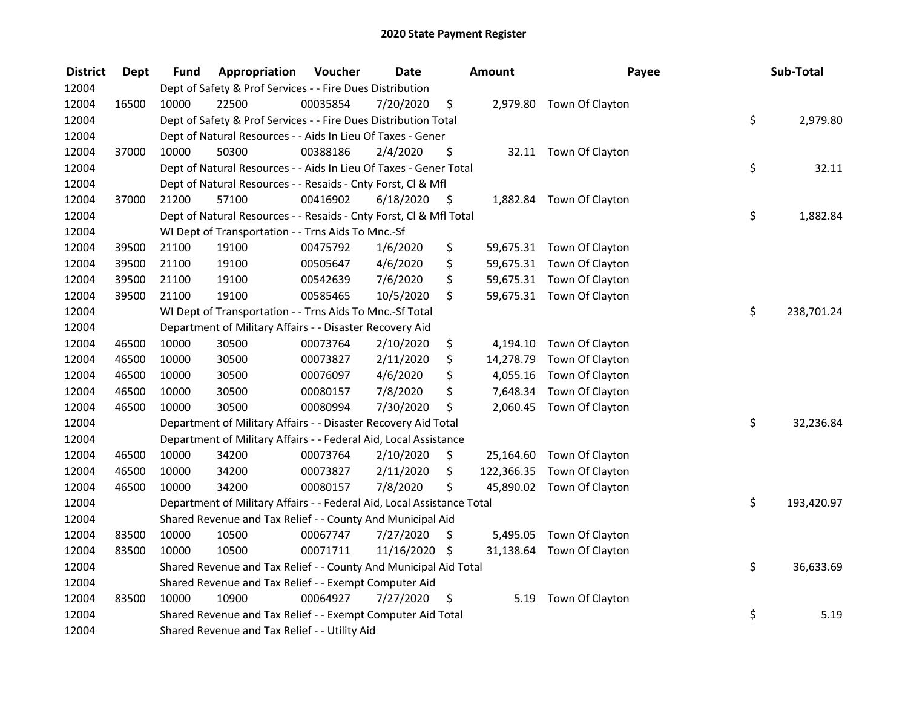| <b>District</b> | <b>Dept</b> | Fund  | Appropriation                                                          | Voucher  | <b>Date</b>   |      | <b>Amount</b> | Payee                      | Sub-Total        |
|-----------------|-------------|-------|------------------------------------------------------------------------|----------|---------------|------|---------------|----------------------------|------------------|
| 12004           |             |       | Dept of Safety & Prof Services - - Fire Dues Distribution              |          |               |      |               |                            |                  |
| 12004           | 16500       | 10000 | 22500                                                                  | 00035854 | 7/20/2020     | \$   |               | 2,979.80 Town Of Clayton   |                  |
| 12004           |             |       | Dept of Safety & Prof Services - - Fire Dues Distribution Total        |          |               |      |               |                            | \$<br>2,979.80   |
| 12004           |             |       | Dept of Natural Resources - - Aids In Lieu Of Taxes - Gener            |          |               |      |               |                            |                  |
| 12004           | 37000       | 10000 | 50300                                                                  | 00388186 | 2/4/2020      | \$   |               | 32.11 Town Of Clayton      |                  |
| 12004           |             |       | Dept of Natural Resources - - Aids In Lieu Of Taxes - Gener Total      |          |               |      |               |                            | \$<br>32.11      |
| 12004           |             |       | Dept of Natural Resources - - Resaids - Cnty Forst, Cl & Mfl           |          |               |      |               |                            |                  |
| 12004           | 37000       | 21200 | 57100                                                                  | 00416902 | 6/18/2020     | - \$ |               | 1,882.84 Town Of Clayton   |                  |
| 12004           |             |       | Dept of Natural Resources - - Resaids - Cnty Forst, Cl & Mfl Total     |          |               |      |               |                            | \$<br>1,882.84   |
| 12004           |             |       | WI Dept of Transportation - - Trns Aids To Mnc.-Sf                     |          |               |      |               |                            |                  |
| 12004           | 39500       | 21100 | 19100                                                                  | 00475792 | 1/6/2020      | \$   |               | 59,675.31 Town Of Clayton  |                  |
| 12004           | 39500       | 21100 | 19100                                                                  | 00505647 | 4/6/2020      | \$   |               | 59,675.31 Town Of Clayton  |                  |
| 12004           | 39500       | 21100 | 19100                                                                  | 00542639 | 7/6/2020      | \$   |               | 59,675.31 Town Of Clayton  |                  |
| 12004           | 39500       | 21100 | 19100                                                                  | 00585465 | 10/5/2020     | \$   |               | 59,675.31 Town Of Clayton  |                  |
| 12004           |             |       | WI Dept of Transportation - - Trns Aids To Mnc.-Sf Total               |          |               |      |               |                            | \$<br>238,701.24 |
| 12004           |             |       | Department of Military Affairs - - Disaster Recovery Aid               |          |               |      |               |                            |                  |
| 12004           | 46500       | 10000 | 30500                                                                  | 00073764 | 2/10/2020     | \$   | 4,194.10      | Town Of Clayton            |                  |
| 12004           | 46500       | 10000 | 30500                                                                  | 00073827 | 2/11/2020     | \$   | 14,278.79     | Town Of Clayton            |                  |
| 12004           | 46500       | 10000 | 30500                                                                  | 00076097 | 4/6/2020      | \$   | 4,055.16      | Town Of Clayton            |                  |
| 12004           | 46500       | 10000 | 30500                                                                  | 00080157 | 7/8/2020      | \$   | 7,648.34      | Town Of Clayton            |                  |
| 12004           | 46500       | 10000 | 30500                                                                  | 00080994 | 7/30/2020     | \$   |               | 2,060.45 Town Of Clayton   |                  |
| 12004           |             |       | Department of Military Affairs - - Disaster Recovery Aid Total         |          |               |      |               |                            | \$<br>32,236.84  |
| 12004           |             |       | Department of Military Affairs - - Federal Aid, Local Assistance       |          |               |      |               |                            |                  |
| 12004           | 46500       | 10000 | 34200                                                                  | 00073764 | 2/10/2020     | \$   | 25,164.60     | Town Of Clayton            |                  |
| 12004           | 46500       | 10000 | 34200                                                                  | 00073827 | 2/11/2020     | \$   |               | 122,366.35 Town Of Clayton |                  |
| 12004           | 46500       | 10000 | 34200                                                                  | 00080157 | 7/8/2020      | \$   |               | 45,890.02 Town Of Clayton  |                  |
| 12004           |             |       | Department of Military Affairs - - Federal Aid, Local Assistance Total |          |               |      |               |                            | \$<br>193,420.97 |
| 12004           |             |       | Shared Revenue and Tax Relief - - County And Municipal Aid             |          |               |      |               |                            |                  |
| 12004           | 83500       | 10000 | 10500                                                                  | 00067747 | 7/27/2020     | \$   | 5,495.05      | Town Of Clayton            |                  |
| 12004           | 83500       | 10000 | 10500                                                                  | 00071711 | 11/16/2020 \$ |      |               | 31,138.64 Town Of Clayton  |                  |
| 12004           |             |       | Shared Revenue and Tax Relief - - County And Municipal Aid Total       |          |               |      |               |                            | \$<br>36,633.69  |
| 12004           |             |       | Shared Revenue and Tax Relief - - Exempt Computer Aid                  |          |               |      |               |                            |                  |
| 12004           | 83500       | 10000 | 10900                                                                  | 00064927 | 7/27/2020     | \$   | 5.19          | Town Of Clayton            |                  |
| 12004           |             |       | Shared Revenue and Tax Relief - - Exempt Computer Aid Total            |          |               |      |               |                            | \$<br>5.19       |
| 12004           |             |       | Shared Revenue and Tax Relief - - Utility Aid                          |          |               |      |               |                            |                  |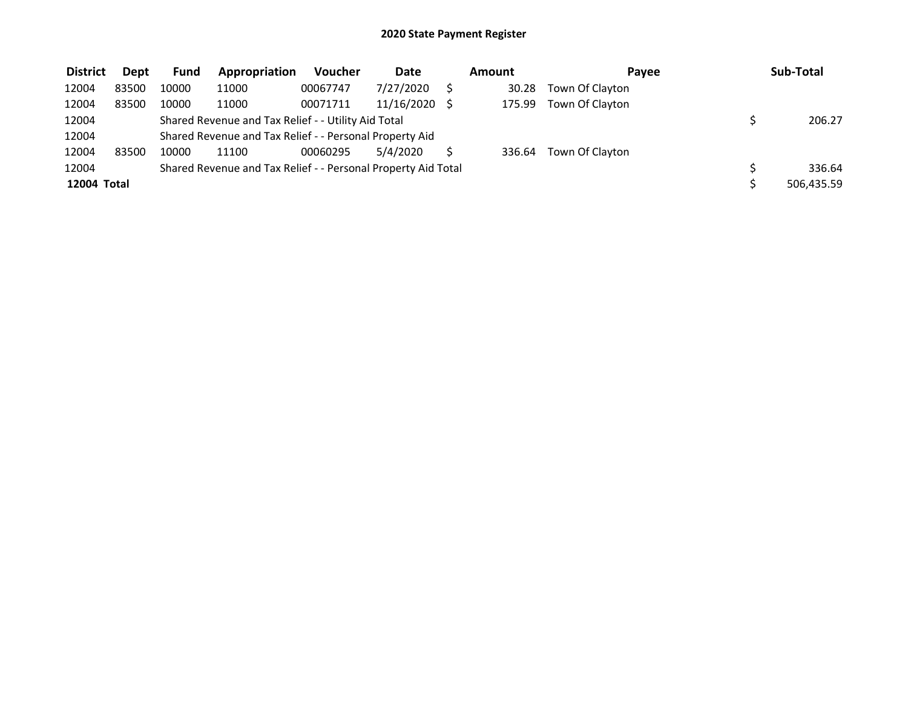| <b>District</b> | <b>Dept</b> | Fund  | Appropriation                                                 | <b>Voucher</b> | Date       | Amount | Pavee           | Sub-Total  |
|-----------------|-------------|-------|---------------------------------------------------------------|----------------|------------|--------|-----------------|------------|
| 12004           | 83500       | 10000 | 11000                                                         | 00067747       | 7/27/2020  | 30.28  | Town Of Clayton |            |
| 12004           | 83500       | 10000 | 11000                                                         | 00071711       | 11/16/2020 | 175.99 | Town Of Clayton |            |
| 12004           |             |       | Shared Revenue and Tax Relief - - Utility Aid Total           |                |            |        |                 | 206.27     |
| 12004           |             |       | Shared Revenue and Tax Relief - - Personal Property Aid       |                |            |        |                 |            |
| 12004           | 83500       | 10000 | 11100                                                         | 00060295       | 5/4/2020   | 336.64 | Town Of Clayton |            |
| 12004           |             |       | Shared Revenue and Tax Relief - - Personal Property Aid Total |                |            |        |                 | 336.64     |
| 12004 Total     |             |       |                                                               |                |            |        |                 | 506.435.59 |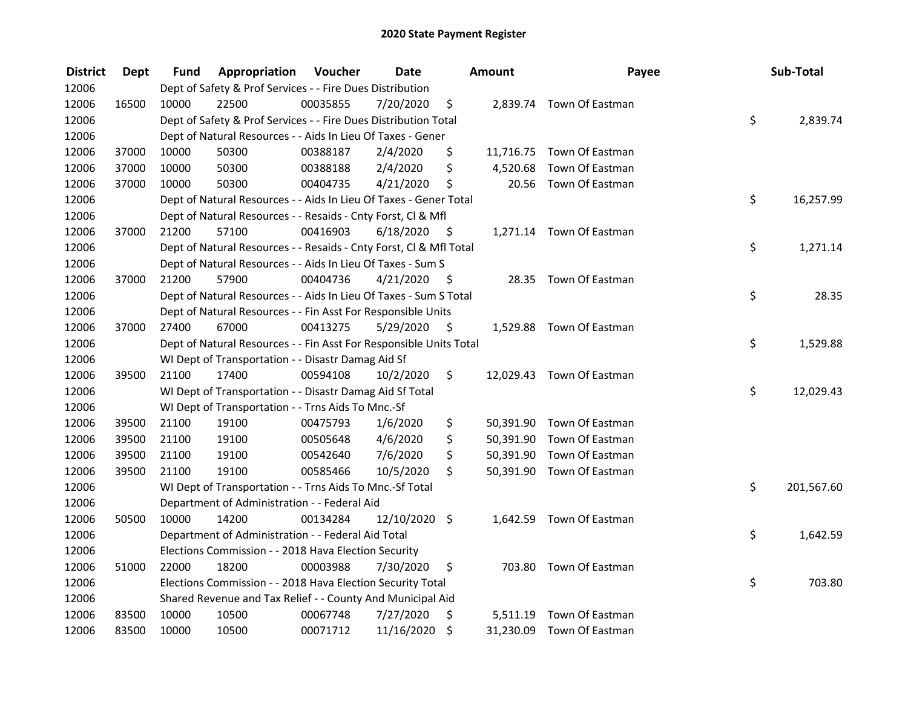| <b>District</b> | <b>Dept</b> | Fund  | Appropriation                                                      | Voucher  | <b>Date</b>   |      | Amount   | Payee                     | Sub-Total        |
|-----------------|-------------|-------|--------------------------------------------------------------------|----------|---------------|------|----------|---------------------------|------------------|
| 12006           |             |       | Dept of Safety & Prof Services - - Fire Dues Distribution          |          |               |      |          |                           |                  |
| 12006           | 16500       | 10000 | 22500                                                              | 00035855 | 7/20/2020     | \$   |          | 2,839.74 Town Of Eastman  |                  |
| 12006           |             |       | Dept of Safety & Prof Services - - Fire Dues Distribution Total    |          |               |      |          |                           | \$<br>2,839.74   |
| 12006           |             |       | Dept of Natural Resources - - Aids In Lieu Of Taxes - Gener        |          |               |      |          |                           |                  |
| 12006           | 37000       | 10000 | 50300                                                              | 00388187 | 2/4/2020      | \$   |          | 11,716.75 Town Of Eastman |                  |
| 12006           | 37000       | 10000 | 50300                                                              | 00388188 | 2/4/2020      | \$   | 4,520.68 | Town Of Eastman           |                  |
| 12006           | 37000       | 10000 | 50300                                                              | 00404735 | 4/21/2020     | \$   |          | 20.56 Town Of Eastman     |                  |
| 12006           |             |       | Dept of Natural Resources - - Aids In Lieu Of Taxes - Gener Total  |          |               |      |          |                           | \$<br>16,257.99  |
| 12006           |             |       | Dept of Natural Resources - - Resaids - Cnty Forst, CI & Mfl       |          |               |      |          |                           |                  |
| 12006           | 37000       | 21200 | 57100                                                              | 00416903 | 6/18/2020     | - \$ |          | 1,271.14 Town Of Eastman  |                  |
| 12006           |             |       | Dept of Natural Resources - - Resaids - Cnty Forst, Cl & Mfl Total |          |               |      |          |                           | \$<br>1,271.14   |
| 12006           |             |       | Dept of Natural Resources - - Aids In Lieu Of Taxes - Sum S        |          |               |      |          |                           |                  |
| 12006           | 37000       | 21200 | 57900                                                              | 00404736 | 4/21/2020     | -\$  |          | 28.35 Town Of Eastman     |                  |
| 12006           |             |       | Dept of Natural Resources - - Aids In Lieu Of Taxes - Sum S Total  |          |               |      |          |                           | \$<br>28.35      |
| 12006           |             |       | Dept of Natural Resources - - Fin Asst For Responsible Units       |          |               |      |          |                           |                  |
| 12006           | 37000       | 27400 | 67000                                                              | 00413275 | 5/29/2020     | \$   |          | 1,529.88 Town Of Eastman  |                  |
| 12006           |             |       | Dept of Natural Resources - - Fin Asst For Responsible Units Total |          |               |      |          |                           | \$<br>1,529.88   |
| 12006           |             |       | WI Dept of Transportation - - Disastr Damag Aid Sf                 |          |               |      |          |                           |                  |
| 12006           | 39500       | 21100 | 17400                                                              | 00594108 | 10/2/2020     | \$   |          | 12,029.43 Town Of Eastman |                  |
| 12006           |             |       | WI Dept of Transportation - - Disastr Damag Aid Sf Total           |          |               |      |          |                           | \$<br>12,029.43  |
| 12006           |             |       | WI Dept of Transportation - - Trns Aids To Mnc.-Sf                 |          |               |      |          |                           |                  |
| 12006           | 39500       | 21100 | 19100                                                              | 00475793 | 1/6/2020      | \$   |          | 50,391.90 Town Of Eastman |                  |
| 12006           | 39500       | 21100 | 19100                                                              | 00505648 | 4/6/2020      | \$   |          | 50,391.90 Town Of Eastman |                  |
| 12006           | 39500       | 21100 | 19100                                                              | 00542640 | 7/6/2020      | \$   |          | 50,391.90 Town Of Eastman |                  |
| 12006           | 39500       | 21100 | 19100                                                              | 00585466 | 10/5/2020     | \$   |          | 50,391.90 Town Of Eastman |                  |
| 12006           |             |       | WI Dept of Transportation - - Trns Aids To Mnc.-Sf Total           |          |               |      |          |                           | \$<br>201,567.60 |
| 12006           |             |       | Department of Administration - - Federal Aid                       |          |               |      |          |                           |                  |
| 12006           | 50500       | 10000 | 14200                                                              | 00134284 | 12/10/2020 \$ |      |          | 1,642.59 Town Of Eastman  |                  |
| 12006           |             |       | Department of Administration - - Federal Aid Total                 |          |               |      |          |                           | \$<br>1,642.59   |
| 12006           |             |       | Elections Commission - - 2018 Hava Election Security               |          |               |      |          |                           |                  |
| 12006           | 51000       | 22000 | 18200                                                              | 00003988 | 7/30/2020     | \$   |          | 703.80 Town Of Eastman    |                  |
| 12006           |             |       | Elections Commission - - 2018 Hava Election Security Total         |          |               |      |          |                           | \$<br>703.80     |
| 12006           |             |       | Shared Revenue and Tax Relief - - County And Municipal Aid         |          |               |      |          |                           |                  |
| 12006           | 83500       | 10000 | 10500                                                              | 00067748 | 7/27/2020     | \$   | 5,511.19 | Town Of Eastman           |                  |
| 12006           | 83500       | 10000 | 10500                                                              | 00071712 | 11/16/2020    | \$   |          | 31,230.09 Town Of Eastman |                  |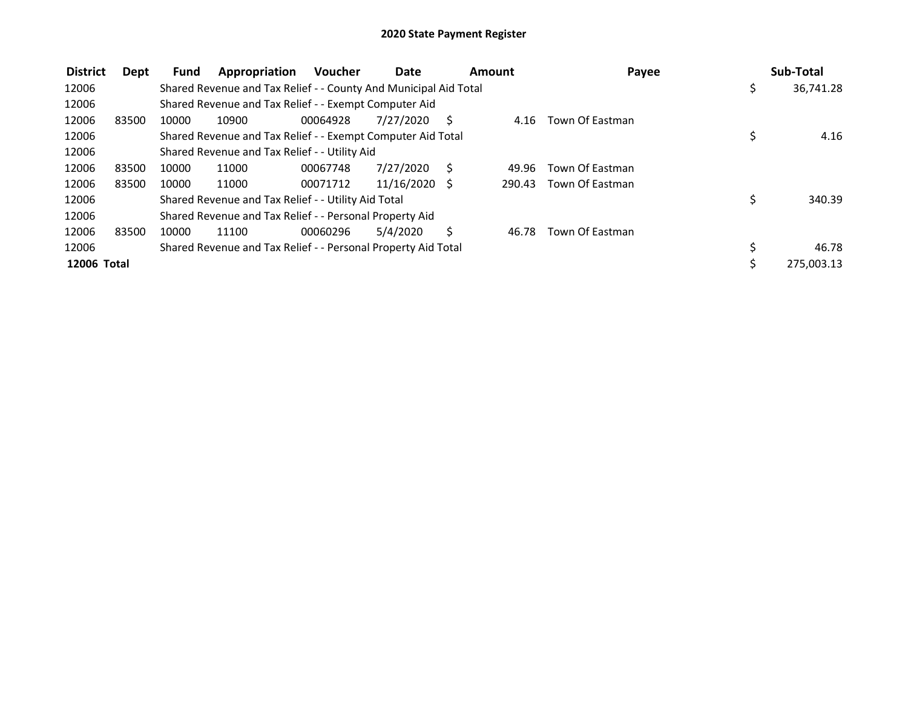| <b>District</b>    | Dept  | <b>Fund</b> | Appropriation                                                    | <b>Voucher</b> | Date            | Amount       |        | Payee           | Sub-Total       |
|--------------------|-------|-------------|------------------------------------------------------------------|----------------|-----------------|--------------|--------|-----------------|-----------------|
| 12006              |       |             | Shared Revenue and Tax Relief - - County And Municipal Aid Total |                |                 |              |        |                 | \$<br>36,741.28 |
| 12006              |       |             | Shared Revenue and Tax Relief - - Exempt Computer Aid            |                |                 |              |        |                 |                 |
| 12006              | 83500 | 10000       | 10900                                                            | 00064928       | 7/27/2020       | <sub>S</sub> | 4.16   | Town Of Eastman |                 |
| 12006              |       |             | Shared Revenue and Tax Relief - - Exempt Computer Aid Total      |                |                 |              |        |                 | 4.16            |
| 12006              |       |             | Shared Revenue and Tax Relief - - Utility Aid                    |                |                 |              |        |                 |                 |
| 12006              | 83500 | 10000       | 11000                                                            | 00067748       | 7/27/2020       | S            | 49.96  | Town Of Eastman |                 |
| 12006              | 83500 | 10000       | 11000                                                            | 00071712       | $11/16/2020$ \$ |              | 290.43 | Town Of Eastman |                 |
| 12006              |       |             | Shared Revenue and Tax Relief - - Utility Aid Total              |                |                 |              |        |                 | \$<br>340.39    |
| 12006              |       |             | Shared Revenue and Tax Relief - - Personal Property Aid          |                |                 |              |        |                 |                 |
| 12006              | 83500 | 10000       | 11100                                                            | 00060296       | 5/4/2020        | Ś            | 46.78  | Town Of Eastman |                 |
| 12006              |       |             | Shared Revenue and Tax Relief - - Personal Property Aid Total    |                |                 |              |        |                 | 46.78           |
| <b>12006 Total</b> |       |             |                                                                  |                |                 |              |        |                 | 275,003.13      |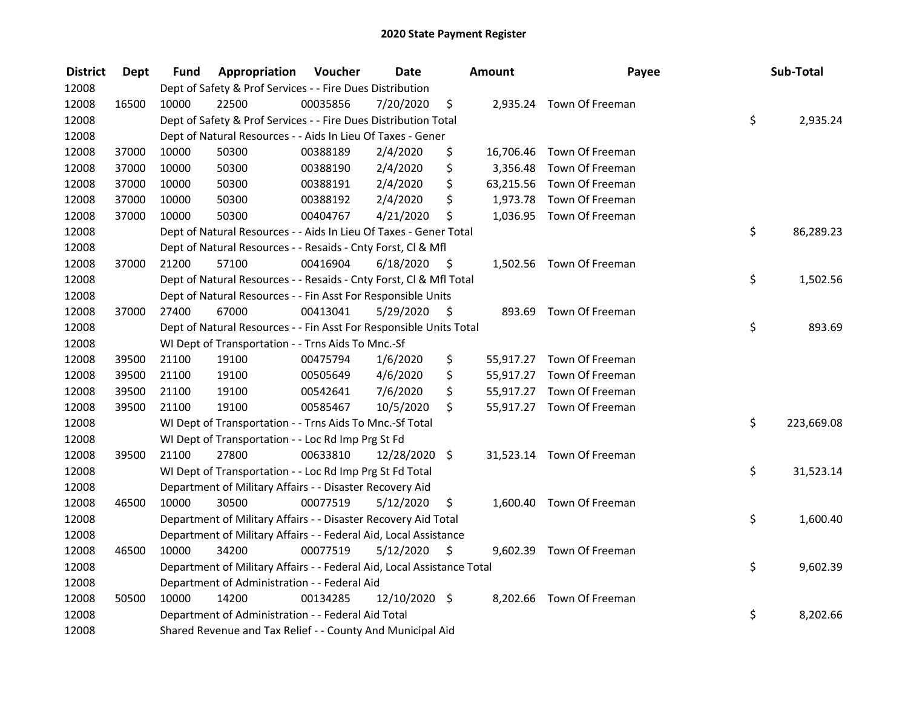| <b>District</b> | <b>Dept</b> | Fund  | Appropriation                                                          | Voucher  | <b>Date</b>   |      | <b>Amount</b> | Payee                     | Sub-Total        |
|-----------------|-------------|-------|------------------------------------------------------------------------|----------|---------------|------|---------------|---------------------------|------------------|
| 12008           |             |       | Dept of Safety & Prof Services - - Fire Dues Distribution              |          |               |      |               |                           |                  |
| 12008           | 16500       | 10000 | 22500                                                                  | 00035856 | 7/20/2020     | \$   |               | 2,935.24 Town Of Freeman  |                  |
| 12008           |             |       | Dept of Safety & Prof Services - - Fire Dues Distribution Total        |          |               |      |               |                           | \$<br>2,935.24   |
| 12008           |             |       | Dept of Natural Resources - - Aids In Lieu Of Taxes - Gener            |          |               |      |               |                           |                  |
| 12008           | 37000       | 10000 | 50300                                                                  | 00388189 | 2/4/2020      | \$   |               | 16,706.46 Town Of Freeman |                  |
| 12008           | 37000       | 10000 | 50300                                                                  | 00388190 | 2/4/2020      | \$   |               | 3,356.48 Town Of Freeman  |                  |
| 12008           | 37000       | 10000 | 50300                                                                  | 00388191 | 2/4/2020      | \$   |               | 63,215.56 Town Of Freeman |                  |
| 12008           | 37000       | 10000 | 50300                                                                  | 00388192 | 2/4/2020      | \$   |               | 1,973.78 Town Of Freeman  |                  |
| 12008           | 37000       | 10000 | 50300                                                                  | 00404767 | 4/21/2020     | \$   |               | 1,036.95 Town Of Freeman  |                  |
| 12008           |             |       | Dept of Natural Resources - - Aids In Lieu Of Taxes - Gener Total      |          |               |      |               |                           | \$<br>86,289.23  |
| 12008           |             |       | Dept of Natural Resources - - Resaids - Cnty Forst, CI & Mfl           |          |               |      |               |                           |                  |
| 12008           | 37000       | 21200 | 57100                                                                  | 00416904 | 6/18/2020     | - \$ |               | 1,502.56 Town Of Freeman  |                  |
| 12008           |             |       | Dept of Natural Resources - - Resaids - Cnty Forst, CI & Mfl Total     |          |               |      |               |                           | \$<br>1,502.56   |
| 12008           |             |       | Dept of Natural Resources - - Fin Asst For Responsible Units           |          |               |      |               |                           |                  |
| 12008           | 37000       | 27400 | 67000                                                                  | 00413041 | 5/29/2020     | \$   | 893.69        | Town Of Freeman           |                  |
| 12008           |             |       | Dept of Natural Resources - - Fin Asst For Responsible Units Total     |          |               |      |               |                           | \$<br>893.69     |
| 12008           |             |       | WI Dept of Transportation - - Trns Aids To Mnc.-Sf                     |          |               |      |               |                           |                  |
| 12008           | 39500       | 21100 | 19100                                                                  | 00475794 | 1/6/2020      | \$   |               | 55,917.27 Town Of Freeman |                  |
| 12008           | 39500       | 21100 | 19100                                                                  | 00505649 | 4/6/2020      | \$   |               | 55,917.27 Town Of Freeman |                  |
| 12008           | 39500       | 21100 | 19100                                                                  | 00542641 | 7/6/2020      | \$   |               | 55,917.27 Town Of Freeman |                  |
| 12008           | 39500       | 21100 | 19100                                                                  | 00585467 | 10/5/2020     | \$   |               | 55,917.27 Town Of Freeman |                  |
| 12008           |             |       | WI Dept of Transportation - - Trns Aids To Mnc.-Sf Total               |          |               |      |               |                           | \$<br>223,669.08 |
| 12008           |             |       | WI Dept of Transportation - - Loc Rd Imp Prg St Fd                     |          |               |      |               |                           |                  |
| 12008           | 39500       | 21100 | 27800                                                                  | 00633810 | 12/28/2020 \$ |      |               | 31,523.14 Town Of Freeman |                  |
| 12008           |             |       | WI Dept of Transportation - - Loc Rd Imp Prg St Fd Total               |          |               |      |               |                           | \$<br>31,523.14  |
| 12008           |             |       | Department of Military Affairs - - Disaster Recovery Aid               |          |               |      |               |                           |                  |
| 12008           | 46500       | 10000 | 30500                                                                  | 00077519 | 5/12/2020     | \$   |               | 1,600.40 Town Of Freeman  |                  |
| 12008           |             |       | Department of Military Affairs - - Disaster Recovery Aid Total         |          |               |      |               |                           | \$<br>1,600.40   |
| 12008           |             |       | Department of Military Affairs - - Federal Aid, Local Assistance       |          |               |      |               |                           |                  |
| 12008           | 46500       | 10000 | 34200                                                                  | 00077519 | 5/12/2020     | - \$ |               | 9,602.39 Town Of Freeman  |                  |
| 12008           |             |       | Department of Military Affairs - - Federal Aid, Local Assistance Total |          |               |      |               |                           | \$<br>9,602.39   |
| 12008           |             |       | Department of Administration - - Federal Aid                           |          |               |      |               |                           |                  |
| 12008           | 50500       | 10000 | 14200                                                                  | 00134285 | 12/10/2020 \$ |      |               | 8,202.66 Town Of Freeman  |                  |
| 12008           |             |       | Department of Administration - - Federal Aid Total                     |          |               |      |               |                           | \$<br>8,202.66   |
| 12008           |             |       | Shared Revenue and Tax Relief - - County And Municipal Aid             |          |               |      |               |                           |                  |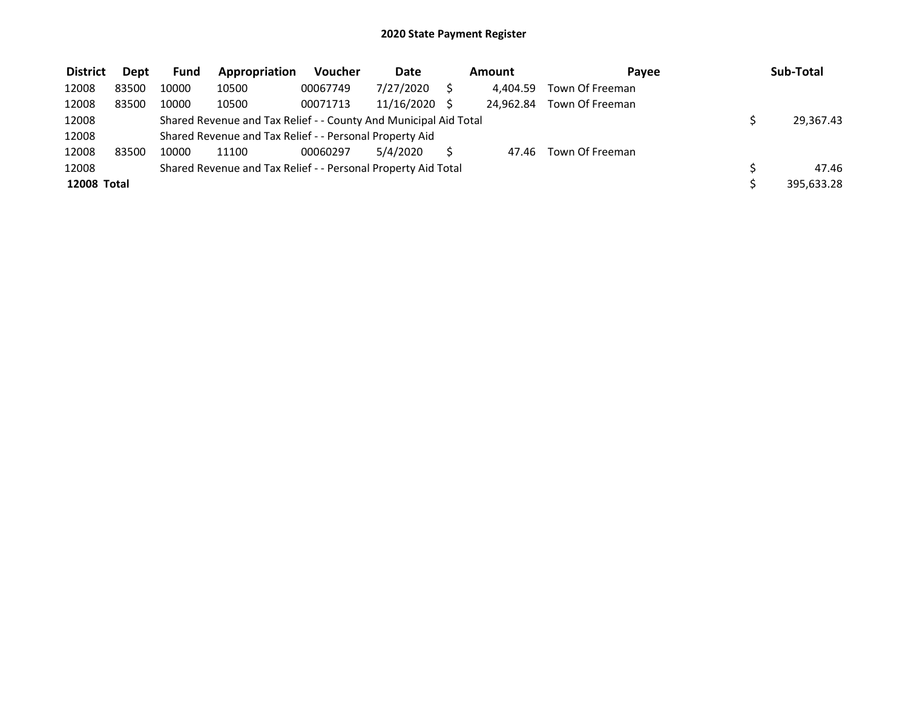| <b>District</b>    | Dept  | <b>Fund</b> | Appropriation                                                    | <b>Voucher</b> | Date       | Amount |           | Pavee           | Sub-Total  |
|--------------------|-------|-------------|------------------------------------------------------------------|----------------|------------|--------|-----------|-----------------|------------|
| 12008              | 83500 | 10000       | 10500                                                            | 00067749       | 7/27/2020  |        | 4.404.59  | Town Of Freeman |            |
| 12008              | 83500 | 10000       | 10500                                                            | 00071713       | 11/16/2020 |        | 24.962.84 | Town Of Freeman |            |
| 12008              |       |             | Shared Revenue and Tax Relief - - County And Municipal Aid Total |                |            |        |           |                 | 29,367.43  |
| 12008              |       |             | Shared Revenue and Tax Relief - - Personal Property Aid          |                |            |        |           |                 |            |
| 12008              | 83500 | 10000       | 11100                                                            | 00060297       | 5/4/2020   |        | 47.46     | Town Of Freeman |            |
| 12008              |       |             | Shared Revenue and Tax Relief - - Personal Property Aid Total    |                |            |        |           |                 | 47.46      |
| <b>12008 Total</b> |       |             |                                                                  |                |            |        |           |                 | 395,633.28 |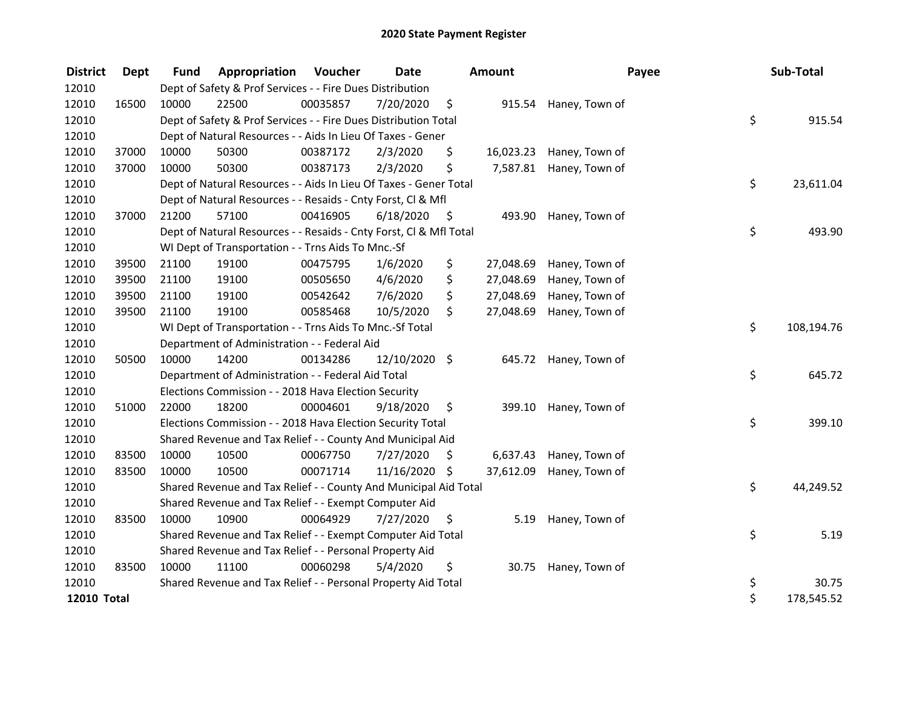| <b>District</b>    | <b>Dept</b> | <b>Fund</b> | Appropriation                                                      | Voucher  | <b>Date</b>   |      | Amount    |                       | Payee | Sub-Total  |
|--------------------|-------------|-------------|--------------------------------------------------------------------|----------|---------------|------|-----------|-----------------------|-------|------------|
| 12010              |             |             | Dept of Safety & Prof Services - - Fire Dues Distribution          |          |               |      |           |                       |       |            |
| 12010              | 16500       | 10000       | 22500                                                              | 00035857 | 7/20/2020     | \$   |           | 915.54 Haney, Town of |       |            |
| 12010              |             |             | Dept of Safety & Prof Services - - Fire Dues Distribution Total    |          |               |      |           |                       | \$    | 915.54     |
| 12010              |             |             | Dept of Natural Resources - - Aids In Lieu Of Taxes - Gener        |          |               |      |           |                       |       |            |
| 12010              | 37000       | 10000       | 50300                                                              | 00387172 | 2/3/2020      | \$   | 16,023.23 | Haney, Town of        |       |            |
| 12010              | 37000       | 10000       | 50300                                                              | 00387173 | 2/3/2020      | \$   | 7,587.81  | Haney, Town of        |       |            |
| 12010              |             |             | Dept of Natural Resources - - Aids In Lieu Of Taxes - Gener Total  |          |               |      |           |                       | \$    | 23,611.04  |
| 12010              |             |             | Dept of Natural Resources - - Resaids - Cnty Forst, Cl & Mfl       |          |               |      |           |                       |       |            |
| 12010              | 37000       | 21200       | 57100                                                              | 00416905 | 6/18/2020     | - \$ | 493.90    | Haney, Town of        |       |            |
| 12010              |             |             | Dept of Natural Resources - - Resaids - Cnty Forst, Cl & Mfl Total |          |               |      |           |                       | \$    | 493.90     |
| 12010              |             |             | WI Dept of Transportation - - Trns Aids To Mnc.-Sf                 |          |               |      |           |                       |       |            |
| 12010              | 39500       | 21100       | 19100                                                              | 00475795 | 1/6/2020      | \$   | 27,048.69 | Haney, Town of        |       |            |
| 12010              | 39500       | 21100       | 19100                                                              | 00505650 | 4/6/2020      | \$   | 27,048.69 | Haney, Town of        |       |            |
| 12010              | 39500       | 21100       | 19100                                                              | 00542642 | 7/6/2020      | \$   | 27,048.69 | Haney, Town of        |       |            |
| 12010              | 39500       | 21100       | 19100                                                              | 00585468 | 10/5/2020     | \$   | 27,048.69 | Haney, Town of        |       |            |
| 12010              |             |             | WI Dept of Transportation - - Trns Aids To Mnc.-Sf Total           |          |               |      |           |                       | \$    | 108,194.76 |
| 12010              |             |             | Department of Administration - - Federal Aid                       |          |               |      |           |                       |       |            |
| 12010              | 50500       | 10000       | 14200                                                              | 00134286 | 12/10/2020 \$ |      |           | 645.72 Haney, Town of |       |            |
| 12010              |             |             | Department of Administration - - Federal Aid Total                 |          |               |      |           |                       | \$    | 645.72     |
| 12010              |             |             | Elections Commission - - 2018 Hava Election Security               |          |               |      |           |                       |       |            |
| 12010              | 51000       | 22000       | 18200                                                              | 00004601 | 9/18/2020     | \$   | 399.10    | Haney, Town of        |       |            |
| 12010              |             |             | Elections Commission - - 2018 Hava Election Security Total         |          |               |      |           |                       | \$    | 399.10     |
| 12010              |             |             | Shared Revenue and Tax Relief - - County And Municipal Aid         |          |               |      |           |                       |       |            |
| 12010              | 83500       | 10000       | 10500                                                              | 00067750 | 7/27/2020     | \$   | 6,637.43  | Haney, Town of        |       |            |
| 12010              | 83500       | 10000       | 10500                                                              | 00071714 | 11/16/2020    | \$   | 37,612.09 | Haney, Town of        |       |            |
| 12010              |             |             | Shared Revenue and Tax Relief - - County And Municipal Aid Total   |          |               |      |           |                       | \$    | 44,249.52  |
| 12010              |             |             | Shared Revenue and Tax Relief - - Exempt Computer Aid              |          |               |      |           |                       |       |            |
| 12010              | 83500       | 10000       | 10900                                                              | 00064929 | 7/27/2020     | \$   | 5.19      | Haney, Town of        |       |            |
| 12010              |             |             | Shared Revenue and Tax Relief - - Exempt Computer Aid Total        |          |               |      |           |                       | \$    | 5.19       |
| 12010              |             |             | Shared Revenue and Tax Relief - - Personal Property Aid            |          |               |      |           |                       |       |            |
| 12010              | 83500       | 10000       | 11100                                                              | 00060298 | 5/4/2020      | \$   | 30.75     | Haney, Town of        |       |            |
| 12010              |             |             | Shared Revenue and Tax Relief - - Personal Property Aid Total      |          |               |      |           |                       | \$    | 30.75      |
| <b>12010 Total</b> |             |             |                                                                    |          |               |      |           |                       | \$    | 178,545.52 |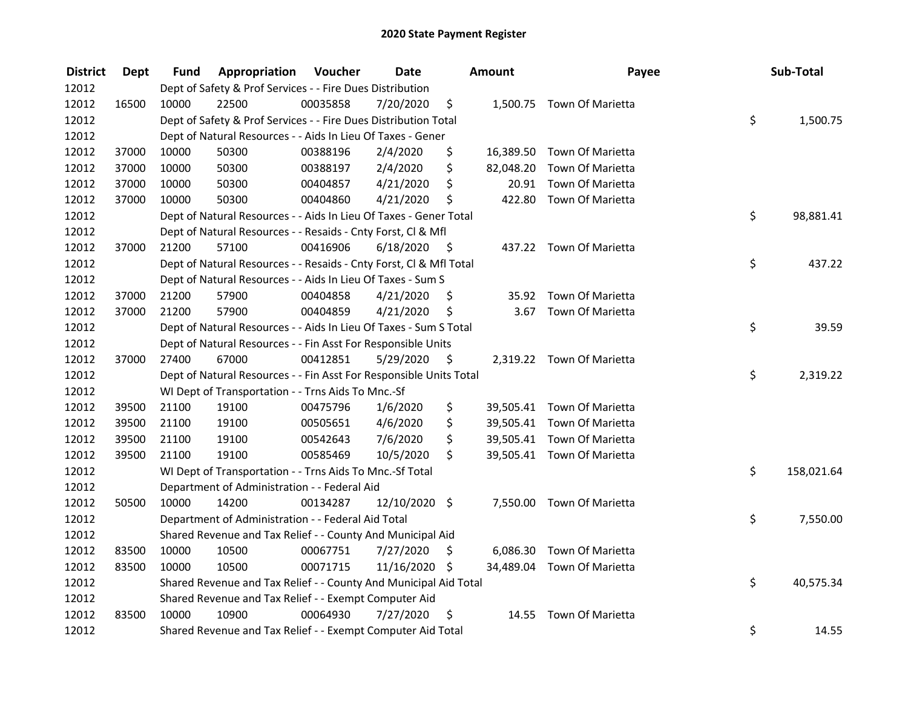| <b>District</b> | <b>Dept</b> | Fund  | Appropriation                                                      | Voucher  | <b>Date</b>   |      | <b>Amount</b> | Payee                      | Sub-Total        |
|-----------------|-------------|-------|--------------------------------------------------------------------|----------|---------------|------|---------------|----------------------------|------------------|
| 12012           |             |       | Dept of Safety & Prof Services - - Fire Dues Distribution          |          |               |      |               |                            |                  |
| 12012           | 16500       | 10000 | 22500                                                              | 00035858 | 7/20/2020     | \$   |               | 1,500.75 Town Of Marietta  |                  |
| 12012           |             |       | Dept of Safety & Prof Services - - Fire Dues Distribution Total    |          |               |      |               |                            | \$<br>1,500.75   |
| 12012           |             |       | Dept of Natural Resources - - Aids In Lieu Of Taxes - Gener        |          |               |      |               |                            |                  |
| 12012           | 37000       | 10000 | 50300                                                              | 00388196 | 2/4/2020      | \$   |               | 16,389.50 Town Of Marietta |                  |
| 12012           | 37000       | 10000 | 50300                                                              | 00388197 | 2/4/2020      | \$   | 82,048.20     | Town Of Marietta           |                  |
| 12012           | 37000       | 10000 | 50300                                                              | 00404857 | 4/21/2020     | \$   | 20.91         | Town Of Marietta           |                  |
| 12012           | 37000       | 10000 | 50300                                                              | 00404860 | 4/21/2020     | \$   |               | 422.80 Town Of Marietta    |                  |
| 12012           |             |       | Dept of Natural Resources - - Aids In Lieu Of Taxes - Gener Total  |          |               |      |               |                            | \$<br>98,881.41  |
| 12012           |             |       | Dept of Natural Resources - - Resaids - Cnty Forst, Cl & Mfl       |          |               |      |               |                            |                  |
| 12012           | 37000       | 21200 | 57100                                                              | 00416906 | 6/18/2020     | - \$ |               | 437.22 Town Of Marietta    |                  |
| 12012           |             |       | Dept of Natural Resources - - Resaids - Cnty Forst, Cl & Mfl Total |          |               |      |               |                            | \$<br>437.22     |
| 12012           |             |       | Dept of Natural Resources - - Aids In Lieu Of Taxes - Sum S        |          |               |      |               |                            |                  |
| 12012           | 37000       | 21200 | 57900                                                              | 00404858 | 4/21/2020     | \$.  |               | 35.92 Town Of Marietta     |                  |
| 12012           | 37000       | 21200 | 57900                                                              | 00404859 | 4/21/2020     | \$   | 3.67          | Town Of Marietta           |                  |
| 12012           |             |       | Dept of Natural Resources - - Aids In Lieu Of Taxes - Sum S Total  |          |               |      |               |                            | \$<br>39.59      |
| 12012           |             |       | Dept of Natural Resources - - Fin Asst For Responsible Units       |          |               |      |               |                            |                  |
| 12012           | 37000       | 27400 | 67000                                                              | 00412851 | 5/29/2020     | -\$  |               | 2,319.22 Town Of Marietta  |                  |
| 12012           |             |       | Dept of Natural Resources - - Fin Asst For Responsible Units Total |          |               |      |               |                            | \$<br>2,319.22   |
| 12012           |             |       | WI Dept of Transportation - - Trns Aids To Mnc.-Sf                 |          |               |      |               |                            |                  |
| 12012           | 39500       | 21100 | 19100                                                              | 00475796 | 1/6/2020      | \$   |               | 39,505.41 Town Of Marietta |                  |
| 12012           | 39500       | 21100 | 19100                                                              | 00505651 | 4/6/2020      | \$   |               | 39,505.41 Town Of Marietta |                  |
| 12012           | 39500       | 21100 | 19100                                                              | 00542643 | 7/6/2020      | \$   |               | 39,505.41 Town Of Marietta |                  |
| 12012           | 39500       | 21100 | 19100                                                              | 00585469 | 10/5/2020     | \$   |               | 39,505.41 Town Of Marietta |                  |
| 12012           |             |       | WI Dept of Transportation - - Trns Aids To Mnc.-Sf Total           |          |               |      |               |                            | \$<br>158,021.64 |
| 12012           |             |       | Department of Administration - - Federal Aid                       |          |               |      |               |                            |                  |
| 12012           | 50500       | 10000 | 14200                                                              | 00134287 | 12/10/2020 \$ |      |               | 7,550.00 Town Of Marietta  |                  |
| 12012           |             |       | Department of Administration - - Federal Aid Total                 |          |               |      |               |                            | \$<br>7,550.00   |
| 12012           |             |       | Shared Revenue and Tax Relief - - County And Municipal Aid         |          |               |      |               |                            |                  |
| 12012           | 83500       | 10000 | 10500                                                              | 00067751 | 7/27/2020     | \$   | 6,086.30      | Town Of Marietta           |                  |
| 12012           | 83500       | 10000 | 10500                                                              | 00071715 | 11/16/2020 \$ |      |               | 34,489.04 Town Of Marietta |                  |
| 12012           |             |       | Shared Revenue and Tax Relief - - County And Municipal Aid Total   |          |               |      |               |                            | \$<br>40,575.34  |
| 12012           |             |       | Shared Revenue and Tax Relief - - Exempt Computer Aid              |          |               |      |               |                            |                  |
| 12012           | 83500       | 10000 | 10900                                                              | 00064930 | 7/27/2020     | \$.  | 14.55         | Town Of Marietta           |                  |
| 12012           |             |       | Shared Revenue and Tax Relief - - Exempt Computer Aid Total        |          |               |      |               |                            | \$<br>14.55      |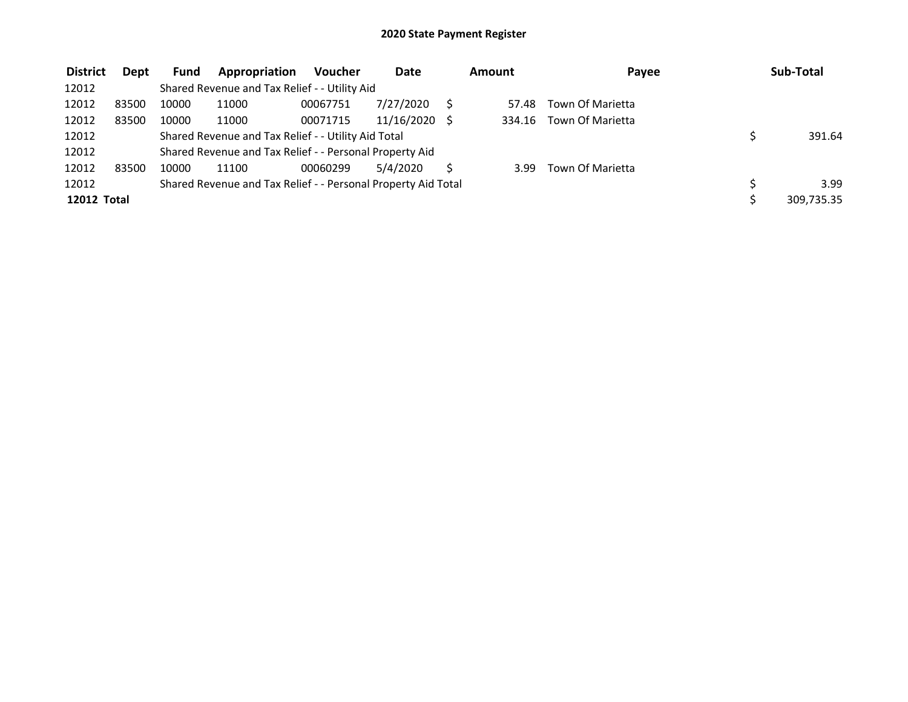| <b>District</b>    | <b>Dept</b> | <b>Fund</b> | Appropriation                                                 | <b>Voucher</b> | <b>Date</b> | Amount | Payee            | Sub-Total  |
|--------------------|-------------|-------------|---------------------------------------------------------------|----------------|-------------|--------|------------------|------------|
| 12012              |             |             | Shared Revenue and Tax Relief - - Utility Aid                 |                |             |        |                  |            |
| 12012              | 83500       | 10000       | 11000                                                         | 00067751       | 7/27/2020   | 57.48  | Town Of Marietta |            |
| 12012              | 83500       | 10000       | 11000                                                         | 00071715       | 11/16/2020  | 334.16 | Town Of Marietta |            |
| 12012              |             |             | Shared Revenue and Tax Relief - - Utility Aid Total           |                |             |        |                  | 391.64     |
| 12012              |             |             | Shared Revenue and Tax Relief - - Personal Property Aid       |                |             |        |                  |            |
| 12012              | 83500       | 10000       | 11100                                                         | 00060299       | 5/4/2020    | 3.99   | Town Of Marietta |            |
| 12012              |             |             | Shared Revenue and Tax Relief - - Personal Property Aid Total |                |             |        |                  | 3.99       |
| <b>12012 Total</b> |             |             |                                                               |                |             |        |                  | 309,735.35 |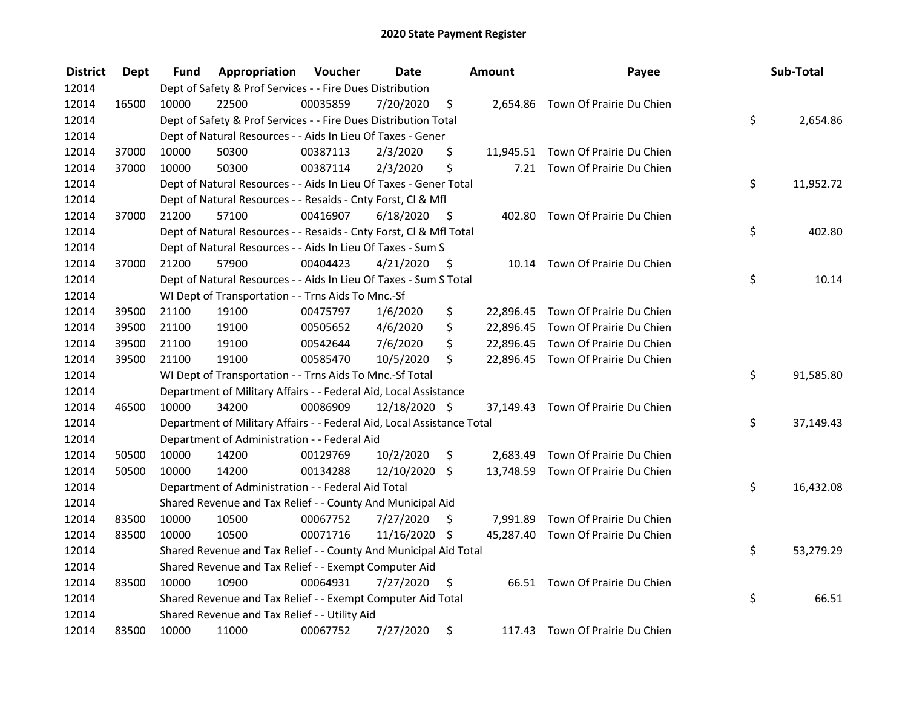| <b>District</b> | <b>Dept</b> | Fund  | Appropriation                                                          | Voucher  | <b>Date</b>   |      | Amount | Payee                              | Sub-Total       |
|-----------------|-------------|-------|------------------------------------------------------------------------|----------|---------------|------|--------|------------------------------------|-----------------|
| 12014           |             |       | Dept of Safety & Prof Services - - Fire Dues Distribution              |          |               |      |        |                                    |                 |
| 12014           | 16500       | 10000 | 22500                                                                  | 00035859 | 7/20/2020     | \$   |        | 2,654.86 Town Of Prairie Du Chien  |                 |
| 12014           |             |       | Dept of Safety & Prof Services - - Fire Dues Distribution Total        |          |               |      |        |                                    | \$<br>2,654.86  |
| 12014           |             |       | Dept of Natural Resources - - Aids In Lieu Of Taxes - Gener            |          |               |      |        |                                    |                 |
| 12014           | 37000       | 10000 | 50300                                                                  | 00387113 | 2/3/2020      | \$   |        | 11,945.51 Town Of Prairie Du Chien |                 |
| 12014           | 37000       | 10000 | 50300                                                                  | 00387114 | 2/3/2020      | \$   | 7.21   | Town Of Prairie Du Chien           |                 |
| 12014           |             |       | Dept of Natural Resources - - Aids In Lieu Of Taxes - Gener Total      |          |               |      |        |                                    | \$<br>11,952.72 |
| 12014           |             |       | Dept of Natural Resources - - Resaids - Cnty Forst, Cl & Mfl           |          |               |      |        |                                    |                 |
| 12014           | 37000       | 21200 | 57100                                                                  | 00416907 | 6/18/2020     | - \$ |        | 402.80 Town Of Prairie Du Chien    |                 |
| 12014           |             |       | Dept of Natural Resources - - Resaids - Cnty Forst, Cl & Mfl Total     |          |               |      |        |                                    | \$<br>402.80    |
| 12014           |             |       | Dept of Natural Resources - - Aids In Lieu Of Taxes - Sum S            |          |               |      |        |                                    |                 |
| 12014           | 37000       | 21200 | 57900                                                                  | 00404423 | 4/21/2020     | \$   |        | 10.14 Town Of Prairie Du Chien     |                 |
| 12014           |             |       | Dept of Natural Resources - - Aids In Lieu Of Taxes - Sum S Total      |          |               |      |        |                                    | \$<br>10.14     |
| 12014           |             |       | WI Dept of Transportation - - Trns Aids To Mnc.-Sf                     |          |               |      |        |                                    |                 |
| 12014           | 39500       | 21100 | 19100                                                                  | 00475797 | 1/6/2020      | \$   |        | 22,896.45 Town Of Prairie Du Chien |                 |
| 12014           | 39500       | 21100 | 19100                                                                  | 00505652 | 4/6/2020      | \$   |        | 22,896.45 Town Of Prairie Du Chien |                 |
| 12014           | 39500       | 21100 | 19100                                                                  | 00542644 | 7/6/2020      | \$   |        | 22,896.45 Town Of Prairie Du Chien |                 |
| 12014           | 39500       | 21100 | 19100                                                                  | 00585470 | 10/5/2020     | \$   |        | 22,896.45 Town Of Prairie Du Chien |                 |
| 12014           |             |       | WI Dept of Transportation - - Trns Aids To Mnc.-Sf Total               |          |               |      |        |                                    | \$<br>91,585.80 |
| 12014           |             |       | Department of Military Affairs - - Federal Aid, Local Assistance       |          |               |      |        |                                    |                 |
| 12014           | 46500       | 10000 | 34200                                                                  | 00086909 | 12/18/2020 \$ |      |        | 37,149.43 Town Of Prairie Du Chien |                 |
| 12014           |             |       | Department of Military Affairs - - Federal Aid, Local Assistance Total |          |               |      |        |                                    | \$<br>37,149.43 |
| 12014           |             |       | Department of Administration - - Federal Aid                           |          |               |      |        |                                    |                 |
| 12014           | 50500       | 10000 | 14200                                                                  | 00129769 | 10/2/2020     | \$   |        | 2,683.49 Town Of Prairie Du Chien  |                 |
| 12014           | 50500       | 10000 | 14200                                                                  | 00134288 | 12/10/2020    | \$   |        | 13,748.59 Town Of Prairie Du Chien |                 |
| 12014           |             |       | Department of Administration - - Federal Aid Total                     |          |               |      |        |                                    | \$<br>16,432.08 |
| 12014           |             |       | Shared Revenue and Tax Relief - - County And Municipal Aid             |          |               |      |        |                                    |                 |
| 12014           | 83500       | 10000 | 10500                                                                  | 00067752 | 7/27/2020     | \$   |        | 7,991.89 Town Of Prairie Du Chien  |                 |
| 12014           | 83500       | 10000 | 10500                                                                  | 00071716 | 11/16/2020 \$ |      |        | 45,287.40 Town Of Prairie Du Chien |                 |
| 12014           |             |       | Shared Revenue and Tax Relief - - County And Municipal Aid Total       |          |               |      |        |                                    | \$<br>53,279.29 |
| 12014           |             |       | Shared Revenue and Tax Relief - - Exempt Computer Aid                  |          |               |      |        |                                    |                 |
| 12014           | 83500       | 10000 | 10900                                                                  | 00064931 | 7/27/2020     | \$   |        | 66.51 Town Of Prairie Du Chien     |                 |
| 12014           |             |       | Shared Revenue and Tax Relief - - Exempt Computer Aid Total            |          |               |      |        |                                    | \$<br>66.51     |
| 12014           |             |       | Shared Revenue and Tax Relief - - Utility Aid                          |          |               |      |        |                                    |                 |
| 12014           | 83500       | 10000 | 11000                                                                  | 00067752 | 7/27/2020     | \$   |        | 117.43 Town Of Prairie Du Chien    |                 |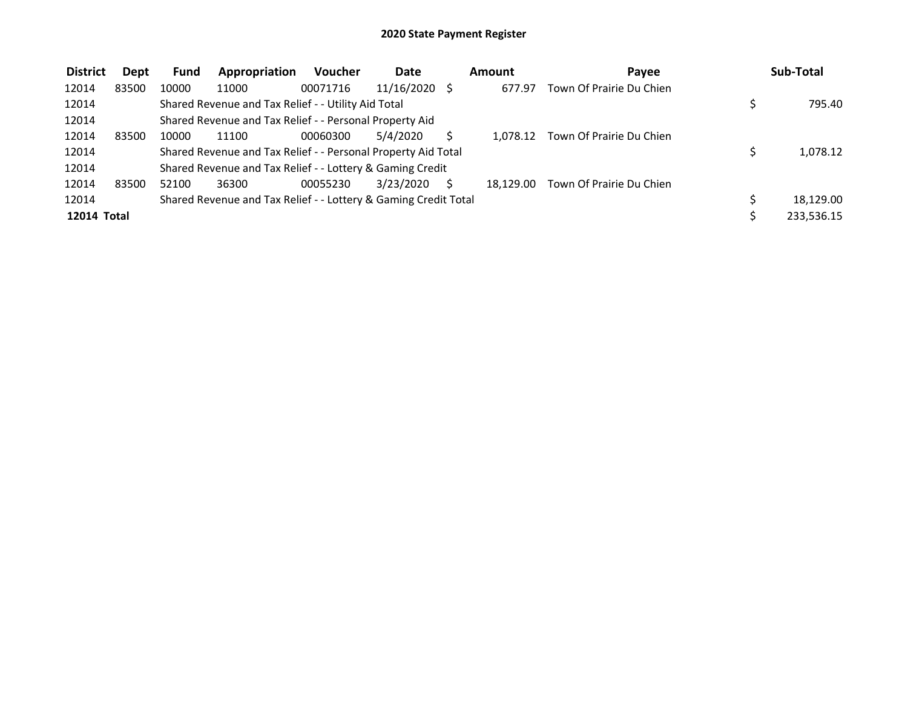| <b>District</b>    | Dept  | Fund  | Appropriation                                                   | <b>Voucher</b> | Date            | Amount    | Payee                    | Sub-Total  |
|--------------------|-------|-------|-----------------------------------------------------------------|----------------|-----------------|-----------|--------------------------|------------|
| 12014              | 83500 | 10000 | 11000                                                           | 00071716       | $11/16/2020$ \$ | 677.97    | Town Of Prairie Du Chien |            |
| 12014              |       |       | Shared Revenue and Tax Relief - - Utility Aid Total             |                |                 |           |                          | 795.40     |
| 12014              |       |       | Shared Revenue and Tax Relief - - Personal Property Aid         |                |                 |           |                          |            |
| 12014              | 83500 | 10000 | 11100                                                           | 00060300       | 5/4/2020        | 1.078.12  | Town Of Prairie Du Chien |            |
| 12014              |       |       | Shared Revenue and Tax Relief - - Personal Property Aid Total   |                |                 |           |                          | 1,078.12   |
| 12014              |       |       | Shared Revenue and Tax Relief - - Lottery & Gaming Credit       |                |                 |           |                          |            |
| 12014              | 83500 | 52100 | 36300                                                           | 00055230       | 3/23/2020       | 18.129.00 | Town Of Prairie Du Chien |            |
| 12014              |       |       | Shared Revenue and Tax Relief - - Lottery & Gaming Credit Total |                |                 |           |                          | 18,129.00  |
| <b>12014 Total</b> |       |       |                                                                 |                |                 |           |                          | 233,536.15 |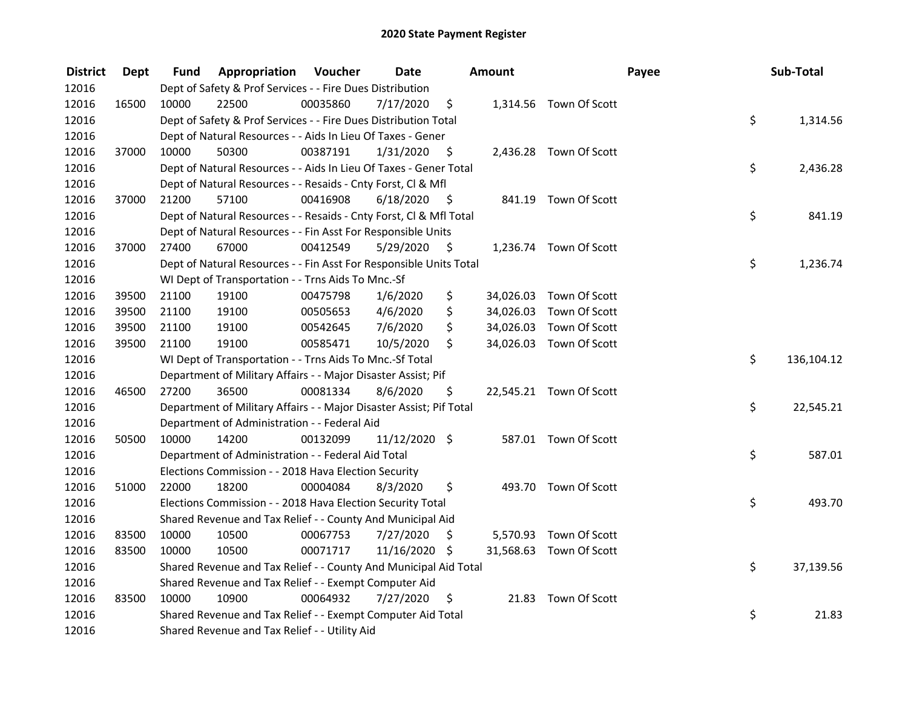| <b>District</b> | <b>Dept</b> | Fund  | <b>Appropriation Voucher</b>                                        |          | <b>Date</b>     |      | Amount |                         | Payee | Sub-Total  |
|-----------------|-------------|-------|---------------------------------------------------------------------|----------|-----------------|------|--------|-------------------------|-------|------------|
| 12016           |             |       | Dept of Safety & Prof Services - - Fire Dues Distribution           |          |                 |      |        |                         |       |            |
| 12016           | 16500       | 10000 | 22500                                                               | 00035860 | 7/17/2020       | \$   |        | 1,314.56 Town Of Scott  |       |            |
| 12016           |             |       | Dept of Safety & Prof Services - - Fire Dues Distribution Total     |          |                 |      |        |                         | \$    | 1,314.56   |
| 12016           |             |       | Dept of Natural Resources - - Aids In Lieu Of Taxes - Gener         |          |                 |      |        |                         |       |            |
| 12016           | 37000       | 10000 | 50300                                                               | 00387191 | 1/31/2020       | - \$ |        | 2,436.28 Town Of Scott  |       |            |
| 12016           |             |       | Dept of Natural Resources - - Aids In Lieu Of Taxes - Gener Total   |          |                 |      |        |                         | \$    | 2,436.28   |
| 12016           |             |       | Dept of Natural Resources - - Resaids - Cnty Forst, Cl & Mfl        |          |                 |      |        |                         |       |            |
| 12016           | 37000       | 21200 | 57100                                                               | 00416908 | 6/18/2020       | - \$ |        | 841.19 Town Of Scott    |       |            |
| 12016           |             |       | Dept of Natural Resources - - Resaids - Cnty Forst, Cl & Mfl Total  |          |                 |      |        |                         | \$    | 841.19     |
| 12016           |             |       | Dept of Natural Resources - - Fin Asst For Responsible Units        |          |                 |      |        |                         |       |            |
| 12016           | 37000       | 27400 | 67000                                                               | 00412549 | 5/29/2020       | \$   |        | 1,236.74 Town Of Scott  |       |            |
| 12016           |             |       | Dept of Natural Resources - - Fin Asst For Responsible Units Total  |          |                 |      |        |                         | \$    | 1,236.74   |
| 12016           |             |       | WI Dept of Transportation - - Trns Aids To Mnc.-Sf                  |          |                 |      |        |                         |       |            |
| 12016           | 39500       | 21100 | 19100                                                               | 00475798 | 1/6/2020        | \$   |        | 34,026.03 Town Of Scott |       |            |
| 12016           | 39500       | 21100 | 19100                                                               | 00505653 | 4/6/2020        | \$   |        | 34,026.03 Town Of Scott |       |            |
| 12016           | 39500       | 21100 | 19100                                                               | 00542645 | 7/6/2020        | \$   |        | 34,026.03 Town Of Scott |       |            |
| 12016           | 39500       | 21100 | 19100                                                               | 00585471 | 10/5/2020       | \$   |        | 34,026.03 Town Of Scott |       |            |
| 12016           |             |       | WI Dept of Transportation - - Trns Aids To Mnc.-Sf Total            |          |                 |      |        |                         | \$    | 136,104.12 |
| 12016           |             |       | Department of Military Affairs - - Major Disaster Assist; Pif       |          |                 |      |        |                         |       |            |
| 12016           | 46500       | 27200 | 36500                                                               | 00081334 | 8/6/2020        | \$   |        | 22,545.21 Town Of Scott |       |            |
| 12016           |             |       | Department of Military Affairs - - Major Disaster Assist; Pif Total |          |                 |      |        |                         | \$    | 22,545.21  |
| 12016           |             |       | Department of Administration - - Federal Aid                        |          |                 |      |        |                         |       |            |
| 12016           | 50500       | 10000 | 14200                                                               | 00132099 | $11/12/2020$ \$ |      |        | 587.01 Town Of Scott    |       |            |
| 12016           |             |       | Department of Administration - - Federal Aid Total                  |          |                 |      |        |                         | \$    | 587.01     |
| 12016           |             |       | Elections Commission - - 2018 Hava Election Security                |          |                 |      |        |                         |       |            |
| 12016           | 51000       | 22000 | 18200                                                               | 00004084 | 8/3/2020        | \$   |        | 493.70 Town Of Scott    |       |            |
| 12016           |             |       | Elections Commission - - 2018 Hava Election Security Total          |          |                 |      |        |                         | \$    | 493.70     |
| 12016           |             |       | Shared Revenue and Tax Relief - - County And Municipal Aid          |          |                 |      |        |                         |       |            |
| 12016           | 83500       | 10000 | 10500                                                               | 00067753 | 7/27/2020       | \$   |        | 5,570.93 Town Of Scott  |       |            |
| 12016           | 83500       | 10000 | 10500                                                               | 00071717 | 11/16/2020 \$   |      |        | 31,568.63 Town Of Scott |       |            |
| 12016           |             |       | Shared Revenue and Tax Relief - - County And Municipal Aid Total    |          |                 |      |        |                         | \$    | 37,139.56  |
| 12016           |             |       | Shared Revenue and Tax Relief - - Exempt Computer Aid               |          |                 |      |        |                         |       |            |
| 12016           | 83500       | 10000 | 10900                                                               | 00064932 | 7/27/2020       | \$   |        | 21.83 Town Of Scott     |       |            |
| 12016           |             |       | Shared Revenue and Tax Relief - - Exempt Computer Aid Total         |          |                 |      |        |                         | \$    | 21.83      |
| 12016           |             |       | Shared Revenue and Tax Relief - - Utility Aid                       |          |                 |      |        |                         |       |            |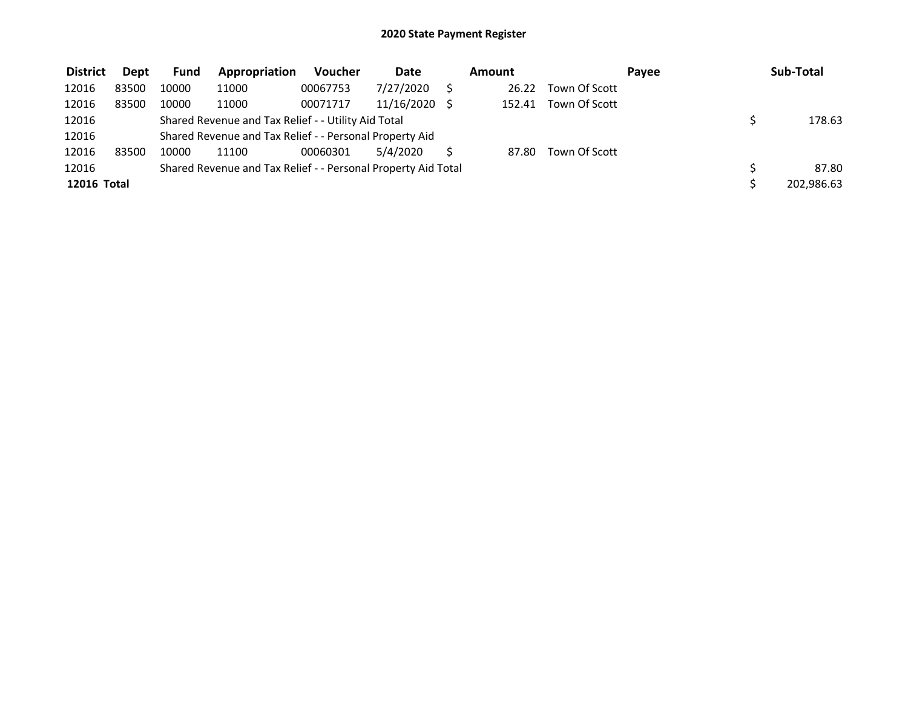| <b>District</b> | Dept  | <b>Fund</b> | Appropriation                                                 | <b>Voucher</b> | Date       | Amount |               | Payee | Sub-Total  |
|-----------------|-------|-------------|---------------------------------------------------------------|----------------|------------|--------|---------------|-------|------------|
| 12016           | 83500 | 10000       | 11000                                                         | 00067753       | 7/27/2020  | 26.22  | Town Of Scott |       |            |
| 12016           | 83500 | 10000       | 11000                                                         | 00071717       | 11/16/2020 | 152.41 | Town Of Scott |       |            |
| 12016           |       |             | Shared Revenue and Tax Relief - - Utility Aid Total           |                |            |        |               |       | 178.63     |
| 12016           |       |             | Shared Revenue and Tax Relief - - Personal Property Aid       |                |            |        |               |       |            |
| 12016           | 83500 | 10000       | 11100                                                         | 00060301       | 5/4/2020   | 87.80  | Town Of Scott |       |            |
| 12016           |       |             | Shared Revenue and Tax Relief - - Personal Property Aid Total |                |            |        |               |       | 87.80      |
| 12016 Total     |       |             |                                                               |                |            |        |               |       | 202,986.63 |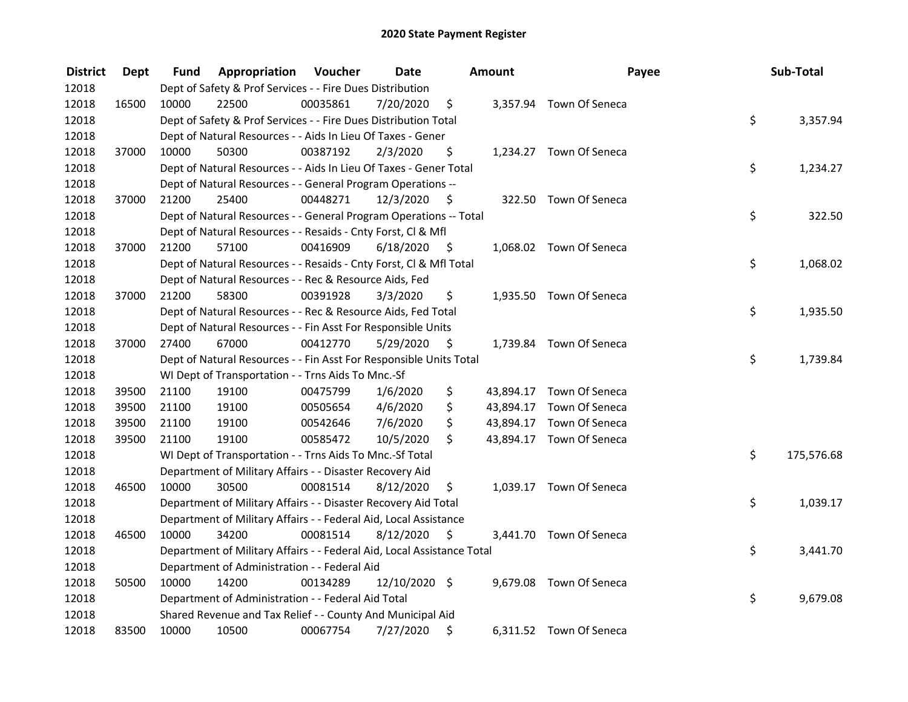| <b>District</b> | <b>Dept</b> | Fund  | Appropriation                                                          | Voucher  | <b>Date</b>   |      | <b>Amount</b> | Payee                    | Sub-Total        |
|-----------------|-------------|-------|------------------------------------------------------------------------|----------|---------------|------|---------------|--------------------------|------------------|
| 12018           |             |       | Dept of Safety & Prof Services - - Fire Dues Distribution              |          |               |      |               |                          |                  |
| 12018           | 16500       | 10000 | 22500                                                                  | 00035861 | 7/20/2020     | \$   |               | 3,357.94 Town Of Seneca  |                  |
| 12018           |             |       | Dept of Safety & Prof Services - - Fire Dues Distribution Total        |          |               |      |               |                          | \$<br>3,357.94   |
| 12018           |             |       | Dept of Natural Resources - - Aids In Lieu Of Taxes - Gener            |          |               |      |               |                          |                  |
| 12018           | 37000       | 10000 | 50300                                                                  | 00387192 | 2/3/2020      | \$   |               | 1,234.27 Town Of Seneca  |                  |
| 12018           |             |       | Dept of Natural Resources - - Aids In Lieu Of Taxes - Gener Total      |          |               |      |               |                          | \$<br>1,234.27   |
| 12018           |             |       | Dept of Natural Resources - - General Program Operations --            |          |               |      |               |                          |                  |
| 12018           | 37000       | 21200 | 25400                                                                  | 00448271 | 12/3/2020     | - \$ |               | 322.50 Town Of Seneca    |                  |
| 12018           |             |       | Dept of Natural Resources - - General Program Operations -- Total      |          |               |      |               |                          | \$<br>322.50     |
| 12018           |             |       | Dept of Natural Resources - - Resaids - Cnty Forst, Cl & Mfl           |          |               |      |               |                          |                  |
| 12018           | 37000       | 21200 | 57100                                                                  | 00416909 | 6/18/2020     | - \$ |               | 1,068.02 Town Of Seneca  |                  |
| 12018           |             |       | Dept of Natural Resources - - Resaids - Cnty Forst, Cl & Mfl Total     |          |               |      |               |                          | \$<br>1,068.02   |
| 12018           |             |       | Dept of Natural Resources - - Rec & Resource Aids, Fed                 |          |               |      |               |                          |                  |
| 12018           | 37000       | 21200 | 58300                                                                  | 00391928 | 3/3/2020      | \$   |               | 1,935.50 Town Of Seneca  |                  |
| 12018           |             |       | Dept of Natural Resources - - Rec & Resource Aids, Fed Total           |          |               |      |               |                          | \$<br>1,935.50   |
| 12018           |             |       | Dept of Natural Resources - - Fin Asst For Responsible Units           |          |               |      |               |                          |                  |
| 12018           | 37000       | 27400 | 67000                                                                  | 00412770 | 5/29/2020     | \$   |               | 1,739.84 Town Of Seneca  |                  |
| 12018           |             |       | Dept of Natural Resources - - Fin Asst For Responsible Units Total     |          |               |      |               |                          | \$<br>1,739.84   |
| 12018           |             |       | WI Dept of Transportation - - Trns Aids To Mnc.-Sf                     |          |               |      |               |                          |                  |
| 12018           | 39500       | 21100 | 19100                                                                  | 00475799 | 1/6/2020      | \$   |               | 43,894.17 Town Of Seneca |                  |
| 12018           | 39500       | 21100 | 19100                                                                  | 00505654 | 4/6/2020      | \$   |               | 43,894.17 Town Of Seneca |                  |
| 12018           | 39500       | 21100 | 19100                                                                  | 00542646 | 7/6/2020      | \$   |               | 43,894.17 Town Of Seneca |                  |
| 12018           | 39500       | 21100 | 19100                                                                  | 00585472 | 10/5/2020     | \$   |               | 43,894.17 Town Of Seneca |                  |
| 12018           |             |       | WI Dept of Transportation - - Trns Aids To Mnc.-Sf Total               |          |               |      |               |                          | \$<br>175,576.68 |
| 12018           |             |       | Department of Military Affairs - - Disaster Recovery Aid               |          |               |      |               |                          |                  |
| 12018           | 46500       | 10000 | 30500                                                                  | 00081514 | 8/12/2020     | \$   |               | 1,039.17 Town Of Seneca  |                  |
| 12018           |             |       | Department of Military Affairs - - Disaster Recovery Aid Total         |          |               |      |               |                          | \$<br>1,039.17   |
| 12018           |             |       | Department of Military Affairs - - Federal Aid, Local Assistance       |          |               |      |               |                          |                  |
| 12018           | 46500       | 10000 | 34200                                                                  | 00081514 | 8/12/2020     | \$   |               | 3,441.70 Town Of Seneca  |                  |
| 12018           |             |       | Department of Military Affairs - - Federal Aid, Local Assistance Total |          |               |      |               |                          | \$<br>3,441.70   |
| 12018           |             |       | Department of Administration - - Federal Aid                           |          |               |      |               |                          |                  |
| 12018           | 50500       | 10000 | 14200                                                                  | 00134289 | 12/10/2020 \$ |      |               | 9,679.08 Town Of Seneca  |                  |
| 12018           |             |       | Department of Administration - - Federal Aid Total                     |          |               |      |               |                          | \$<br>9,679.08   |
| 12018           |             |       | Shared Revenue and Tax Relief - - County And Municipal Aid             |          |               |      |               |                          |                  |
| 12018           | 83500       | 10000 | 10500                                                                  | 00067754 | 7/27/2020     | \$   |               | 6,311.52 Town Of Seneca  |                  |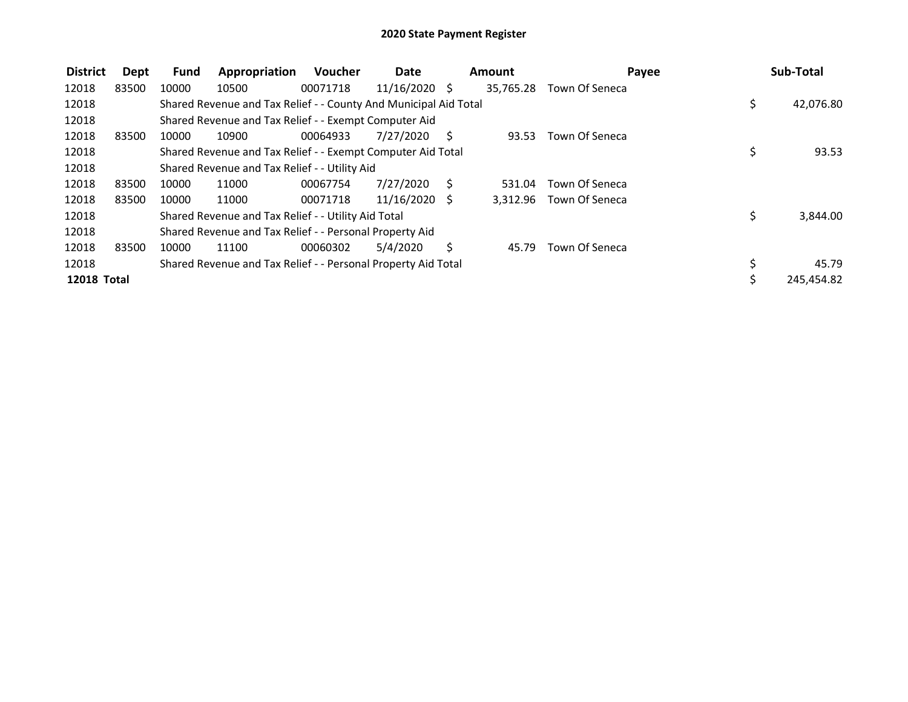| <b>District</b>    | Dept  | <b>Fund</b> | Appropriation                                                    | Voucher  | Date            |              | Amount    | Payee          | Sub-Total        |
|--------------------|-------|-------------|------------------------------------------------------------------|----------|-----------------|--------------|-----------|----------------|------------------|
| 12018              | 83500 | 10000       | 10500                                                            | 00071718 | $11/16/2020$ \$ |              | 35,765.28 | Town Of Seneca |                  |
| 12018              |       |             | Shared Revenue and Tax Relief - - County And Municipal Aid Total |          |                 |              |           |                | \$<br>42,076.80  |
| 12018              |       |             | Shared Revenue and Tax Relief - - Exempt Computer Aid            |          |                 |              |           |                |                  |
| 12018              | 83500 | 10000       | 10900                                                            | 00064933 | 7/27/2020       | - S          | 93.53     | Town Of Seneca |                  |
| 12018              |       |             | Shared Revenue and Tax Relief - - Exempt Computer Aid Total      |          |                 |              |           |                | \$<br>93.53      |
| 12018              |       |             | Shared Revenue and Tax Relief - - Utility Aid                    |          |                 |              |           |                |                  |
| 12018              | 83500 | 10000       | 11000                                                            | 00067754 | 7/27/2020       | <sub>S</sub> | 531.04    | Town Of Seneca |                  |
| 12018              | 83500 | 10000       | 11000                                                            | 00071718 | $11/16/2020$ \$ |              | 3.312.96  | Town Of Seneca |                  |
| 12018              |       |             | Shared Revenue and Tax Relief - - Utility Aid Total              |          |                 |              |           |                | \$<br>3,844.00   |
| 12018              |       |             | Shared Revenue and Tax Relief - - Personal Property Aid          |          |                 |              |           |                |                  |
| 12018              | 83500 | 10000       | 11100                                                            | 00060302 | 5/4/2020        | S.           | 45.79     | Town Of Seneca |                  |
| 12018              |       |             | Shared Revenue and Tax Relief - - Personal Property Aid Total    |          |                 |              |           |                | \$<br>45.79      |
| <b>12018 Total</b> |       |             |                                                                  |          |                 |              |           |                | \$<br>245,454.82 |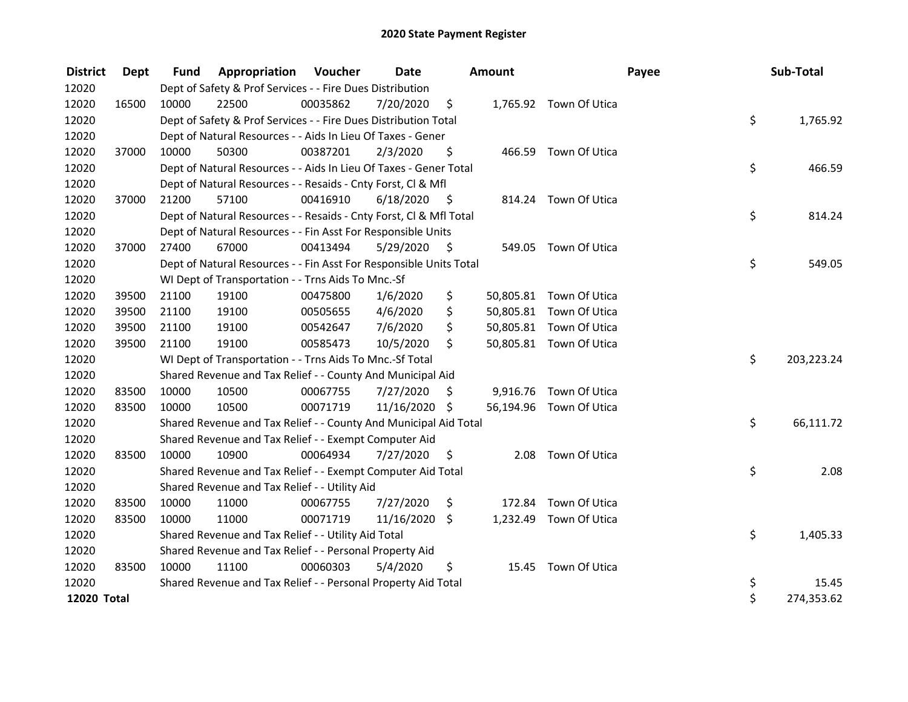| <b>District</b>    | Dept  | <b>Fund</b> | <b>Appropriation Voucher</b>                                       |          | <b>Date</b>   |      | <b>Amount</b> |                         | Payee | Sub-Total  |
|--------------------|-------|-------------|--------------------------------------------------------------------|----------|---------------|------|---------------|-------------------------|-------|------------|
| 12020              |       |             | Dept of Safety & Prof Services - - Fire Dues Distribution          |          |               |      |               |                         |       |            |
| 12020              | 16500 | 10000       | 22500                                                              | 00035862 | 7/20/2020     | \$   |               | 1,765.92 Town Of Utica  |       |            |
| 12020              |       |             | Dept of Safety & Prof Services - - Fire Dues Distribution Total    |          |               |      |               |                         | \$    | 1,765.92   |
| 12020              |       |             | Dept of Natural Resources - - Aids In Lieu Of Taxes - Gener        |          |               |      |               |                         |       |            |
| 12020              | 37000 | 10000       | 50300                                                              | 00387201 | 2/3/2020      | \$   |               | 466.59 Town Of Utica    |       |            |
| 12020              |       |             | Dept of Natural Resources - - Aids In Lieu Of Taxes - Gener Total  |          |               |      |               |                         | \$    | 466.59     |
| 12020              |       |             | Dept of Natural Resources - - Resaids - Cnty Forst, Cl & Mfl       |          |               |      |               |                         |       |            |
| 12020              | 37000 | 21200       | 57100                                                              | 00416910 | 6/18/2020     | - \$ |               | 814.24 Town Of Utica    |       |            |
| 12020              |       |             | Dept of Natural Resources - - Resaids - Cnty Forst, Cl & Mfl Total |          |               |      |               |                         | \$    | 814.24     |
| 12020              |       |             | Dept of Natural Resources - - Fin Asst For Responsible Units       |          |               |      |               |                         |       |            |
| 12020              | 37000 | 27400       | 67000                                                              | 00413494 | 5/29/2020     | - \$ |               | 549.05 Town Of Utica    |       |            |
| 12020              |       |             | Dept of Natural Resources - - Fin Asst For Responsible Units Total |          |               |      |               |                         | \$    | 549.05     |
| 12020              |       |             | WI Dept of Transportation - - Trns Aids To Mnc.-Sf                 |          |               |      |               |                         |       |            |
| 12020              | 39500 | 21100       | 19100                                                              | 00475800 | 1/6/2020      | \$   |               | 50,805.81 Town Of Utica |       |            |
| 12020              | 39500 | 21100       | 19100                                                              | 00505655 | 4/6/2020      | \$   |               | 50,805.81 Town Of Utica |       |            |
| 12020              | 39500 | 21100       | 19100                                                              | 00542647 | 7/6/2020      | \$   |               | 50,805.81 Town Of Utica |       |            |
| 12020              | 39500 | 21100       | 19100                                                              | 00585473 | 10/5/2020     | \$   |               | 50,805.81 Town Of Utica |       |            |
| 12020              |       |             | WI Dept of Transportation - - Trns Aids To Mnc.-Sf Total           |          |               |      |               |                         | \$    | 203,223.24 |
| 12020              |       |             | Shared Revenue and Tax Relief - - County And Municipal Aid         |          |               |      |               |                         |       |            |
| 12020              | 83500 | 10000       | 10500                                                              | 00067755 | 7/27/2020     | S    |               | 9,916.76 Town Of Utica  |       |            |
| 12020              | 83500 | 10000       | 10500                                                              | 00071719 | 11/16/2020 \$ |      |               | 56,194.96 Town Of Utica |       |            |
| 12020              |       |             | Shared Revenue and Tax Relief - - County And Municipal Aid Total   |          |               |      |               |                         | \$    | 66,111.72  |
| 12020              |       |             | Shared Revenue and Tax Relief - - Exempt Computer Aid              |          |               |      |               |                         |       |            |
| 12020              | 83500 | 10000       | 10900                                                              | 00064934 | 7/27/2020     | \$   | 2.08          | Town Of Utica           |       |            |
| 12020              |       |             | Shared Revenue and Tax Relief - - Exempt Computer Aid Total        |          |               |      |               |                         | \$    | 2.08       |
| 12020              |       |             | Shared Revenue and Tax Relief - - Utility Aid                      |          |               |      |               |                         |       |            |
| 12020              | 83500 | 10000       | 11000                                                              | 00067755 | 7/27/2020     | \$   | 172.84        | Town Of Utica           |       |            |
| 12020              | 83500 | 10000       | 11000                                                              | 00071719 | 11/16/2020    | \$   |               | 1,232.49 Town Of Utica  |       |            |
| 12020              |       |             | Shared Revenue and Tax Relief - - Utility Aid Total                |          |               |      |               |                         | \$    | 1,405.33   |
| 12020              |       |             | Shared Revenue and Tax Relief - - Personal Property Aid            |          |               |      |               |                         |       |            |
| 12020              | 83500 | 10000       | 11100                                                              | 00060303 | 5/4/2020      | \$   | 15.45         | Town Of Utica           |       |            |
| 12020              |       |             | Shared Revenue and Tax Relief - - Personal Property Aid Total      |          |               |      |               |                         | \$    | 15.45      |
| <b>12020 Total</b> |       |             |                                                                    |          |               |      |               |                         | \$    | 274,353.62 |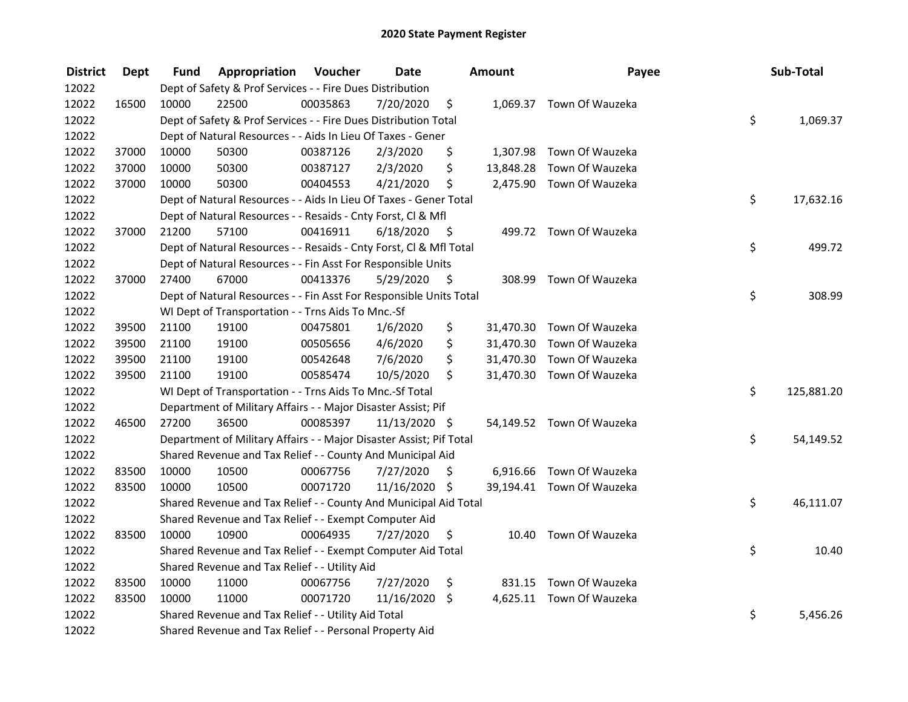| <b>District</b> | <b>Dept</b> | Fund  | Appropriation                                                       | Voucher  | <b>Date</b>   |      | Amount    | Payee                     | Sub-Total        |
|-----------------|-------------|-------|---------------------------------------------------------------------|----------|---------------|------|-----------|---------------------------|------------------|
| 12022           |             |       | Dept of Safety & Prof Services - - Fire Dues Distribution           |          |               |      |           |                           |                  |
| 12022           | 16500       | 10000 | 22500                                                               | 00035863 | 7/20/2020     | \$   |           | 1,069.37 Town Of Wauzeka  |                  |
| 12022           |             |       | Dept of Safety & Prof Services - - Fire Dues Distribution Total     |          |               |      |           |                           | \$<br>1,069.37   |
| 12022           |             |       | Dept of Natural Resources - - Aids In Lieu Of Taxes - Gener         |          |               |      |           |                           |                  |
| 12022           | 37000       | 10000 | 50300                                                               | 00387126 | 2/3/2020      | \$   |           | 1,307.98 Town Of Wauzeka  |                  |
| 12022           | 37000       | 10000 | 50300                                                               | 00387127 | 2/3/2020      | \$   |           | 13,848.28 Town Of Wauzeka |                  |
| 12022           | 37000       | 10000 | 50300                                                               | 00404553 | 4/21/2020     | \$   |           | 2,475.90 Town Of Wauzeka  |                  |
| 12022           |             |       | Dept of Natural Resources - - Aids In Lieu Of Taxes - Gener Total   |          |               |      |           |                           | \$<br>17,632.16  |
| 12022           |             |       | Dept of Natural Resources - - Resaids - Cnty Forst, Cl & Mfl        |          |               |      |           |                           |                  |
| 12022           | 37000       | 21200 | 57100                                                               | 00416911 | 6/18/2020     | - \$ |           | 499.72 Town Of Wauzeka    |                  |
| 12022           |             |       | Dept of Natural Resources - - Resaids - Cnty Forst, Cl & Mfl Total  |          |               |      |           |                           | \$<br>499.72     |
| 12022           |             |       | Dept of Natural Resources - - Fin Asst For Responsible Units        |          |               |      |           |                           |                  |
| 12022           | 37000       | 27400 | 67000                                                               | 00413376 | 5/29/2020     | -\$  |           | 308.99 Town Of Wauzeka    |                  |
| 12022           |             |       | Dept of Natural Resources - - Fin Asst For Responsible Units Total  |          |               |      |           |                           | \$<br>308.99     |
| 12022           |             |       | WI Dept of Transportation - - Trns Aids To Mnc.-Sf                  |          |               |      |           |                           |                  |
| 12022           | 39500       | 21100 | 19100                                                               | 00475801 | 1/6/2020      | \$   | 31,470.30 | Town Of Wauzeka           |                  |
| 12022           | 39500       | 21100 | 19100                                                               | 00505656 | 4/6/2020      | \$   | 31,470.30 | Town Of Wauzeka           |                  |
| 12022           | 39500       | 21100 | 19100                                                               | 00542648 | 7/6/2020      | \$   | 31,470.30 | Town Of Wauzeka           |                  |
| 12022           | 39500       | 21100 | 19100                                                               | 00585474 | 10/5/2020     | \$   |           | 31,470.30 Town Of Wauzeka |                  |
| 12022           |             |       | WI Dept of Transportation - - Trns Aids To Mnc.-Sf Total            |          |               |      |           |                           | \$<br>125,881.20 |
| 12022           |             |       | Department of Military Affairs - - Major Disaster Assist; Pif       |          |               |      |           |                           |                  |
| 12022           | 46500       | 27200 | 36500                                                               | 00085397 | 11/13/2020 \$ |      |           | 54,149.52 Town Of Wauzeka |                  |
| 12022           |             |       | Department of Military Affairs - - Major Disaster Assist; Pif Total |          |               |      |           |                           | \$<br>54,149.52  |
| 12022           |             |       | Shared Revenue and Tax Relief - - County And Municipal Aid          |          |               |      |           |                           |                  |
| 12022           | 83500       | 10000 | 10500                                                               | 00067756 | 7/27/2020     | S    |           | 6,916.66 Town Of Wauzeka  |                  |
| 12022           | 83500       | 10000 | 10500                                                               | 00071720 | 11/16/2020 \$ |      |           | 39,194.41 Town Of Wauzeka |                  |
| 12022           |             |       | Shared Revenue and Tax Relief - - County And Municipal Aid Total    |          |               |      |           |                           | \$<br>46,111.07  |
| 12022           |             |       | Shared Revenue and Tax Relief - - Exempt Computer Aid               |          |               |      |           |                           |                  |
| 12022           | 83500       | 10000 | 10900                                                               | 00064935 | 7/27/2020     | \$   | 10.40     | Town Of Wauzeka           |                  |
| 12022           |             |       | Shared Revenue and Tax Relief - - Exempt Computer Aid Total         |          |               |      |           |                           | \$<br>10.40      |
| 12022           |             |       | Shared Revenue and Tax Relief - - Utility Aid                       |          |               |      |           |                           |                  |
| 12022           | 83500       | 10000 | 11000                                                               | 00067756 | 7/27/2020     | \$   |           | 831.15 Town Of Wauzeka    |                  |
| 12022           | 83500       | 10000 | 11000                                                               | 00071720 | 11/16/2020    | \$   |           | 4,625.11 Town Of Wauzeka  |                  |
| 12022           |             |       | Shared Revenue and Tax Relief - - Utility Aid Total                 |          |               |      |           |                           | \$<br>5,456.26   |
| 12022           |             |       | Shared Revenue and Tax Relief - - Personal Property Aid             |          |               |      |           |                           |                  |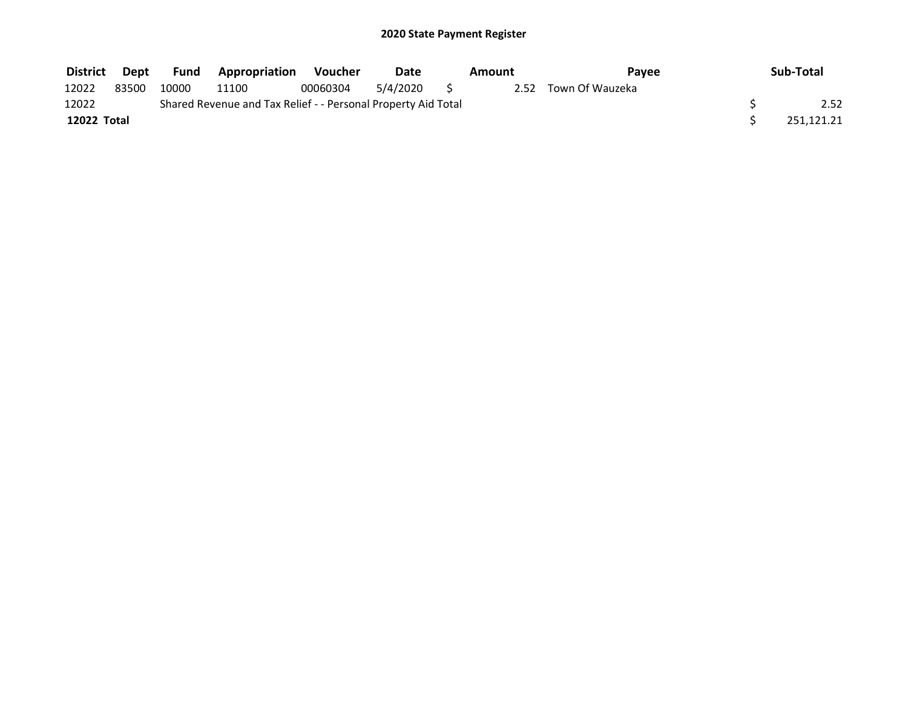| <b>District</b> | Dept  | Fund  | <b>Appropriation</b>                                          | Voucher  | Date     | Amount | Pavee                | Sub-Total  |
|-----------------|-------|-------|---------------------------------------------------------------|----------|----------|--------|----------------------|------------|
| 12022           | 83500 | 10000 | 11100                                                         | 00060304 | 5/4/2020 |        | 2.52 Town Of Wauzeka |            |
| 12022           |       |       | Shared Revenue and Tax Relief - - Personal Property Aid Total |          |          |        |                      | 2.52       |
| 12022 Total     |       |       |                                                               |          |          |        |                      | 251.121.21 |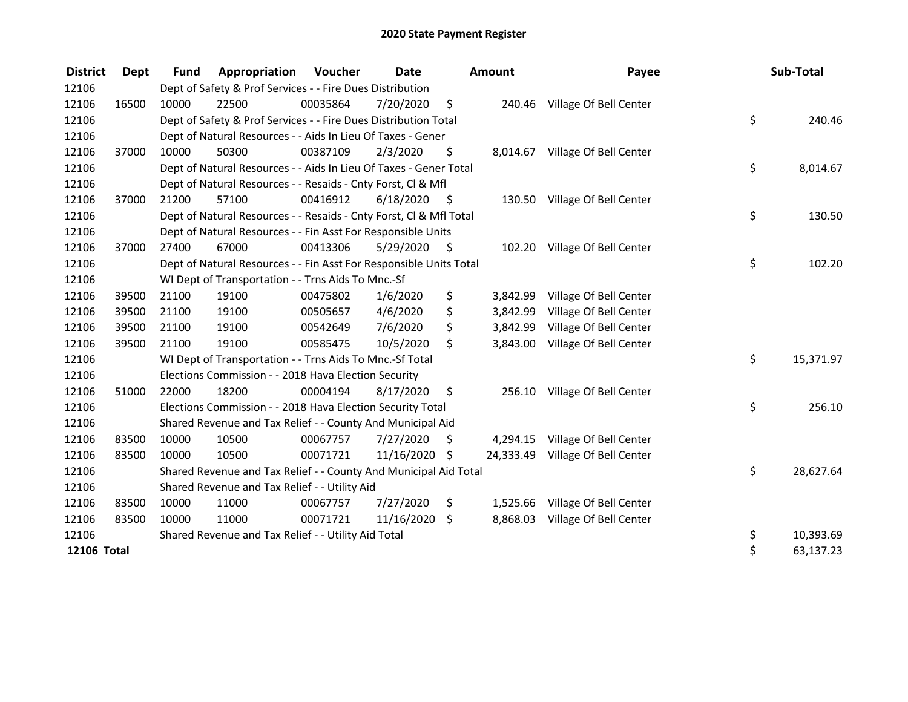| <b>District</b>    | <b>Dept</b> | <b>Fund</b> | Appropriation                                                      | <b>Voucher</b> | Date          |      | <b>Amount</b> | Payee                            | Sub-Total       |
|--------------------|-------------|-------------|--------------------------------------------------------------------|----------------|---------------|------|---------------|----------------------------------|-----------------|
| 12106              |             |             | Dept of Safety & Prof Services - - Fire Dues Distribution          |                |               |      |               |                                  |                 |
| 12106              | 16500       | 10000       | 22500                                                              | 00035864       | 7/20/2020     | \$   |               | 240.46 Village Of Bell Center    |                 |
| 12106              |             |             | Dept of Safety & Prof Services - - Fire Dues Distribution Total    |                |               |      |               |                                  | \$<br>240.46    |
| 12106              |             |             | Dept of Natural Resources - - Aids In Lieu Of Taxes - Gener        |                |               |      |               |                                  |                 |
| 12106              | 37000       | 10000       | 50300                                                              | 00387109       | 2/3/2020      | \$   |               | 8,014.67 Village Of Bell Center  |                 |
| 12106              |             |             | Dept of Natural Resources - - Aids In Lieu Of Taxes - Gener Total  |                |               |      |               |                                  | \$<br>8,014.67  |
| 12106              |             |             | Dept of Natural Resources - - Resaids - Cnty Forst, CI & Mfl       |                |               |      |               |                                  |                 |
| 12106              | 37000       | 21200       | 57100                                                              | 00416912       | 6/18/2020     | - \$ |               | 130.50 Village Of Bell Center    |                 |
| 12106              |             |             | Dept of Natural Resources - - Resaids - Cnty Forst, Cl & Mfl Total |                |               |      |               |                                  | \$<br>130.50    |
| 12106              |             |             | Dept of Natural Resources - - Fin Asst For Responsible Units       |                |               |      |               |                                  |                 |
| 12106              | 37000       | 27400       | 67000                                                              | 00413306       | 5/29/2020     | - \$ |               | 102.20 Village Of Bell Center    |                 |
| 12106              |             |             | Dept of Natural Resources - - Fin Asst For Responsible Units Total |                |               |      |               |                                  | \$<br>102.20    |
| 12106              |             |             | WI Dept of Transportation - - Trns Aids To Mnc.-Sf                 |                |               |      |               |                                  |                 |
| 12106              | 39500       | 21100       | 19100                                                              | 00475802       | 1/6/2020      | \$   | 3,842.99      | Village Of Bell Center           |                 |
| 12106              | 39500       | 21100       | 19100                                                              | 00505657       | 4/6/2020      | \$   | 3,842.99      | Village Of Bell Center           |                 |
| 12106              | 39500       | 21100       | 19100                                                              | 00542649       | 7/6/2020      | \$   | 3,842.99      | Village Of Bell Center           |                 |
| 12106              | 39500       | 21100       | 19100                                                              | 00585475       | 10/5/2020     | Ŝ.   | 3,843.00      | Village Of Bell Center           |                 |
| 12106              |             |             | WI Dept of Transportation - - Trns Aids To Mnc.-Sf Total           |                |               |      |               |                                  | \$<br>15,371.97 |
| 12106              |             |             | Elections Commission - - 2018 Hava Election Security               |                |               |      |               |                                  |                 |
| 12106              | 51000       | 22000       | 18200                                                              | 00004194       | 8/17/2020     | \$   |               | 256.10 Village Of Bell Center    |                 |
| 12106              |             |             | Elections Commission - - 2018 Hava Election Security Total         |                |               |      |               |                                  | \$<br>256.10    |
| 12106              |             |             | Shared Revenue and Tax Relief - - County And Municipal Aid         |                |               |      |               |                                  |                 |
| 12106              | 83500       | 10000       | 10500                                                              | 00067757       | 7/27/2020     | \$   |               | 4,294.15 Village Of Bell Center  |                 |
| 12106              | 83500       | 10000       | 10500                                                              | 00071721       | 11/16/2020 \$ |      |               | 24,333.49 Village Of Bell Center |                 |
| 12106              |             |             | Shared Revenue and Tax Relief - - County And Municipal Aid Total   |                |               |      |               |                                  | \$<br>28,627.64 |
| 12106              |             |             | Shared Revenue and Tax Relief - - Utility Aid                      |                |               |      |               |                                  |                 |
| 12106              | 83500       | 10000       | 11000                                                              | 00067757       | 7/27/2020     | \$   |               | 1,525.66 Village Of Bell Center  |                 |
| 12106              | 83500       | 10000       | 11000                                                              | 00071721       | 11/16/2020    | S.   | 8,868.03      | Village Of Bell Center           |                 |
| 12106              |             |             | Shared Revenue and Tax Relief - - Utility Aid Total                |                |               |      |               |                                  | \$<br>10,393.69 |
| <b>12106 Total</b> |             |             |                                                                    |                |               |      |               |                                  | \$<br>63,137.23 |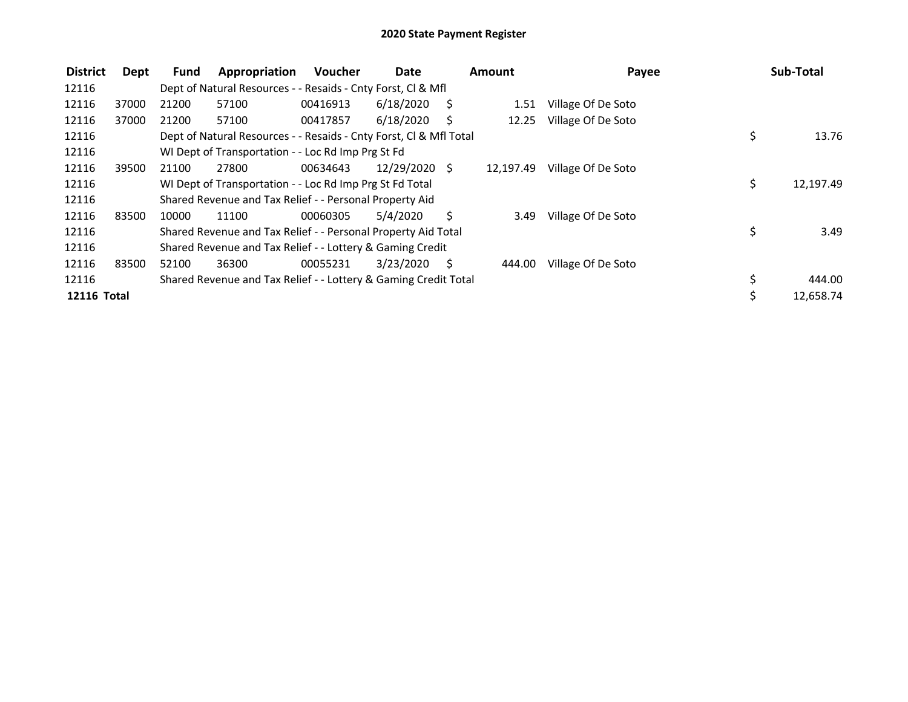| <b>District</b>    | Dept  | <b>Fund</b> | Appropriation                                                      | <b>Voucher</b> | Date          |     | <b>Amount</b> | Payee              | Sub-Total       |
|--------------------|-------|-------------|--------------------------------------------------------------------|----------------|---------------|-----|---------------|--------------------|-----------------|
| 12116              |       |             | Dept of Natural Resources - - Resaids - Cnty Forst, CI & Mfl       |                |               |     |               |                    |                 |
| 12116              | 37000 | 21200       | 57100                                                              | 00416913       | 6/18/2020     | - S | 1.51          | Village Of De Soto |                 |
| 12116              | 37000 | 21200       | 57100                                                              | 00417857       | 6/18/2020     | -S  | 12.25         | Village Of De Soto |                 |
| 12116              |       |             | Dept of Natural Resources - - Resaids - Cnty Forst, Cl & Mfl Total |                |               |     |               |                    | \$<br>13.76     |
| 12116              |       |             | WI Dept of Transportation - - Loc Rd Imp Prg St Fd                 |                |               |     |               |                    |                 |
| 12116              | 39500 | 21100       | 27800                                                              | 00634643       | 12/29/2020 \$ |     | 12,197.49     | Village Of De Soto |                 |
| 12116              |       |             | WI Dept of Transportation - - Loc Rd Imp Prg St Fd Total           |                |               |     |               |                    | \$<br>12,197.49 |
| 12116              |       |             | Shared Revenue and Tax Relief - - Personal Property Aid            |                |               |     |               |                    |                 |
| 12116              | 83500 | 10000       | 11100                                                              | 00060305       | 5/4/2020      | Ś.  | 3.49          | Village Of De Soto |                 |
| 12116              |       |             | Shared Revenue and Tax Relief - - Personal Property Aid Total      |                |               |     |               |                    | \$<br>3.49      |
| 12116              |       |             | Shared Revenue and Tax Relief - - Lottery & Gaming Credit          |                |               |     |               |                    |                 |
| 12116              | 83500 | 52100       | 36300                                                              | 00055231       | 3/23/2020     | - S | 444.00        | Village Of De Soto |                 |
| 12116              |       |             | Shared Revenue and Tax Relief - - Lottery & Gaming Credit Total    |                |               |     |               |                    | \$<br>444.00    |
| <b>12116 Total</b> |       |             |                                                                    |                |               |     |               |                    | \$<br>12,658.74 |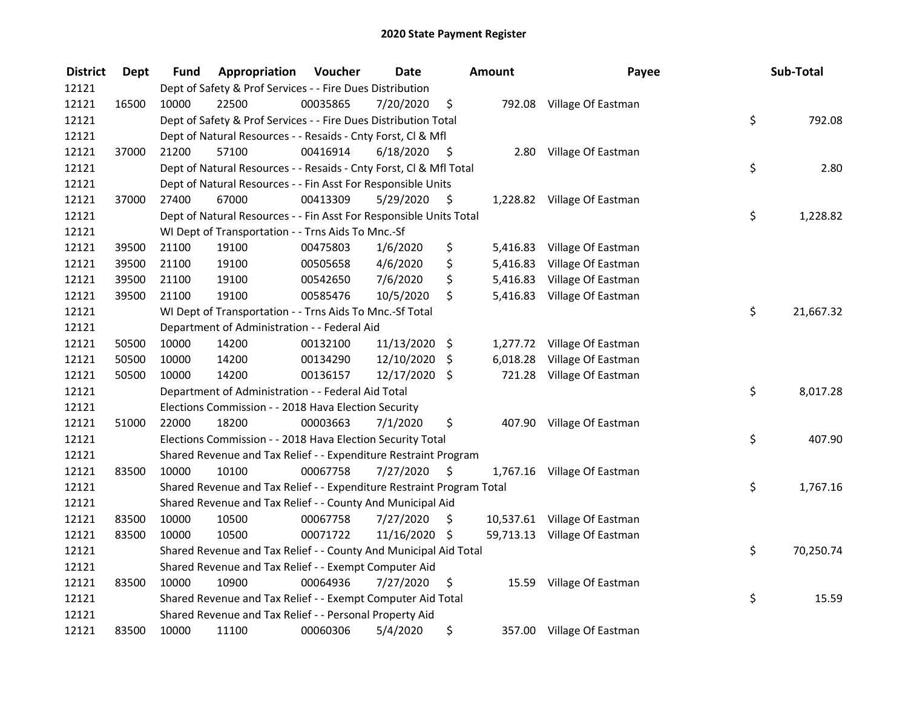| <b>District</b> | <b>Dept</b> | Fund  | Appropriation                                                         | Voucher  | <b>Date</b>   |      | <b>Amount</b> | Payee                        | Sub-Total       |
|-----------------|-------------|-------|-----------------------------------------------------------------------|----------|---------------|------|---------------|------------------------------|-----------------|
| 12121           |             |       | Dept of Safety & Prof Services - - Fire Dues Distribution             |          |               |      |               |                              |                 |
| 12121           | 16500       | 10000 | 22500                                                                 | 00035865 | 7/20/2020     | \$   |               | 792.08 Village Of Eastman    |                 |
| 12121           |             |       | Dept of Safety & Prof Services - - Fire Dues Distribution Total       |          |               |      |               |                              | \$<br>792.08    |
| 12121           |             |       | Dept of Natural Resources - - Resaids - Cnty Forst, Cl & Mfl          |          |               |      |               |                              |                 |
| 12121           | 37000       | 21200 | 57100                                                                 | 00416914 | 6/18/2020     | - \$ | 2.80          | Village Of Eastman           |                 |
| 12121           |             |       | Dept of Natural Resources - - Resaids - Cnty Forst, Cl & Mfl Total    |          |               |      |               |                              | \$<br>2.80      |
| 12121           |             |       | Dept of Natural Resources - - Fin Asst For Responsible Units          |          |               |      |               |                              |                 |
| 12121           | 37000       | 27400 | 67000                                                                 | 00413309 | 5/29/2020     | - \$ |               | 1,228.82 Village Of Eastman  |                 |
| 12121           |             |       | Dept of Natural Resources - - Fin Asst For Responsible Units Total    |          |               |      |               |                              | \$<br>1,228.82  |
| 12121           |             |       | WI Dept of Transportation - - Trns Aids To Mnc.-Sf                    |          |               |      |               |                              |                 |
| 12121           | 39500       | 21100 | 19100                                                                 | 00475803 | 1/6/2020      | \$   |               | 5,416.83 Village Of Eastman  |                 |
| 12121           | 39500       | 21100 | 19100                                                                 | 00505658 | 4/6/2020      | \$   |               | 5,416.83 Village Of Eastman  |                 |
| 12121           | 39500       | 21100 | 19100                                                                 | 00542650 | 7/6/2020      | \$   |               | 5,416.83 Village Of Eastman  |                 |
| 12121           | 39500       | 21100 | 19100                                                                 | 00585476 | 10/5/2020     | \$   |               | 5,416.83 Village Of Eastman  |                 |
| 12121           |             |       | WI Dept of Transportation - - Trns Aids To Mnc.-Sf Total              |          |               |      |               |                              | \$<br>21,667.32 |
| 12121           |             |       | Department of Administration - - Federal Aid                          |          |               |      |               |                              |                 |
| 12121           | 50500       | 10000 | 14200                                                                 | 00132100 | 11/13/2020 \$ |      | 1,277.72      | Village Of Eastman           |                 |
| 12121           | 50500       | 10000 | 14200                                                                 | 00134290 | 12/10/2020    | \$   | 6,018.28      | Village Of Eastman           |                 |
| 12121           | 50500       | 10000 | 14200                                                                 | 00136157 | 12/17/2020 \$ |      |               | 721.28 Village Of Eastman    |                 |
| 12121           |             |       | Department of Administration - - Federal Aid Total                    |          |               |      |               |                              | \$<br>8,017.28  |
| 12121           |             |       | Elections Commission - - 2018 Hava Election Security                  |          |               |      |               |                              |                 |
| 12121           | 51000       | 22000 | 18200                                                                 | 00003663 | 7/1/2020      | \$.  |               | 407.90 Village Of Eastman    |                 |
| 12121           |             |       | Elections Commission - - 2018 Hava Election Security Total            |          |               |      |               |                              | \$<br>407.90    |
| 12121           |             |       | Shared Revenue and Tax Relief - - Expenditure Restraint Program       |          |               |      |               |                              |                 |
| 12121           | 83500       | 10000 | 10100                                                                 | 00067758 | 7/27/2020     | S    |               | 1,767.16 Village Of Eastman  |                 |
| 12121           |             |       | Shared Revenue and Tax Relief - - Expenditure Restraint Program Total |          |               |      |               |                              | \$<br>1,767.16  |
| 12121           |             |       | Shared Revenue and Tax Relief - - County And Municipal Aid            |          |               |      |               |                              |                 |
| 12121           | 83500       | 10000 | 10500                                                                 | 00067758 | 7/27/2020     | \$   |               | 10,537.61 Village Of Eastman |                 |
| 12121           | 83500       | 10000 | 10500                                                                 | 00071722 | 11/16/2020 \$ |      |               | 59,713.13 Village Of Eastman |                 |
| 12121           |             |       | Shared Revenue and Tax Relief - - County And Municipal Aid Total      |          |               |      |               |                              | \$<br>70,250.74 |
| 12121           |             |       | Shared Revenue and Tax Relief - - Exempt Computer Aid                 |          |               |      |               |                              |                 |
| 12121           | 83500       | 10000 | 10900                                                                 | 00064936 | 7/27/2020     | \$   |               | 15.59 Village Of Eastman     |                 |
| 12121           |             |       | Shared Revenue and Tax Relief - - Exempt Computer Aid Total           |          |               |      |               |                              | \$<br>15.59     |
| 12121           |             |       | Shared Revenue and Tax Relief - - Personal Property Aid               |          |               |      |               |                              |                 |
| 12121           | 83500       | 10000 | 11100                                                                 | 00060306 | 5/4/2020      | \$   |               | 357.00 Village Of Eastman    |                 |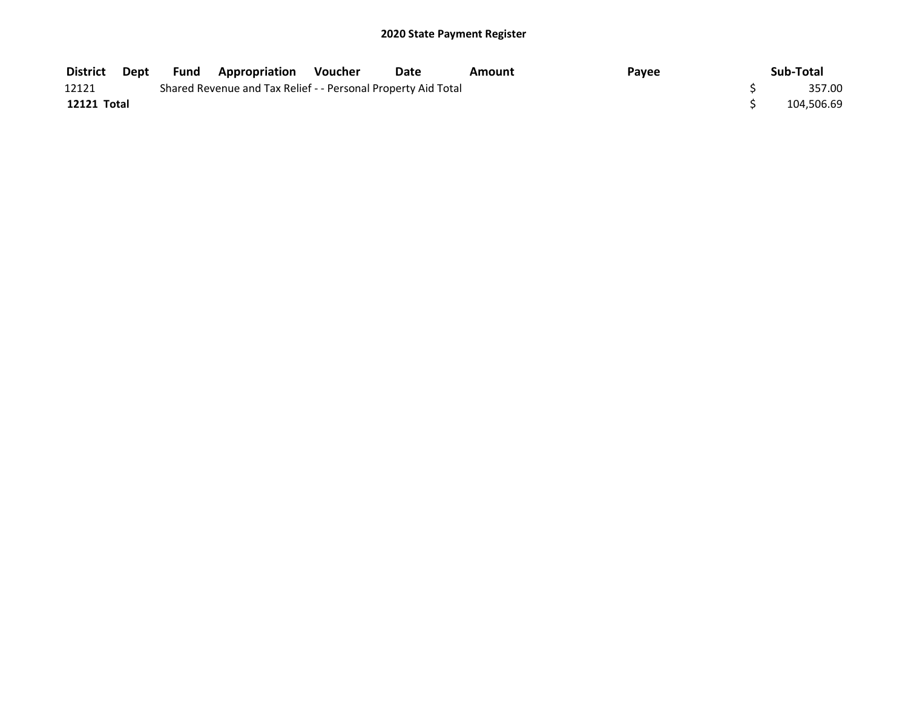| <b>District</b> | Dept | <b>Fund Appropriation</b>                                     | Voucher | <b>Date</b> | Amount | Payee | Sub-Total  |
|-----------------|------|---------------------------------------------------------------|---------|-------------|--------|-------|------------|
| 12121           |      | Shared Revenue and Tax Relief - - Personal Property Aid Total |         |             |        |       | 357.00     |
| 12121 Total     |      |                                                               |         |             |        |       | 104,506.69 |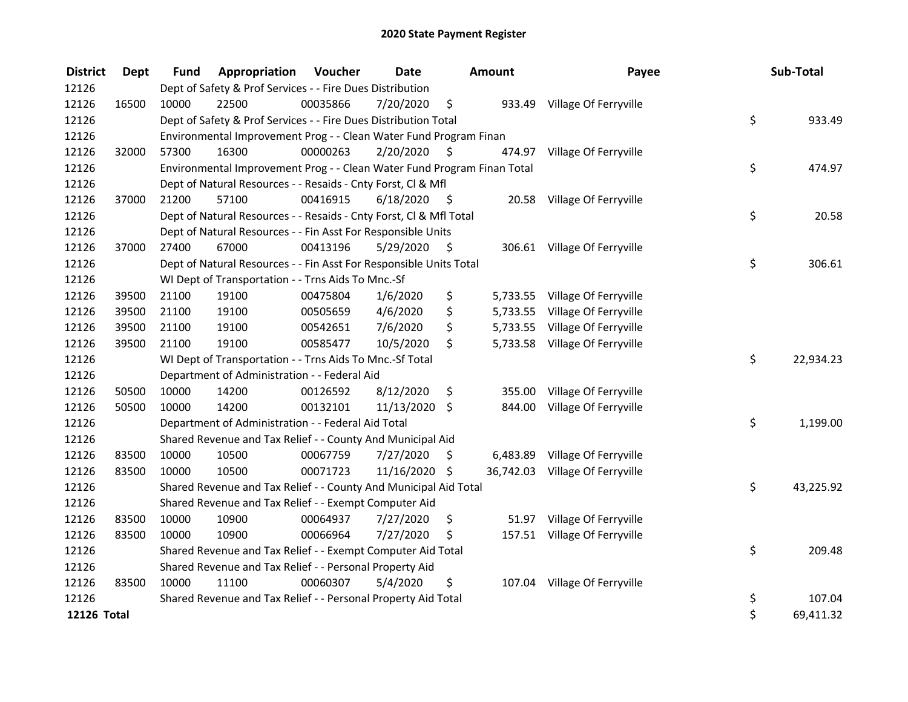| <b>District</b>    | <b>Dept</b> | <b>Fund</b> | Appropriation                                                           | Voucher  | <b>Date</b>   |      | Amount   | Payee                           | Sub-Total       |
|--------------------|-------------|-------------|-------------------------------------------------------------------------|----------|---------------|------|----------|---------------------------------|-----------------|
| 12126              |             |             | Dept of Safety & Prof Services - - Fire Dues Distribution               |          |               |      |          |                                 |                 |
| 12126              | 16500       | 10000       | 22500                                                                   | 00035866 | 7/20/2020     | \$   |          | 933.49 Village Of Ferryville    |                 |
| 12126              |             |             | Dept of Safety & Prof Services - - Fire Dues Distribution Total         |          |               |      |          |                                 | \$<br>933.49    |
| 12126              |             |             | Environmental Improvement Prog - - Clean Water Fund Program Finan       |          |               |      |          |                                 |                 |
| 12126              | 32000       | 57300       | 16300                                                                   | 00000263 | 2/20/2020     | \$   |          | 474.97 Village Of Ferryville    |                 |
| 12126              |             |             | Environmental Improvement Prog - - Clean Water Fund Program Finan Total |          |               |      |          |                                 | \$<br>474.97    |
| 12126              |             |             | Dept of Natural Resources - - Resaids - Cnty Forst, Cl & Mfl            |          |               |      |          |                                 |                 |
| 12126              | 37000       | 21200       | 57100                                                                   | 00416915 | 6/18/2020     | - \$ |          | 20.58 Village Of Ferryville     |                 |
| 12126              |             |             | Dept of Natural Resources - - Resaids - Cnty Forst, Cl & Mfl Total      |          |               |      |          |                                 | \$<br>20.58     |
| 12126              |             |             | Dept of Natural Resources - - Fin Asst For Responsible Units            |          |               |      |          |                                 |                 |
| 12126              | 37000       | 27400       | 67000                                                                   | 00413196 | 5/29/2020     | - \$ |          | 306.61 Village Of Ferryville    |                 |
| 12126              |             |             | Dept of Natural Resources - - Fin Asst For Responsible Units Total      |          |               |      |          |                                 | \$<br>306.61    |
| 12126              |             |             | WI Dept of Transportation - - Trns Aids To Mnc.-Sf                      |          |               |      |          |                                 |                 |
| 12126              | 39500       | 21100       | 19100                                                                   | 00475804 | 1/6/2020      | \$   |          | 5,733.55 Village Of Ferryville  |                 |
| 12126              | 39500       | 21100       | 19100                                                                   | 00505659 | 4/6/2020      | \$   | 5,733.55 | Village Of Ferryville           |                 |
| 12126              | 39500       | 21100       | 19100                                                                   | 00542651 | 7/6/2020      | \$   | 5,733.55 | Village Of Ferryville           |                 |
| 12126              | 39500       | 21100       | 19100                                                                   | 00585477 | 10/5/2020     | \$   |          | 5,733.58 Village Of Ferryville  |                 |
| 12126              |             |             | WI Dept of Transportation - - Trns Aids To Mnc.-Sf Total                |          |               |      |          |                                 | \$<br>22,934.23 |
| 12126              |             |             | Department of Administration - - Federal Aid                            |          |               |      |          |                                 |                 |
| 12126              | 50500       | 10000       | 14200                                                                   | 00126592 | 8/12/2020     | \$   | 355.00   | Village Of Ferryville           |                 |
| 12126              | 50500       | 10000       | 14200                                                                   | 00132101 | 11/13/2020    | \$   | 844.00   | Village Of Ferryville           |                 |
| 12126              |             |             | Department of Administration - - Federal Aid Total                      |          |               |      |          |                                 | \$<br>1,199.00  |
| 12126              |             |             | Shared Revenue and Tax Relief - - County And Municipal Aid              |          |               |      |          |                                 |                 |
| 12126              | 83500       | 10000       | 10500                                                                   | 00067759 | 7/27/2020     | \$   | 6,483.89 | Village Of Ferryville           |                 |
| 12126              | 83500       | 10000       | 10500                                                                   | 00071723 | 11/16/2020 \$ |      |          | 36,742.03 Village Of Ferryville |                 |
| 12126              |             |             | Shared Revenue and Tax Relief - - County And Municipal Aid Total        |          |               |      |          |                                 | \$<br>43,225.92 |
| 12126              |             |             | Shared Revenue and Tax Relief - - Exempt Computer Aid                   |          |               |      |          |                                 |                 |
| 12126              | 83500       | 10000       | 10900                                                                   | 00064937 | 7/27/2020     | \$   | 51.97    | Village Of Ferryville           |                 |
| 12126              | 83500       | 10000       | 10900                                                                   | 00066964 | 7/27/2020     | \$   |          | 157.51 Village Of Ferryville    |                 |
| 12126              |             |             | Shared Revenue and Tax Relief - - Exempt Computer Aid Total             |          |               |      |          |                                 | \$<br>209.48    |
| 12126              |             |             | Shared Revenue and Tax Relief - - Personal Property Aid                 |          |               |      |          |                                 |                 |
| 12126              | 83500       | 10000       | 11100                                                                   | 00060307 | 5/4/2020      | \$   | 107.04   | Village Of Ferryville           |                 |
| 12126              |             |             | Shared Revenue and Tax Relief - - Personal Property Aid Total           |          |               |      |          |                                 | \$<br>107.04    |
| <b>12126 Total</b> |             |             |                                                                         |          |               |      |          |                                 | \$<br>69,411.32 |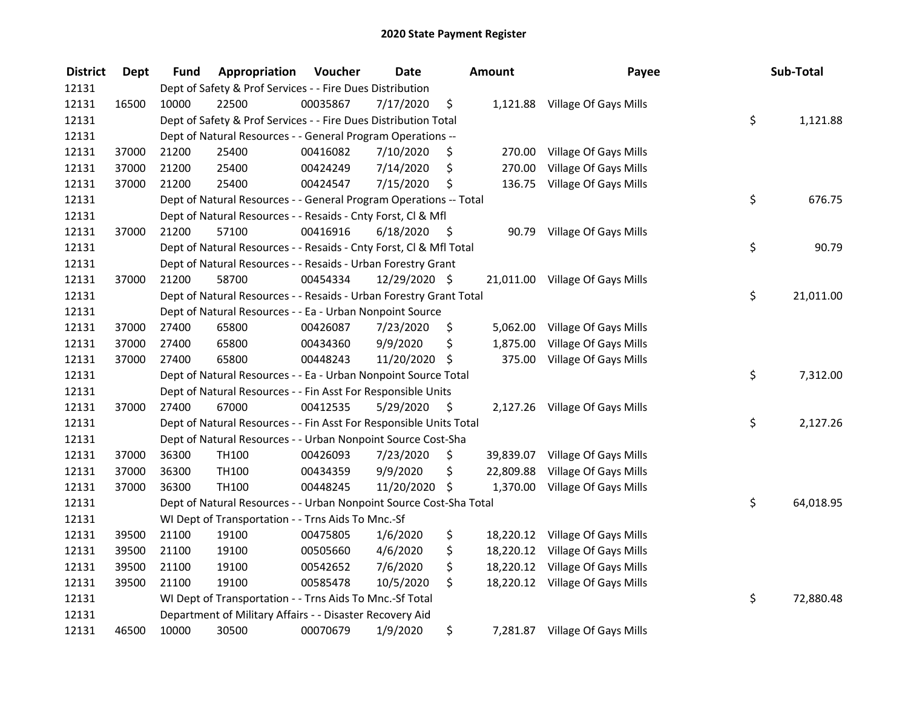| <b>District</b> | <b>Dept</b> | <b>Fund</b> | Appropriation                                                      | Voucher  | <b>Date</b>   |      | Amount    | Payee                           | Sub-Total       |
|-----------------|-------------|-------------|--------------------------------------------------------------------|----------|---------------|------|-----------|---------------------------------|-----------------|
| 12131           |             |             | Dept of Safety & Prof Services - - Fire Dues Distribution          |          |               |      |           |                                 |                 |
| 12131           | 16500       | 10000       | 22500                                                              | 00035867 | 7/17/2020     | \$   |           | 1,121.88 Village Of Gays Mills  |                 |
| 12131           |             |             | Dept of Safety & Prof Services - - Fire Dues Distribution Total    |          |               |      |           |                                 | \$<br>1,121.88  |
| 12131           |             |             | Dept of Natural Resources - - General Program Operations --        |          |               |      |           |                                 |                 |
| 12131           | 37000       | 21200       | 25400                                                              | 00416082 | 7/10/2020     | \$   | 270.00    | Village Of Gays Mills           |                 |
| 12131           | 37000       | 21200       | 25400                                                              | 00424249 | 7/14/2020     | \$   | 270.00    | Village Of Gays Mills           |                 |
| 12131           | 37000       | 21200       | 25400                                                              | 00424547 | 7/15/2020     | \$   | 136.75    | Village Of Gays Mills           |                 |
| 12131           |             |             | Dept of Natural Resources - - General Program Operations -- Total  |          |               |      |           |                                 | \$<br>676.75    |
| 12131           |             |             | Dept of Natural Resources - - Resaids - Cnty Forst, Cl & Mfl       |          |               |      |           |                                 |                 |
| 12131           | 37000       | 21200       | 57100                                                              | 00416916 | 6/18/2020     | - \$ |           | 90.79 Village Of Gays Mills     |                 |
| 12131           |             |             | Dept of Natural Resources - - Resaids - Cnty Forst, Cl & Mfl Total |          |               |      |           |                                 | \$<br>90.79     |
| 12131           |             |             | Dept of Natural Resources - - Resaids - Urban Forestry Grant       |          |               |      |           |                                 |                 |
| 12131           | 37000       | 21200       | 58700                                                              | 00454334 | 12/29/2020 \$ |      |           | 21,011.00 Village Of Gays Mills |                 |
| 12131           |             |             | Dept of Natural Resources - - Resaids - Urban Forestry Grant Total |          |               |      |           |                                 | \$<br>21,011.00 |
| 12131           |             |             | Dept of Natural Resources - - Ea - Urban Nonpoint Source           |          |               |      |           |                                 |                 |
| 12131           | 37000       | 27400       | 65800                                                              | 00426087 | 7/23/2020     | \$   | 5,062.00  | Village Of Gays Mills           |                 |
| 12131           | 37000       | 27400       | 65800                                                              | 00434360 | 9/9/2020      | \$   | 1,875.00  | Village Of Gays Mills           |                 |
| 12131           | 37000       | 27400       | 65800                                                              | 00448243 | 11/20/2020 \$ |      | 375.00    | Village Of Gays Mills           |                 |
| 12131           |             |             | Dept of Natural Resources - - Ea - Urban Nonpoint Source Total     |          |               |      |           |                                 | \$<br>7,312.00  |
| 12131           |             |             | Dept of Natural Resources - - Fin Asst For Responsible Units       |          |               |      |           |                                 |                 |
| 12131           | 37000       | 27400       | 67000                                                              | 00412535 | 5/29/2020     | - \$ |           | 2,127.26 Village Of Gays Mills  |                 |
| 12131           |             |             | Dept of Natural Resources - - Fin Asst For Responsible Units Total |          |               |      |           |                                 | \$<br>2,127.26  |
| 12131           |             |             | Dept of Natural Resources - - Urban Nonpoint Source Cost-Sha       |          |               |      |           |                                 |                 |
| 12131           | 37000       | 36300       | TH100                                                              | 00426093 | 7/23/2020     | \$   |           | 39,839.07 Village Of Gays Mills |                 |
| 12131           | 37000       | 36300       | TH100                                                              | 00434359 | 9/9/2020      | \$   | 22,809.88 | Village Of Gays Mills           |                 |
| 12131           | 37000       | 36300       | TH100                                                              | 00448245 | 11/20/2020    | \$   | 1,370.00  | Village Of Gays Mills           |                 |
| 12131           |             |             | Dept of Natural Resources - - Urban Nonpoint Source Cost-Sha Total |          |               |      |           |                                 | \$<br>64,018.95 |
| 12131           |             |             | WI Dept of Transportation - - Trns Aids To Mnc.-Sf                 |          |               |      |           |                                 |                 |
| 12131           | 39500       | 21100       | 19100                                                              | 00475805 | 1/6/2020      | \$   |           | 18,220.12 Village Of Gays Mills |                 |
| 12131           | 39500       | 21100       | 19100                                                              | 00505660 | 4/6/2020      | \$   |           | 18,220.12 Village Of Gays Mills |                 |
| 12131           | 39500       | 21100       | 19100                                                              | 00542652 | 7/6/2020      | \$   |           | 18,220.12 Village Of Gays Mills |                 |
| 12131           | 39500       | 21100       | 19100                                                              | 00585478 | 10/5/2020     | \$   |           | 18,220.12 Village Of Gays Mills |                 |
| 12131           |             |             | WI Dept of Transportation - - Trns Aids To Mnc.-Sf Total           |          |               |      |           |                                 | \$<br>72,880.48 |
| 12131           |             |             | Department of Military Affairs - - Disaster Recovery Aid           |          |               |      |           |                                 |                 |
| 12131           | 46500       | 10000       | 30500                                                              | 00070679 | 1/9/2020      | \$   |           | 7,281.87 Village Of Gays Mills  |                 |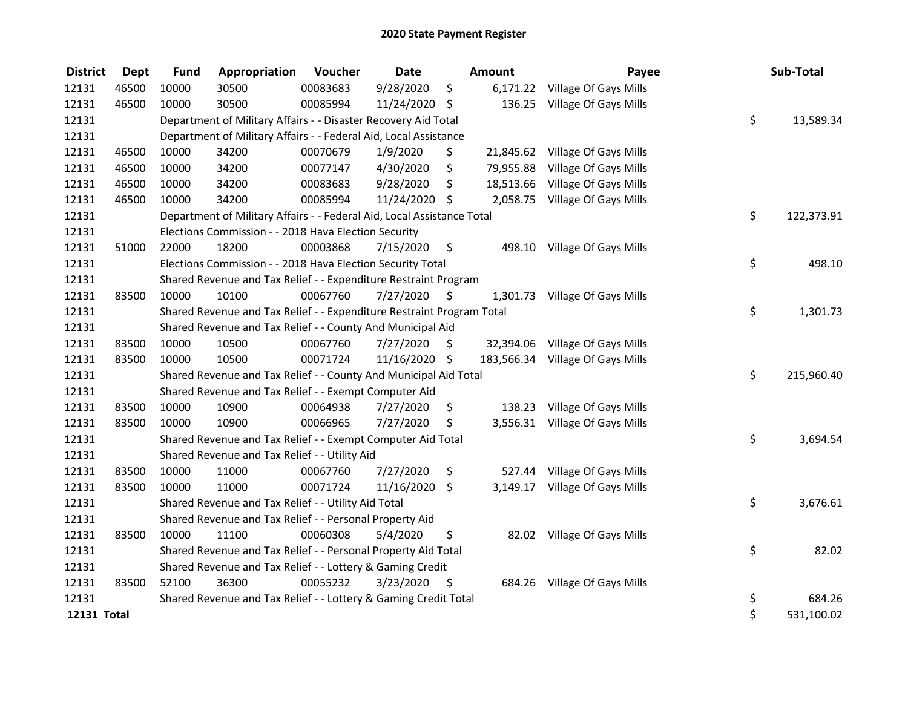| <b>District</b>    | <b>Dept</b> | <b>Fund</b> | Appropriation                                                          | Voucher  | <b>Date</b>   |      | Amount    | Payee                            | Sub-Total        |
|--------------------|-------------|-------------|------------------------------------------------------------------------|----------|---------------|------|-----------|----------------------------------|------------------|
| 12131              | 46500       | 10000       | 30500                                                                  | 00083683 | 9/28/2020     | \$   |           | 6,171.22 Village Of Gays Mills   |                  |
| 12131              | 46500       | 10000       | 30500                                                                  | 00085994 | 11/24/2020 \$ |      |           | 136.25 Village Of Gays Mills     |                  |
| 12131              |             |             | Department of Military Affairs - - Disaster Recovery Aid Total         |          |               |      |           |                                  | \$<br>13,589.34  |
| 12131              |             |             | Department of Military Affairs - - Federal Aid, Local Assistance       |          |               |      |           |                                  |                  |
| 12131              | 46500       | 10000       | 34200                                                                  | 00070679 | 1/9/2020      | \$   |           | 21,845.62 Village Of Gays Mills  |                  |
| 12131              | 46500       | 10000       | 34200                                                                  | 00077147 | 4/30/2020     | \$   | 79,955.88 | Village Of Gays Mills            |                  |
| 12131              | 46500       | 10000       | 34200                                                                  | 00083683 | 9/28/2020     | \$   |           | 18,513.66 Village Of Gays Mills  |                  |
| 12131              | 46500       | 10000       | 34200                                                                  | 00085994 | 11/24/2020 \$ |      |           | 2,058.75 Village Of Gays Mills   |                  |
| 12131              |             |             | Department of Military Affairs - - Federal Aid, Local Assistance Total |          |               |      |           |                                  | \$<br>122,373.91 |
| 12131              |             |             | Elections Commission - - 2018 Hava Election Security                   |          |               |      |           |                                  |                  |
| 12131              | 51000       | 22000       | 18200                                                                  | 00003868 | 7/15/2020     | - \$ | 498.10    | Village Of Gays Mills            |                  |
| 12131              |             |             | Elections Commission - - 2018 Hava Election Security Total             |          |               |      |           |                                  | \$<br>498.10     |
| 12131              |             |             | Shared Revenue and Tax Relief - - Expenditure Restraint Program        |          |               |      |           |                                  |                  |
| 12131              | 83500       | 10000       | 10100                                                                  | 00067760 | 7/27/2020     | S    |           | 1,301.73 Village Of Gays Mills   |                  |
| 12131              |             |             | Shared Revenue and Tax Relief - - Expenditure Restraint Program Total  |          |               |      |           |                                  | \$<br>1,301.73   |
| 12131              |             |             | Shared Revenue and Tax Relief - - County And Municipal Aid             |          |               |      |           |                                  |                  |
| 12131              | 83500       | 10000       | 10500                                                                  | 00067760 | 7/27/2020     | \$   |           | 32,394.06 Village Of Gays Mills  |                  |
| 12131              | 83500       | 10000       | 10500                                                                  | 00071724 | 11/16/2020 \$ |      |           | 183,566.34 Village Of Gays Mills |                  |
| 12131              |             |             | Shared Revenue and Tax Relief - - County And Municipal Aid Total       |          |               |      |           |                                  | \$<br>215,960.40 |
| 12131              |             |             | Shared Revenue and Tax Relief - - Exempt Computer Aid                  |          |               |      |           |                                  |                  |
| 12131              | 83500       | 10000       | 10900                                                                  | 00064938 | 7/27/2020     | \$   | 138.23    | Village Of Gays Mills            |                  |
| 12131              | 83500       | 10000       | 10900                                                                  | 00066965 | 7/27/2020     | \$   |           | 3,556.31 Village Of Gays Mills   |                  |
| 12131              |             |             | Shared Revenue and Tax Relief - - Exempt Computer Aid Total            |          |               |      |           |                                  | \$<br>3,694.54   |
| 12131              |             |             | Shared Revenue and Tax Relief - - Utility Aid                          |          |               |      |           |                                  |                  |
| 12131              | 83500       | 10000       | 11000                                                                  | 00067760 | 7/27/2020     | \$   | 527.44    | Village Of Gays Mills            |                  |
| 12131              | 83500       | 10000       | 11000                                                                  | 00071724 | 11/16/2020 \$ |      |           | 3,149.17 Village Of Gays Mills   |                  |
| 12131              |             |             | Shared Revenue and Tax Relief - - Utility Aid Total                    |          |               |      |           |                                  | \$<br>3,676.61   |
| 12131              |             |             | Shared Revenue and Tax Relief - - Personal Property Aid                |          |               |      |           |                                  |                  |
| 12131              | 83500       | 10000       | 11100                                                                  | 00060308 | 5/4/2020      | \$   |           | 82.02 Village Of Gays Mills      |                  |
| 12131              |             |             | Shared Revenue and Tax Relief - - Personal Property Aid Total          |          |               |      |           |                                  | \$<br>82.02      |
| 12131              |             |             | Shared Revenue and Tax Relief - - Lottery & Gaming Credit              |          |               |      |           |                                  |                  |
| 12131              | 83500       | 52100       | 36300                                                                  | 00055232 | 3/23/2020     | - \$ |           | 684.26 Village Of Gays Mills     |                  |
| 12131              |             |             | Shared Revenue and Tax Relief - - Lottery & Gaming Credit Total        |          |               |      |           |                                  | \$<br>684.26     |
| <b>12131 Total</b> |             |             |                                                                        |          |               |      |           |                                  | \$<br>531,100.02 |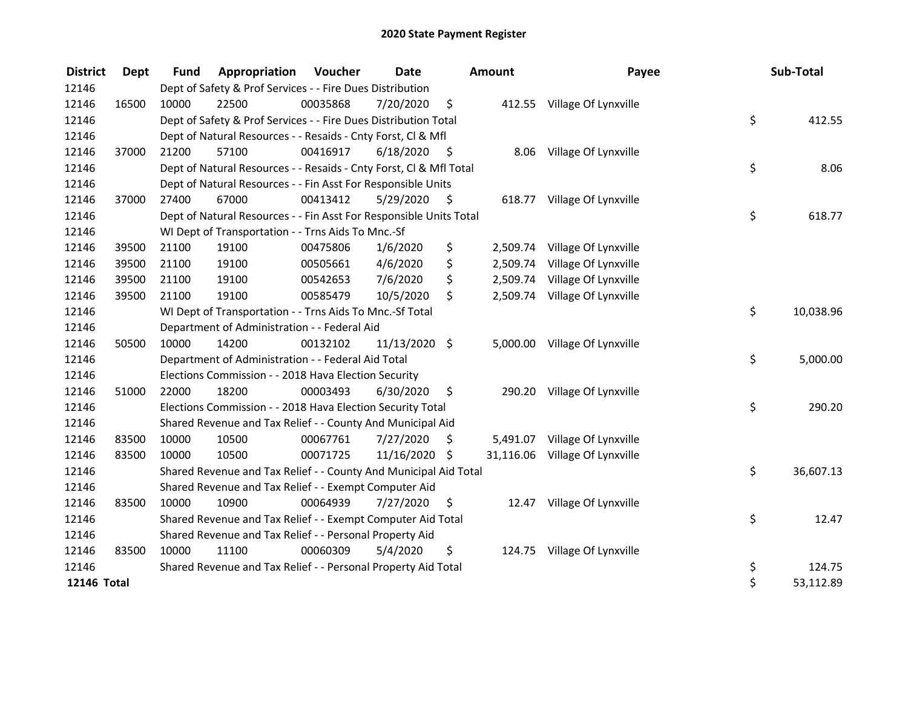| <b>District</b> | Dept  | <b>Fund</b> | Appropriation                                                      | Voucher  | <b>Date</b>   |      | <b>Amount</b> | Payee                         | Sub-Total       |
|-----------------|-------|-------------|--------------------------------------------------------------------|----------|---------------|------|---------------|-------------------------------|-----------------|
| 12146           |       |             | Dept of Safety & Prof Services - - Fire Dues Distribution          |          |               |      |               |                               |                 |
| 12146           | 16500 | 10000       | 22500                                                              | 00035868 | 7/20/2020     | \$   |               | 412.55 Village Of Lynxville   |                 |
| 12146           |       |             | Dept of Safety & Prof Services - - Fire Dues Distribution Total    |          |               |      |               |                               | \$<br>412.55    |
| 12146           |       |             | Dept of Natural Resources - - Resaids - Cnty Forst, Cl & Mfl       |          |               |      |               |                               |                 |
| 12146           | 37000 | 21200       | 57100                                                              | 00416917 | 6/18/2020     | - \$ | 8.06          | Village Of Lynxville          |                 |
| 12146           |       |             | Dept of Natural Resources - - Resaids - Cnty Forst, Cl & Mfl Total |          |               |      |               |                               | \$<br>8.06      |
| 12146           |       |             | Dept of Natural Resources - - Fin Asst For Responsible Units       |          |               |      |               |                               |                 |
| 12146           | 37000 | 27400       | 67000                                                              | 00413412 | 5/29/2020     | - \$ |               | 618.77 Village Of Lynxville   |                 |
| 12146           |       |             | Dept of Natural Resources - - Fin Asst For Responsible Units Total |          |               |      |               |                               | \$<br>618.77    |
| 12146           |       |             | WI Dept of Transportation - - Trns Aids To Mnc.-Sf                 |          |               |      |               |                               |                 |
| 12146           | 39500 | 21100       | 19100                                                              | 00475806 | 1/6/2020      | \$   | 2,509.74      | Village Of Lynxville          |                 |
| 12146           | 39500 | 21100       | 19100                                                              | 00505661 | 4/6/2020      | \$   | 2,509.74      | Village Of Lynxville          |                 |
| 12146           | 39500 | 21100       | 19100                                                              | 00542653 | 7/6/2020      | \$   |               | 2,509.74 Village Of Lynxville |                 |
| 12146           | 39500 | 21100       | 19100                                                              | 00585479 | 10/5/2020     | \$   |               | 2,509.74 Village Of Lynxville |                 |
| 12146           |       |             | WI Dept of Transportation - - Trns Aids To Mnc.-Sf Total           |          |               |      |               |                               | \$<br>10,038.96 |
| 12146           |       |             | Department of Administration - - Federal Aid                       |          |               |      |               |                               |                 |
| 12146           | 50500 | 10000       | 14200                                                              | 00132102 | 11/13/2020 \$ |      |               | 5,000.00 Village Of Lynxville |                 |
| 12146           |       |             | Department of Administration - - Federal Aid Total                 |          |               |      |               |                               | \$<br>5,000.00  |
| 12146           |       |             | Elections Commission - - 2018 Hava Election Security               |          |               |      |               |                               |                 |
| 12146           | 51000 | 22000       | 18200                                                              | 00003493 | 6/30/2020     | \$   | 290.20        | Village Of Lynxville          |                 |
| 12146           |       |             | Elections Commission - - 2018 Hava Election Security Total         |          |               |      |               |                               | \$<br>290.20    |
| 12146           |       |             | Shared Revenue and Tax Relief - - County And Municipal Aid         |          |               |      |               |                               |                 |
| 12146           | 83500 | 10000       | 10500                                                              | 00067761 | 7/27/2020     | \$   | 5,491.07      | Village Of Lynxville          |                 |
| 12146           | 83500 | 10000       | 10500                                                              | 00071725 | 11/16/2020 \$ |      | 31,116.06     | Village Of Lynxville          |                 |
| 12146           |       |             | Shared Revenue and Tax Relief - - County And Municipal Aid Total   |          |               |      |               |                               | \$<br>36,607.13 |
| 12146           |       |             | Shared Revenue and Tax Relief - - Exempt Computer Aid              |          |               |      |               |                               |                 |
| 12146           | 83500 | 10000       | 10900                                                              | 00064939 | 7/27/2020     | S    | 12.47         | Village Of Lynxville          |                 |
| 12146           |       |             | Shared Revenue and Tax Relief - - Exempt Computer Aid Total        |          |               |      |               |                               | \$<br>12.47     |
| 12146           |       |             | Shared Revenue and Tax Relief - - Personal Property Aid            |          |               |      |               |                               |                 |
| 12146           | 83500 | 10000       | 11100                                                              | 00060309 | 5/4/2020      | \$   |               | 124.75 Village Of Lynxville   |                 |
| 12146           |       |             | Shared Revenue and Tax Relief - - Personal Property Aid Total      |          |               |      |               |                               | \$<br>124.75    |
| 12146 Total     |       |             |                                                                    |          |               |      |               |                               | \$<br>53,112.89 |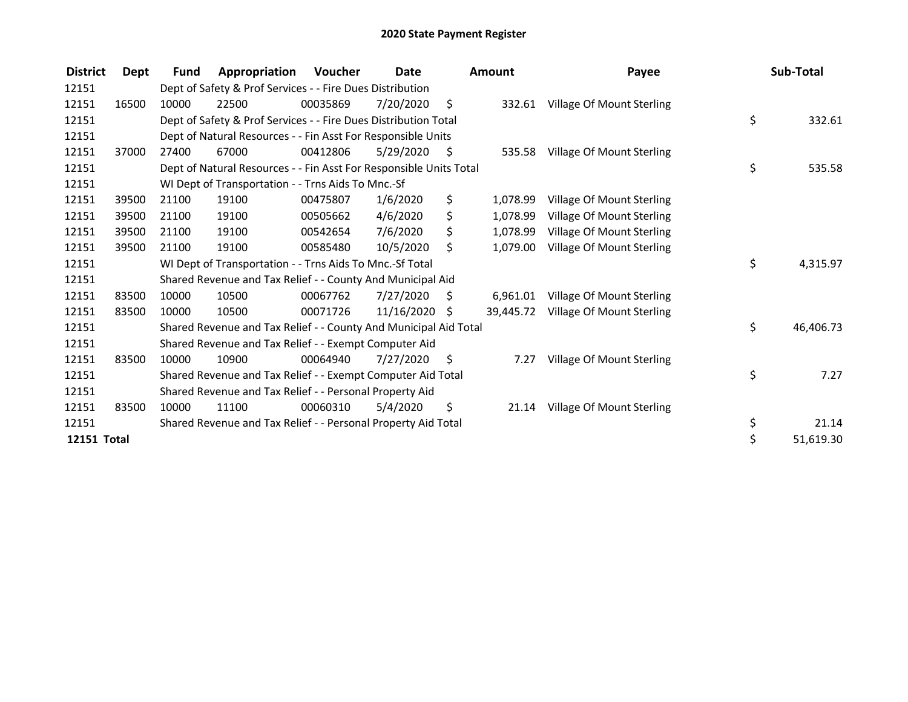| <b>District</b> | Dept  | <b>Fund</b> | Appropriation                                                      | Voucher  | <b>Date</b> |      | <b>Amount</b> | Payee                     | Sub-Total       |
|-----------------|-------|-------------|--------------------------------------------------------------------|----------|-------------|------|---------------|---------------------------|-----------------|
| 12151           |       |             | Dept of Safety & Prof Services - - Fire Dues Distribution          |          |             |      |               |                           |                 |
| 12151           | 16500 | 10000       | 22500                                                              | 00035869 | 7/20/2020   | \$   | 332.61        | Village Of Mount Sterling |                 |
| 12151           |       |             | Dept of Safety & Prof Services - - Fire Dues Distribution Total    |          |             |      |               |                           | \$<br>332.61    |
| 12151           |       |             | Dept of Natural Resources - - Fin Asst For Responsible Units       |          |             |      |               |                           |                 |
| 12151           | 37000 | 27400       | 67000                                                              | 00412806 | 5/29/2020   | - \$ | 535.58        | Village Of Mount Sterling |                 |
| 12151           |       |             | Dept of Natural Resources - - Fin Asst For Responsible Units Total |          |             |      |               |                           | \$<br>535.58    |
| 12151           |       |             | WI Dept of Transportation - - Trns Aids To Mnc.-Sf                 |          |             |      |               |                           |                 |
| 12151           | 39500 | 21100       | 19100                                                              | 00475807 | 1/6/2020    | \$   | 1,078.99      | Village Of Mount Sterling |                 |
| 12151           | 39500 | 21100       | 19100                                                              | 00505662 | 4/6/2020    | \$   | 1,078.99      | Village Of Mount Sterling |                 |
| 12151           | 39500 | 21100       | 19100                                                              | 00542654 | 7/6/2020    | \$   | 1,078.99      | Village Of Mount Sterling |                 |
| 12151           | 39500 | 21100       | 19100                                                              | 00585480 | 10/5/2020   | \$   | 1,079.00      | Village Of Mount Sterling |                 |
| 12151           |       |             | WI Dept of Transportation - - Trns Aids To Mnc.-Sf Total           |          |             |      |               |                           | \$<br>4,315.97  |
| 12151           |       |             | Shared Revenue and Tax Relief - - County And Municipal Aid         |          |             |      |               |                           |                 |
| 12151           | 83500 | 10000       | 10500                                                              | 00067762 | 7/27/2020   | \$.  | 6,961.01      | Village Of Mount Sterling |                 |
| 12151           | 83500 | 10000       | 10500                                                              | 00071726 | 11/16/2020  | Ŝ.   | 39.445.72     | Village Of Mount Sterling |                 |
| 12151           |       |             | Shared Revenue and Tax Relief - - County And Municipal Aid Total   |          |             |      |               |                           | \$<br>46,406.73 |
| 12151           |       |             | Shared Revenue and Tax Relief - - Exempt Computer Aid              |          |             |      |               |                           |                 |
| 12151           | 83500 | 10000       | 10900                                                              | 00064940 | 7/27/2020   | S.   | 7.27          | Village Of Mount Sterling |                 |
| 12151           |       |             | Shared Revenue and Tax Relief - - Exempt Computer Aid Total        |          |             |      |               |                           | \$<br>7.27      |
| 12151           |       |             | Shared Revenue and Tax Relief - - Personal Property Aid            |          |             |      |               |                           |                 |
| 12151           | 83500 | 10000       | 11100                                                              | 00060310 | 5/4/2020    | \$   | 21.14         | Village Of Mount Sterling |                 |
| 12151           |       |             | Shared Revenue and Tax Relief - - Personal Property Aid Total      |          |             |      |               |                           | \$<br>21.14     |
| 12151 Total     |       |             |                                                                    |          |             |      |               |                           | \$<br>51,619.30 |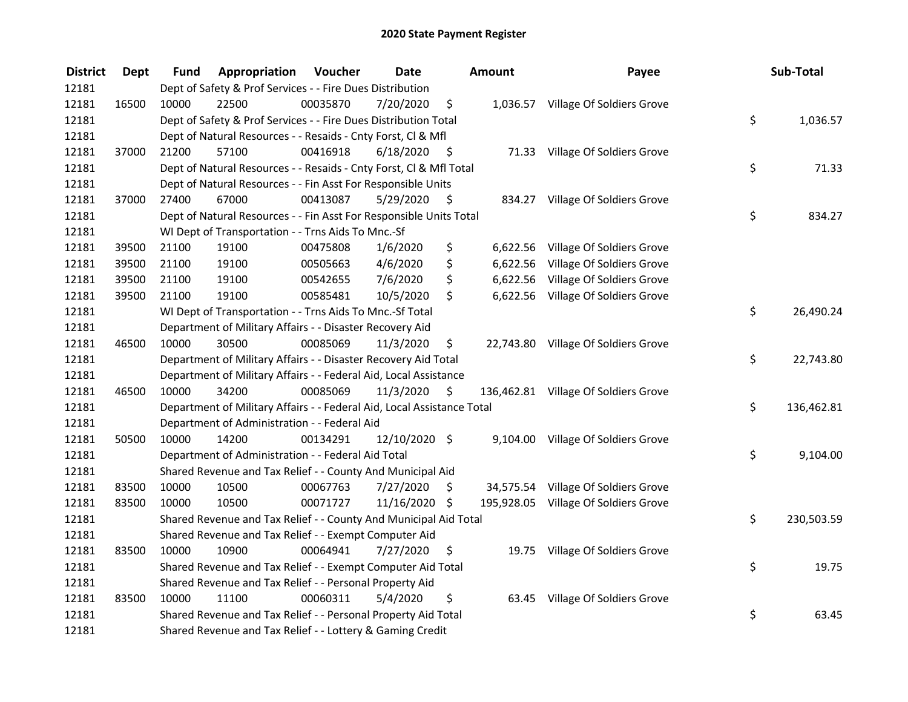| <b>District</b> | <b>Dept</b> | Fund  | Appropriation                                                          | Voucher  | <b>Date</b>   |      | <b>Amount</b> | Payee                                | Sub-Total        |
|-----------------|-------------|-------|------------------------------------------------------------------------|----------|---------------|------|---------------|--------------------------------------|------------------|
| 12181           |             |       | Dept of Safety & Prof Services - - Fire Dues Distribution              |          |               |      |               |                                      |                  |
| 12181           | 16500       | 10000 | 22500                                                                  | 00035870 | 7/20/2020     | \$   |               | 1,036.57 Village Of Soldiers Grove   |                  |
| 12181           |             |       | Dept of Safety & Prof Services - - Fire Dues Distribution Total        |          |               |      |               |                                      | \$<br>1,036.57   |
| 12181           |             |       | Dept of Natural Resources - - Resaids - Cnty Forst, Cl & Mfl           |          |               |      |               |                                      |                  |
| 12181           | 37000       | 21200 | 57100                                                                  | 00416918 | 6/18/2020     | - \$ |               | 71.33 Village Of Soldiers Grove      |                  |
| 12181           |             |       | Dept of Natural Resources - - Resaids - Cnty Forst, CI & Mfl Total     |          |               |      |               |                                      | \$<br>71.33      |
| 12181           |             |       | Dept of Natural Resources - - Fin Asst For Responsible Units           |          |               |      |               |                                      |                  |
| 12181           | 37000       | 27400 | 67000                                                                  | 00413087 | 5/29/2020     | - \$ |               | 834.27 Village Of Soldiers Grove     |                  |
| 12181           |             |       | Dept of Natural Resources - - Fin Asst For Responsible Units Total     |          |               |      |               |                                      | \$<br>834.27     |
| 12181           |             |       | WI Dept of Transportation - - Trns Aids To Mnc.-Sf                     |          |               |      |               |                                      |                  |
| 12181           | 39500       | 21100 | 19100                                                                  | 00475808 | 1/6/2020      | \$   |               | 6,622.56 Village Of Soldiers Grove   |                  |
| 12181           | 39500       | 21100 | 19100                                                                  | 00505663 | 4/6/2020      | \$   | 6,622.56      | Village Of Soldiers Grove            |                  |
| 12181           | 39500       | 21100 | 19100                                                                  | 00542655 | 7/6/2020      | \$   | 6,622.56      | Village Of Soldiers Grove            |                  |
| 12181           | 39500       | 21100 | 19100                                                                  | 00585481 | 10/5/2020     | \$   |               | 6,622.56 Village Of Soldiers Grove   |                  |
| 12181           |             |       | WI Dept of Transportation - - Trns Aids To Mnc.-Sf Total               |          |               |      |               |                                      | \$<br>26,490.24  |
| 12181           |             |       | Department of Military Affairs - - Disaster Recovery Aid               |          |               |      |               |                                      |                  |
| 12181           | 46500       | 10000 | 30500                                                                  | 00085069 | 11/3/2020     | \$   | 22,743.80     | Village Of Soldiers Grove            |                  |
| 12181           |             |       | Department of Military Affairs - - Disaster Recovery Aid Total         |          |               |      |               |                                      | \$<br>22,743.80  |
| 12181           |             |       | Department of Military Affairs - - Federal Aid, Local Assistance       |          |               |      |               |                                      |                  |
| 12181           | 46500       | 10000 | 34200                                                                  | 00085069 | 11/3/2020     | - \$ |               | 136,462.81 Village Of Soldiers Grove |                  |
| 12181           |             |       | Department of Military Affairs - - Federal Aid, Local Assistance Total |          |               |      |               |                                      | \$<br>136,462.81 |
| 12181           |             |       | Department of Administration - - Federal Aid                           |          |               |      |               |                                      |                  |
| 12181           | 50500       | 10000 | 14200                                                                  | 00134291 | 12/10/2020 \$ |      |               | 9,104.00 Village Of Soldiers Grove   |                  |
| 12181           |             |       | Department of Administration - - Federal Aid Total                     |          |               |      |               |                                      | \$<br>9,104.00   |
| 12181           |             |       | Shared Revenue and Tax Relief - - County And Municipal Aid             |          |               |      |               |                                      |                  |
| 12181           | 83500       | 10000 | 10500                                                                  | 00067763 | 7/27/2020     | \$   |               | 34,575.54 Village Of Soldiers Grove  |                  |
| 12181           | 83500       | 10000 | 10500                                                                  | 00071727 | 11/16/2020 \$ |      |               | 195,928.05 Village Of Soldiers Grove |                  |
| 12181           |             |       | Shared Revenue and Tax Relief - - County And Municipal Aid Total       |          |               |      |               |                                      | \$<br>230,503.59 |
| 12181           |             |       | Shared Revenue and Tax Relief - - Exempt Computer Aid                  |          |               |      |               |                                      |                  |
| 12181           | 83500       | 10000 | 10900                                                                  | 00064941 | 7/27/2020     | \$   |               | 19.75 Village Of Soldiers Grove      |                  |
| 12181           |             |       | Shared Revenue and Tax Relief - - Exempt Computer Aid Total            |          |               |      |               |                                      | \$<br>19.75      |
| 12181           |             |       | Shared Revenue and Tax Relief - - Personal Property Aid                |          |               |      |               |                                      |                  |
| 12181           | 83500       | 10000 | 11100                                                                  | 00060311 | 5/4/2020      | \$   | 63.45         | Village Of Soldiers Grove            |                  |
| 12181           |             |       | Shared Revenue and Tax Relief - - Personal Property Aid Total          |          |               |      |               |                                      | \$<br>63.45      |
| 12181           |             |       | Shared Revenue and Tax Relief - - Lottery & Gaming Credit              |          |               |      |               |                                      |                  |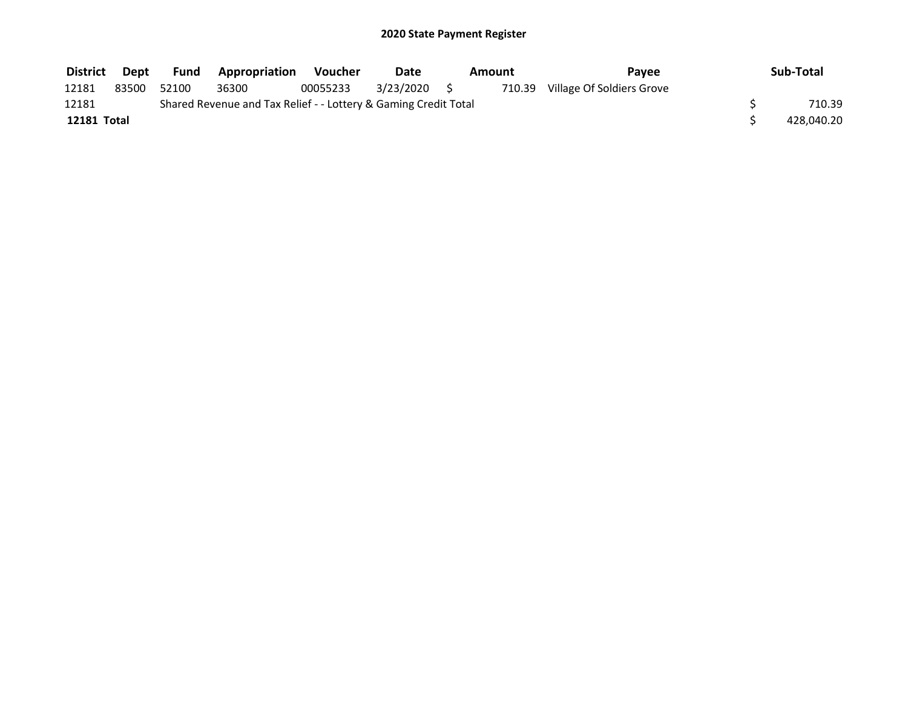| <b>District</b> | Dept  | Fund  | <b>Appropriation</b>                                            | Voucher  | Date         | Amount | Pavee                            | Sub-Total  |
|-----------------|-------|-------|-----------------------------------------------------------------|----------|--------------|--------|----------------------------------|------------|
| 12181           | 83500 | 52100 | 36300                                                           | 00055233 | 3/23/2020 \$ |        | 710.39 Village Of Soldiers Grove |            |
| 12181           |       |       | Shared Revenue and Tax Relief - - Lottery & Gaming Credit Total |          |              |        |                                  | 710.39     |
| 12181 Total     |       |       |                                                                 |          |              |        |                                  | 428,040.20 |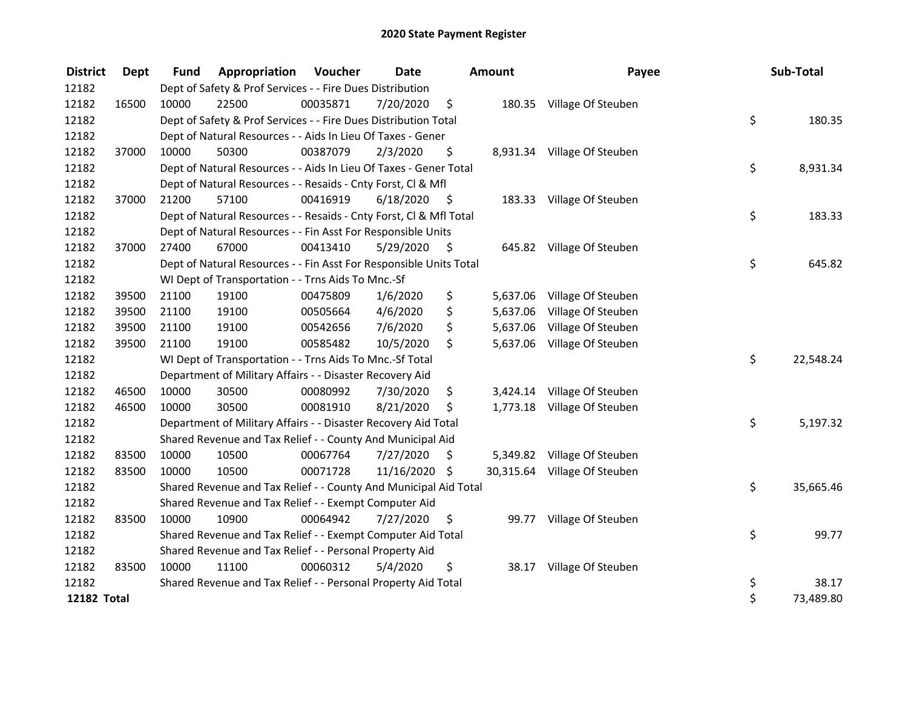| <b>District</b>    | Dept  | <b>Fund</b> | <b>Appropriation Voucher</b>                                       |          | Date       |      | Amount   | Payee                        | Sub-Total       |
|--------------------|-------|-------------|--------------------------------------------------------------------|----------|------------|------|----------|------------------------------|-----------------|
| 12182              |       |             | Dept of Safety & Prof Services - - Fire Dues Distribution          |          |            |      |          |                              |                 |
| 12182              | 16500 | 10000       | 22500                                                              | 00035871 | 7/20/2020  | \$   |          | 180.35 Village Of Steuben    |                 |
| 12182              |       |             | Dept of Safety & Prof Services - - Fire Dues Distribution Total    |          |            |      |          |                              | \$<br>180.35    |
| 12182              |       |             | Dept of Natural Resources - - Aids In Lieu Of Taxes - Gener        |          |            |      |          |                              |                 |
| 12182              | 37000 | 10000       | 50300                                                              | 00387079 | 2/3/2020   | \$.  |          | 8,931.34 Village Of Steuben  |                 |
| 12182              |       |             | Dept of Natural Resources - - Aids In Lieu Of Taxes - Gener Total  |          |            |      |          |                              | \$<br>8,931.34  |
| 12182              |       |             | Dept of Natural Resources - - Resaids - Cnty Forst, Cl & Mfl       |          |            |      |          |                              |                 |
| 12182              | 37000 | 21200       | 57100                                                              | 00416919 | 6/18/2020  | - \$ |          | 183.33 Village Of Steuben    |                 |
| 12182              |       |             | Dept of Natural Resources - - Resaids - Cnty Forst, Cl & Mfl Total |          |            |      |          |                              | \$<br>183.33    |
| 12182              |       |             | Dept of Natural Resources - - Fin Asst For Responsible Units       |          |            |      |          |                              |                 |
| 12182              | 37000 | 27400       | 67000                                                              | 00413410 | 5/29/2020  | \$   |          | 645.82 Village Of Steuben    |                 |
| 12182              |       |             | Dept of Natural Resources - - Fin Asst For Responsible Units Total |          |            |      |          |                              | \$<br>645.82    |
| 12182              |       |             | WI Dept of Transportation - - Trns Aids To Mnc.-Sf                 |          |            |      |          |                              |                 |
| 12182              | 39500 | 21100       | 19100                                                              | 00475809 | 1/6/2020   | \$   | 5,637.06 | Village Of Steuben           |                 |
| 12182              | 39500 | 21100       | 19100                                                              | 00505664 | 4/6/2020   | \$   | 5,637.06 | Village Of Steuben           |                 |
| 12182              | 39500 | 21100       | 19100                                                              | 00542656 | 7/6/2020   | \$   | 5,637.06 | Village Of Steuben           |                 |
| 12182              | 39500 | 21100       | 19100                                                              | 00585482 | 10/5/2020  | \$   | 5,637.06 | Village Of Steuben           |                 |
| 12182              |       |             | WI Dept of Transportation - - Trns Aids To Mnc.-Sf Total           |          |            |      |          |                              | \$<br>22,548.24 |
| 12182              |       |             | Department of Military Affairs - - Disaster Recovery Aid           |          |            |      |          |                              |                 |
| 12182              | 46500 | 10000       | 30500                                                              | 00080992 | 7/30/2020  | \$   | 3,424.14 | Village Of Steuben           |                 |
| 12182              | 46500 | 10000       | 30500                                                              | 00081910 | 8/21/2020  | \$   |          | 1,773.18 Village Of Steuben  |                 |
| 12182              |       |             | Department of Military Affairs - - Disaster Recovery Aid Total     |          |            |      |          |                              | \$<br>5,197.32  |
| 12182              |       |             | Shared Revenue and Tax Relief - - County And Municipal Aid         |          |            |      |          |                              |                 |
| 12182              | 83500 | 10000       | 10500                                                              | 00067764 | 7/27/2020  | \$   |          | 5,349.82 Village Of Steuben  |                 |
| 12182              | 83500 | 10000       | 10500                                                              | 00071728 | 11/16/2020 | \$   |          | 30,315.64 Village Of Steuben |                 |
| 12182              |       |             | Shared Revenue and Tax Relief - - County And Municipal Aid Total   |          |            |      |          |                              | \$<br>35,665.46 |
| 12182              |       |             | Shared Revenue and Tax Relief - - Exempt Computer Aid              |          |            |      |          |                              |                 |
| 12182              | 83500 | 10000       | 10900                                                              | 00064942 | 7/27/2020  | \$   |          | 99.77 Village Of Steuben     |                 |
| 12182              |       |             | Shared Revenue and Tax Relief - - Exempt Computer Aid Total        |          |            |      |          |                              | \$<br>99.77     |
| 12182              |       |             | Shared Revenue and Tax Relief - - Personal Property Aid            |          |            |      |          |                              |                 |
| 12182              | 83500 | 10000       | 11100                                                              | 00060312 | 5/4/2020   | \$   | 38.17    | Village Of Steuben           |                 |
| 12182              |       |             | Shared Revenue and Tax Relief - - Personal Property Aid Total      |          |            |      |          |                              | \$<br>38.17     |
| <b>12182 Total</b> |       |             |                                                                    |          |            |      |          |                              | \$<br>73,489.80 |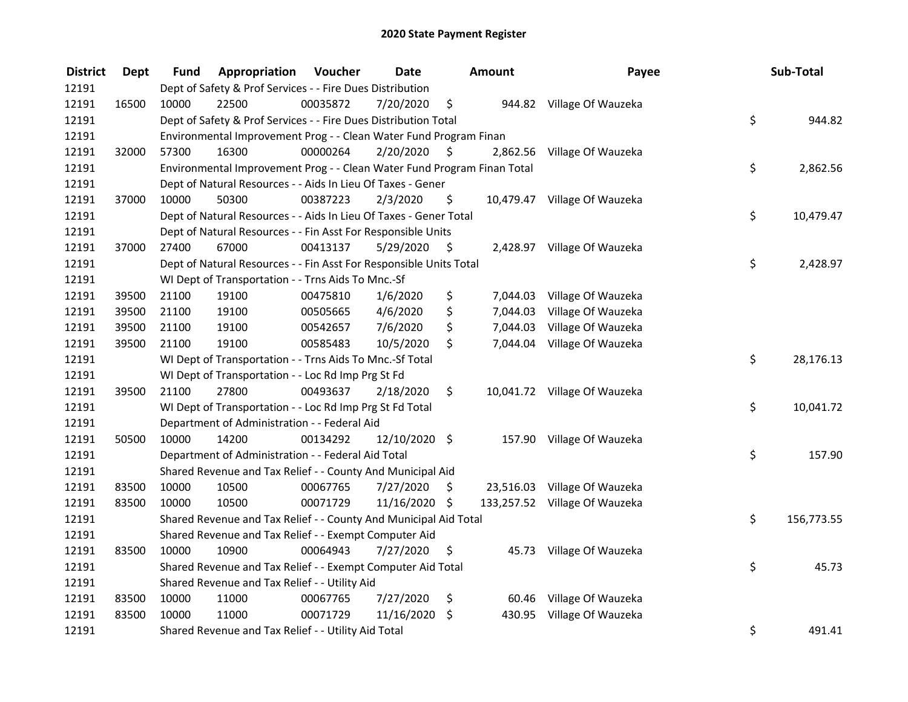| <b>District</b> | <b>Dept</b> | Fund  | Appropriation                                                           | Voucher  | <b>Date</b>   |    | Amount   | Payee                         | Sub-Total        |
|-----------------|-------------|-------|-------------------------------------------------------------------------|----------|---------------|----|----------|-------------------------------|------------------|
| 12191           |             |       | Dept of Safety & Prof Services - - Fire Dues Distribution               |          |               |    |          |                               |                  |
| 12191           | 16500       | 10000 | 22500                                                                   | 00035872 | 7/20/2020     | \$ |          | 944.82 Village Of Wauzeka     |                  |
| 12191           |             |       | Dept of Safety & Prof Services - - Fire Dues Distribution Total         |          |               |    |          |                               | \$<br>944.82     |
| 12191           |             |       | Environmental Improvement Prog - - Clean Water Fund Program Finan       |          |               |    |          |                               |                  |
| 12191           | 32000       | 57300 | 16300                                                                   | 00000264 | 2/20/2020     | \$ |          | 2,862.56 Village Of Wauzeka   |                  |
| 12191           |             |       | Environmental Improvement Prog - - Clean Water Fund Program Finan Total |          |               |    |          |                               | \$<br>2,862.56   |
| 12191           |             |       | Dept of Natural Resources - - Aids In Lieu Of Taxes - Gener             |          |               |    |          |                               |                  |
| 12191           | 37000       | 10000 | 50300                                                                   | 00387223 | 2/3/2020      | \$ |          | 10,479.47 Village Of Wauzeka  |                  |
| 12191           |             |       | Dept of Natural Resources - - Aids In Lieu Of Taxes - Gener Total       |          |               |    |          |                               | \$<br>10,479.47  |
| 12191           |             |       | Dept of Natural Resources - - Fin Asst For Responsible Units            |          |               |    |          |                               |                  |
| 12191           | 37000       | 27400 | 67000                                                                   | 00413137 | 5/29/2020     | \$ |          | 2,428.97 Village Of Wauzeka   |                  |
| 12191           |             |       | Dept of Natural Resources - - Fin Asst For Responsible Units Total      |          |               |    |          |                               | \$<br>2,428.97   |
| 12191           |             |       | WI Dept of Transportation - - Trns Aids To Mnc.-Sf                      |          |               |    |          |                               |                  |
| 12191           | 39500       | 21100 | 19100                                                                   | 00475810 | 1/6/2020      | \$ | 7,044.03 | Village Of Wauzeka            |                  |
| 12191           | 39500       | 21100 | 19100                                                                   | 00505665 | 4/6/2020      | \$ | 7,044.03 | Village Of Wauzeka            |                  |
| 12191           | 39500       | 21100 | 19100                                                                   | 00542657 | 7/6/2020      | \$ | 7,044.03 | Village Of Wauzeka            |                  |
| 12191           | 39500       | 21100 | 19100                                                                   | 00585483 | 10/5/2020     | \$ |          | 7,044.04 Village Of Wauzeka   |                  |
| 12191           |             |       | WI Dept of Transportation - - Trns Aids To Mnc.-Sf Total                |          |               |    |          |                               | \$<br>28,176.13  |
| 12191           |             |       | WI Dept of Transportation - - Loc Rd Imp Prg St Fd                      |          |               |    |          |                               |                  |
| 12191           | 39500       | 21100 | 27800                                                                   | 00493637 | 2/18/2020     | \$ |          | 10,041.72 Village Of Wauzeka  |                  |
| 12191           |             |       | WI Dept of Transportation - - Loc Rd Imp Prg St Fd Total                |          |               |    |          |                               | \$<br>10,041.72  |
| 12191           |             |       | Department of Administration - - Federal Aid                            |          |               |    |          |                               |                  |
| 12191           | 50500       | 10000 | 14200                                                                   | 00134292 | 12/10/2020 \$ |    |          | 157.90 Village Of Wauzeka     |                  |
| 12191           |             |       | Department of Administration - - Federal Aid Total                      |          |               |    |          |                               | \$<br>157.90     |
| 12191           |             |       | Shared Revenue and Tax Relief - - County And Municipal Aid              |          |               |    |          |                               |                  |
| 12191           | 83500       | 10000 | 10500                                                                   | 00067765 | 7/27/2020     | S. |          | 23,516.03 Village Of Wauzeka  |                  |
| 12191           | 83500       | 10000 | 10500                                                                   | 00071729 | 11/16/2020 \$ |    |          | 133,257.52 Village Of Wauzeka |                  |
| 12191           |             |       | Shared Revenue and Tax Relief - - County And Municipal Aid Total        |          |               |    |          |                               | \$<br>156,773.55 |
| 12191           |             |       | Shared Revenue and Tax Relief - - Exempt Computer Aid                   |          |               |    |          |                               |                  |
| 12191           | 83500       | 10000 | 10900                                                                   | 00064943 | 7/27/2020     | \$ |          | 45.73 Village Of Wauzeka      |                  |
| 12191           |             |       | Shared Revenue and Tax Relief - - Exempt Computer Aid Total             |          |               |    |          |                               | \$<br>45.73      |
| 12191           |             |       | Shared Revenue and Tax Relief - - Utility Aid                           |          |               |    |          |                               |                  |
| 12191           | 83500       | 10000 | 11000                                                                   | 00067765 | 7/27/2020     | \$ |          | 60.46 Village Of Wauzeka      |                  |
| 12191           | 83500       | 10000 | 11000                                                                   | 00071729 | 11/16/2020    | \$ | 430.95   | Village Of Wauzeka            |                  |
| 12191           |             |       | Shared Revenue and Tax Relief - - Utility Aid Total                     |          |               |    |          |                               | \$<br>491.41     |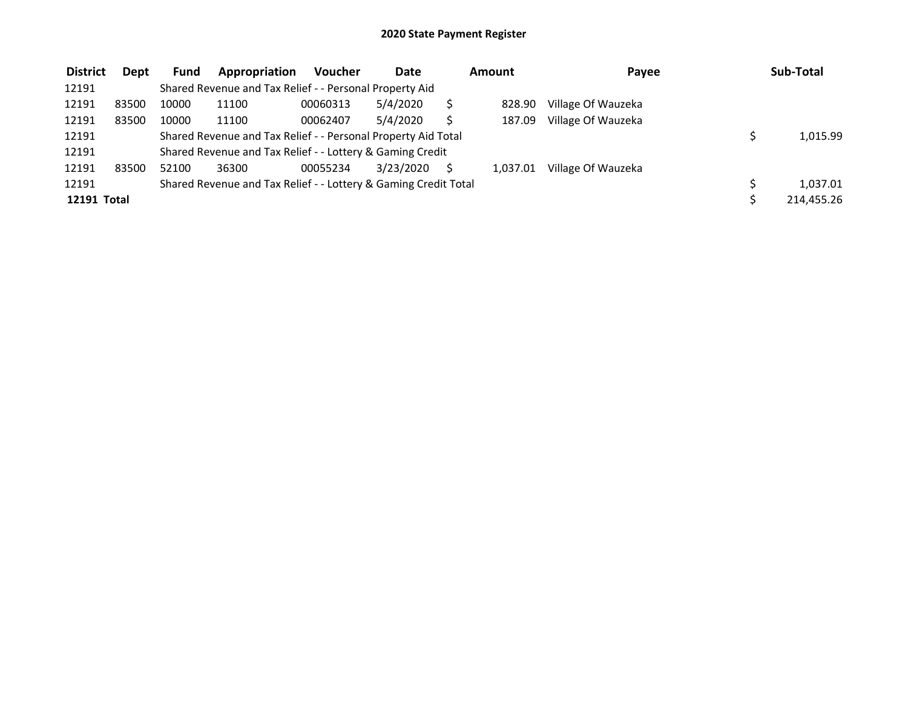| <b>District</b> | <b>Dept</b> | Fund  | Appropriation                                                   | <b>Voucher</b> | <b>Date</b> | Amount   | Payee              | Sub-Total  |
|-----------------|-------------|-------|-----------------------------------------------------------------|----------------|-------------|----------|--------------------|------------|
| 12191           |             |       | Shared Revenue and Tax Relief - - Personal Property Aid         |                |             |          |                    |            |
| 12191           | 83500       | 10000 | 11100                                                           | 00060313       | 5/4/2020    | 828.90   | Village Of Wauzeka |            |
| 12191           | 83500       | 10000 | 11100                                                           | 00062407       | 5/4/2020    | 187.09   | Village Of Wauzeka |            |
| 12191           |             |       | Shared Revenue and Tax Relief - - Personal Property Aid Total   |                |             |          |                    | 1,015.99   |
| 12191           |             |       | Shared Revenue and Tax Relief - - Lottery & Gaming Credit       |                |             |          |                    |            |
| 12191           | 83500       | 52100 | 36300                                                           | 00055234       | 3/23/2020   | 1.037.01 | Village Of Wauzeka |            |
| 12191           |             |       | Shared Revenue and Tax Relief - - Lottery & Gaming Credit Total |                |             |          |                    | 1.037.01   |
| 12191 Total     |             |       |                                                                 |                |             |          |                    | 214,455.26 |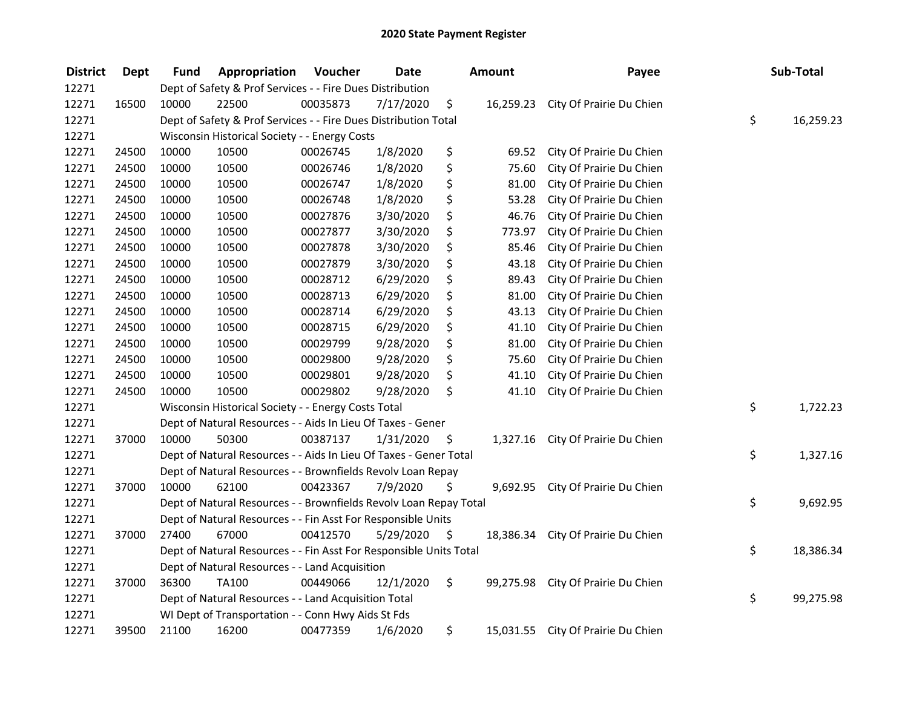| <b>District</b> | Dept  | Fund  | Appropriation                                                      | Voucher  | <b>Date</b> |     | <b>Amount</b> | Payee                              | Sub-Total       |
|-----------------|-------|-------|--------------------------------------------------------------------|----------|-------------|-----|---------------|------------------------------------|-----------------|
| 12271           |       |       | Dept of Safety & Prof Services - - Fire Dues Distribution          |          |             |     |               |                                    |                 |
| 12271           | 16500 | 10000 | 22500                                                              | 00035873 | 7/17/2020   | \$  |               | 16,259.23 City Of Prairie Du Chien |                 |
| 12271           |       |       | Dept of Safety & Prof Services - - Fire Dues Distribution Total    |          |             |     |               |                                    | \$<br>16,259.23 |
| 12271           |       |       | Wisconsin Historical Society - - Energy Costs                      |          |             |     |               |                                    |                 |
| 12271           | 24500 | 10000 | 10500                                                              | 00026745 | 1/8/2020    | \$  | 69.52         | City Of Prairie Du Chien           |                 |
| 12271           | 24500 | 10000 | 10500                                                              | 00026746 | 1/8/2020    | \$  | 75.60         | City Of Prairie Du Chien           |                 |
| 12271           | 24500 | 10000 | 10500                                                              | 00026747 | 1/8/2020    | \$  | 81.00         | City Of Prairie Du Chien           |                 |
| 12271           | 24500 | 10000 | 10500                                                              | 00026748 | 1/8/2020    | \$  | 53.28         | City Of Prairie Du Chien           |                 |
| 12271           | 24500 | 10000 | 10500                                                              | 00027876 | 3/30/2020   | \$  | 46.76         | City Of Prairie Du Chien           |                 |
| 12271           | 24500 | 10000 | 10500                                                              | 00027877 | 3/30/2020   | \$  | 773.97        | City Of Prairie Du Chien           |                 |
| 12271           | 24500 | 10000 | 10500                                                              | 00027878 | 3/30/2020   | \$  | 85.46         | City Of Prairie Du Chien           |                 |
| 12271           | 24500 | 10000 | 10500                                                              | 00027879 | 3/30/2020   | \$  | 43.18         | City Of Prairie Du Chien           |                 |
| 12271           | 24500 | 10000 | 10500                                                              | 00028712 | 6/29/2020   | \$  | 89.43         | City Of Prairie Du Chien           |                 |
| 12271           | 24500 | 10000 | 10500                                                              | 00028713 | 6/29/2020   | \$  | 81.00         | City Of Prairie Du Chien           |                 |
| 12271           | 24500 | 10000 | 10500                                                              | 00028714 | 6/29/2020   | \$  | 43.13         | City Of Prairie Du Chien           |                 |
| 12271           | 24500 | 10000 | 10500                                                              | 00028715 | 6/29/2020   | \$  | 41.10         | City Of Prairie Du Chien           |                 |
| 12271           | 24500 | 10000 | 10500                                                              | 00029799 | 9/28/2020   | \$  | 81.00         | City Of Prairie Du Chien           |                 |
| 12271           | 24500 | 10000 | 10500                                                              | 00029800 | 9/28/2020   | \$  | 75.60         | City Of Prairie Du Chien           |                 |
| 12271           | 24500 | 10000 | 10500                                                              | 00029801 | 9/28/2020   | \$  | 41.10         | City Of Prairie Du Chien           |                 |
| 12271           | 24500 | 10000 | 10500                                                              | 00029802 | 9/28/2020   | \$  | 41.10         | City Of Prairie Du Chien           |                 |
| 12271           |       |       | Wisconsin Historical Society - - Energy Costs Total                |          |             |     |               |                                    | \$<br>1,722.23  |
| 12271           |       |       | Dept of Natural Resources - - Aids In Lieu Of Taxes - Gener        |          |             |     |               |                                    |                 |
| 12271           | 37000 | 10000 | 50300                                                              | 00387137 | 1/31/2020   | -\$ |               | 1,327.16 City Of Prairie Du Chien  |                 |
| 12271           |       |       | Dept of Natural Resources - - Aids In Lieu Of Taxes - Gener Total  |          |             |     |               |                                    | \$<br>1,327.16  |
| 12271           |       |       | Dept of Natural Resources - - Brownfields Revolv Loan Repay        |          |             |     |               |                                    |                 |
| 12271           | 37000 | 10000 | 62100                                                              | 00423367 | 7/9/2020    | Ś.  | 9,692.95      | City Of Prairie Du Chien           |                 |
| 12271           |       |       | Dept of Natural Resources - - Brownfields Revolv Loan Repay Total  |          |             |     |               |                                    | \$<br>9,692.95  |
| 12271           |       |       | Dept of Natural Resources - - Fin Asst For Responsible Units       |          |             |     |               |                                    |                 |
| 12271           | 37000 | 27400 | 67000                                                              | 00412570 | 5/29/2020   | \$  | 18,386.34     | City Of Prairie Du Chien           |                 |
| 12271           |       |       | Dept of Natural Resources - - Fin Asst For Responsible Units Total |          |             |     |               |                                    | \$<br>18,386.34 |
| 12271           |       |       | Dept of Natural Resources - - Land Acquisition                     |          |             |     |               |                                    |                 |
| 12271           | 37000 | 36300 | TA100                                                              | 00449066 | 12/1/2020   | \$  |               | 99,275.98 City Of Prairie Du Chien |                 |
| 12271           |       |       | Dept of Natural Resources - - Land Acquisition Total               |          |             |     |               |                                    | \$<br>99,275.98 |
| 12271           |       |       | WI Dept of Transportation - - Conn Hwy Aids St Fds                 |          |             |     |               |                                    |                 |
| 12271           | 39500 | 21100 | 16200                                                              | 00477359 | 1/6/2020    | \$  |               | 15,031.55 City Of Prairie Du Chien |                 |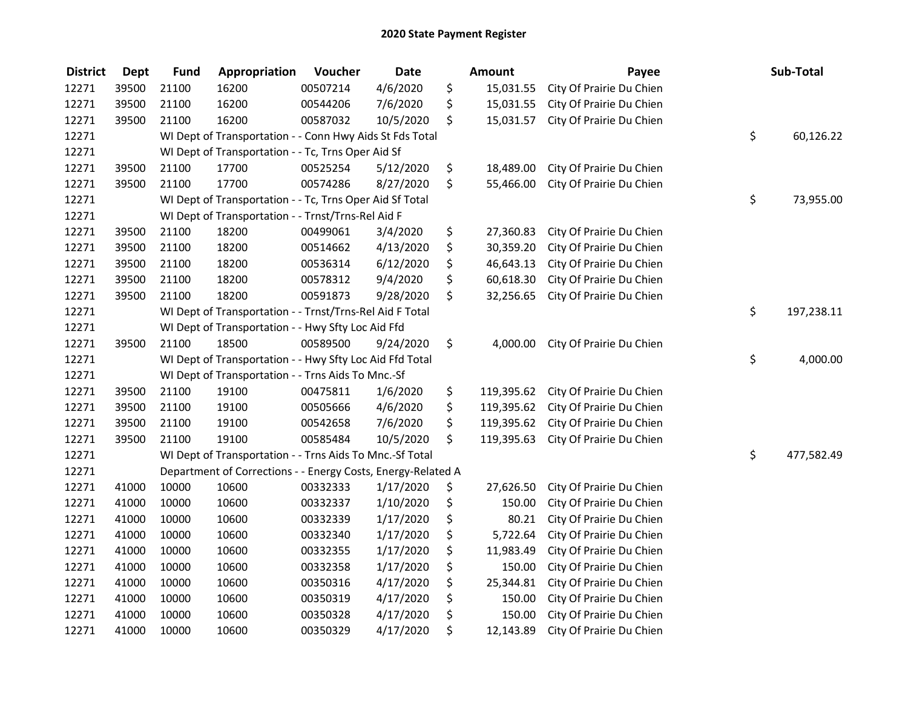| <b>District</b> | <b>Dept</b> | <b>Fund</b> | Appropriation                                                | Voucher  | <b>Date</b> | <b>Amount</b>    | Payee                    | Sub-Total        |
|-----------------|-------------|-------------|--------------------------------------------------------------|----------|-------------|------------------|--------------------------|------------------|
| 12271           | 39500       | 21100       | 16200                                                        | 00507214 | 4/6/2020    | \$<br>15,031.55  | City Of Prairie Du Chien |                  |
| 12271           | 39500       | 21100       | 16200                                                        | 00544206 | 7/6/2020    | \$<br>15,031.55  | City Of Prairie Du Chien |                  |
| 12271           | 39500       | 21100       | 16200                                                        | 00587032 | 10/5/2020   | \$<br>15,031.57  | City Of Prairie Du Chien |                  |
| 12271           |             |             | WI Dept of Transportation - - Conn Hwy Aids St Fds Total     |          |             |                  |                          | \$<br>60,126.22  |
| 12271           |             |             | WI Dept of Transportation - - Tc, Trns Oper Aid Sf           |          |             |                  |                          |                  |
| 12271           | 39500       | 21100       | 17700                                                        | 00525254 | 5/12/2020   | \$<br>18,489.00  | City Of Prairie Du Chien |                  |
| 12271           | 39500       | 21100       | 17700                                                        | 00574286 | 8/27/2020   | \$<br>55,466.00  | City Of Prairie Du Chien |                  |
| 12271           |             |             | WI Dept of Transportation - - Tc, Trns Oper Aid Sf Total     |          |             |                  |                          | \$<br>73,955.00  |
| 12271           |             |             | WI Dept of Transportation - - Trnst/Trns-Rel Aid F           |          |             |                  |                          |                  |
| 12271           | 39500       | 21100       | 18200                                                        | 00499061 | 3/4/2020    | \$<br>27,360.83  | City Of Prairie Du Chien |                  |
| 12271           | 39500       | 21100       | 18200                                                        | 00514662 | 4/13/2020   | \$<br>30,359.20  | City Of Prairie Du Chien |                  |
| 12271           | 39500       | 21100       | 18200                                                        | 00536314 | 6/12/2020   | \$<br>46,643.13  | City Of Prairie Du Chien |                  |
| 12271           | 39500       | 21100       | 18200                                                        | 00578312 | 9/4/2020    | \$<br>60,618.30  | City Of Prairie Du Chien |                  |
| 12271           | 39500       | 21100       | 18200                                                        | 00591873 | 9/28/2020   | \$<br>32,256.65  | City Of Prairie Du Chien |                  |
| 12271           |             |             | WI Dept of Transportation - - Trnst/Trns-Rel Aid F Total     |          |             |                  |                          | \$<br>197,238.11 |
| 12271           |             |             | WI Dept of Transportation - - Hwy Sfty Loc Aid Ffd           |          |             |                  |                          |                  |
| 12271           | 39500       | 21100       | 18500                                                        | 00589500 | 9/24/2020   | \$<br>4,000.00   | City Of Prairie Du Chien |                  |
| 12271           |             |             | WI Dept of Transportation - - Hwy Sfty Loc Aid Ffd Total     |          |             |                  |                          | \$<br>4,000.00   |
| 12271           |             |             | WI Dept of Transportation - - Trns Aids To Mnc.-Sf           |          |             |                  |                          |                  |
| 12271           | 39500       | 21100       | 19100                                                        | 00475811 | 1/6/2020    | \$<br>119,395.62 | City Of Prairie Du Chien |                  |
| 12271           | 39500       | 21100       | 19100                                                        | 00505666 | 4/6/2020    | \$<br>119,395.62 | City Of Prairie Du Chien |                  |
| 12271           | 39500       | 21100       | 19100                                                        | 00542658 | 7/6/2020    | \$<br>119,395.62 | City Of Prairie Du Chien |                  |
| 12271           | 39500       | 21100       | 19100                                                        | 00585484 | 10/5/2020   | \$<br>119,395.63 | City Of Prairie Du Chien |                  |
| 12271           |             |             | WI Dept of Transportation - - Trns Aids To Mnc.-Sf Total     |          |             |                  |                          | \$<br>477,582.49 |
| 12271           |             |             | Department of Corrections - - Energy Costs, Energy-Related A |          |             |                  |                          |                  |
| 12271           | 41000       | 10000       | 10600                                                        | 00332333 | 1/17/2020   | \$<br>27,626.50  | City Of Prairie Du Chien |                  |
| 12271           | 41000       | 10000       | 10600                                                        | 00332337 | 1/10/2020   | \$<br>150.00     | City Of Prairie Du Chien |                  |
| 12271           | 41000       | 10000       | 10600                                                        | 00332339 | 1/17/2020   | \$<br>80.21      | City Of Prairie Du Chien |                  |
| 12271           | 41000       | 10000       | 10600                                                        | 00332340 | 1/17/2020   | \$<br>5,722.64   | City Of Prairie Du Chien |                  |
| 12271           | 41000       | 10000       | 10600                                                        | 00332355 | 1/17/2020   | \$<br>11,983.49  | City Of Prairie Du Chien |                  |
| 12271           | 41000       | 10000       | 10600                                                        | 00332358 | 1/17/2020   | \$<br>150.00     | City Of Prairie Du Chien |                  |
| 12271           | 41000       | 10000       | 10600                                                        | 00350316 | 4/17/2020   | \$<br>25,344.81  | City Of Prairie Du Chien |                  |
| 12271           | 41000       | 10000       | 10600                                                        | 00350319 | 4/17/2020   | \$<br>150.00     | City Of Prairie Du Chien |                  |
| 12271           | 41000       | 10000       | 10600                                                        | 00350328 | 4/17/2020   | \$<br>150.00     | City Of Prairie Du Chien |                  |
| 12271           | 41000       | 10000       | 10600                                                        | 00350329 | 4/17/2020   | \$<br>12,143.89  | City Of Prairie Du Chien |                  |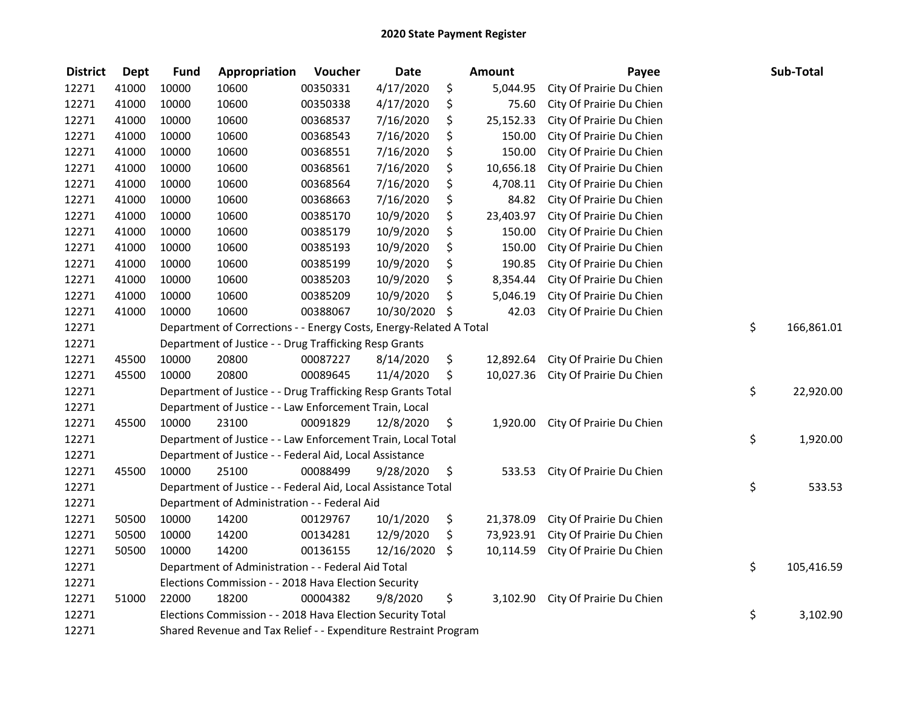| <b>District</b> | <b>Dept</b> | <b>Fund</b>                                                                  | Appropriation | Voucher  | <b>Date</b> |    | Amount    | Payee                    |    | Sub-Total  |
|-----------------|-------------|------------------------------------------------------------------------------|---------------|----------|-------------|----|-----------|--------------------------|----|------------|
| 12271           | 41000       | 10000                                                                        | 10600         | 00350331 | 4/17/2020   | \$ | 5,044.95  | City Of Prairie Du Chien |    |            |
| 12271           | 41000       | 10000                                                                        | 10600         | 00350338 | 4/17/2020   | \$ | 75.60     | City Of Prairie Du Chien |    |            |
| 12271           | 41000       | 10000                                                                        | 10600         | 00368537 | 7/16/2020   | \$ | 25,152.33 | City Of Prairie Du Chien |    |            |
| 12271           | 41000       | 10000                                                                        | 10600         | 00368543 | 7/16/2020   | \$ | 150.00    | City Of Prairie Du Chien |    |            |
| 12271           | 41000       | 10000                                                                        | 10600         | 00368551 | 7/16/2020   | \$ | 150.00    | City Of Prairie Du Chien |    |            |
| 12271           | 41000       | 10000                                                                        | 10600         | 00368561 | 7/16/2020   | \$ | 10,656.18 | City Of Prairie Du Chien |    |            |
| 12271           | 41000       | 10000                                                                        | 10600         | 00368564 | 7/16/2020   | \$ | 4,708.11  | City Of Prairie Du Chien |    |            |
| 12271           | 41000       | 10000                                                                        | 10600         | 00368663 | 7/16/2020   | \$ | 84.82     | City Of Prairie Du Chien |    |            |
| 12271           | 41000       | 10000                                                                        | 10600         | 00385170 | 10/9/2020   | \$ | 23,403.97 | City Of Prairie Du Chien |    |            |
| 12271           | 41000       | 10000                                                                        | 10600         | 00385179 | 10/9/2020   | \$ | 150.00    | City Of Prairie Du Chien |    |            |
| 12271           | 41000       | 10000                                                                        | 10600         | 00385193 | 10/9/2020   | \$ | 150.00    | City Of Prairie Du Chien |    |            |
| 12271           | 41000       | 10000                                                                        | 10600         | 00385199 | 10/9/2020   | \$ | 190.85    | City Of Prairie Du Chien |    |            |
| 12271           | 41000       | 10000                                                                        | 10600         | 00385203 | 10/9/2020   | \$ | 8,354.44  | City Of Prairie Du Chien |    |            |
| 12271           | 41000       | 10000                                                                        | 10600         | 00385209 | 10/9/2020   | \$ | 5,046.19  | City Of Prairie Du Chien |    |            |
| 12271           | 41000       | 10000                                                                        | 10600         | 00388067 | 10/30/2020  | \$ | 42.03     | City Of Prairie Du Chien |    |            |
| 12271           |             | Department of Corrections - - Energy Costs, Energy-Related A Total           |               |          |             |    |           |                          | \$ | 166,861.01 |
| 12271           |             | Department of Justice - - Drug Trafficking Resp Grants                       |               |          |             |    |           |                          |    |            |
| 12271           | 45500       | 10000                                                                        | 20800         | 00087227 | 8/14/2020   | \$ | 12,892.64 | City Of Prairie Du Chien |    |            |
| 12271           | 45500       | 10000                                                                        | 20800         | 00089645 | 11/4/2020   | \$ | 10,027.36 | City Of Prairie Du Chien |    |            |
| 12271           |             | Department of Justice - - Drug Trafficking Resp Grants Total                 |               |          |             |    |           |                          |    | 22,920.00  |
| 12271           |             | \$<br>Department of Justice - - Law Enforcement Train, Local                 |               |          |             |    |           |                          |    |            |
| 12271           | 45500       | 10000                                                                        | 23100         | 00091829 | 12/8/2020   | \$ | 1,920.00  | City Of Prairie Du Chien |    |            |
| 12271           |             | \$<br>Department of Justice - - Law Enforcement Train, Local Total           |               |          |             |    |           |                          |    | 1,920.00   |
| 12271           |             | Department of Justice - - Federal Aid, Local Assistance                      |               |          |             |    |           |                          |    |            |
| 12271           | 45500       | 10000                                                                        | 25100         | 00088499 | 9/28/2020   | \$ | 533.53    | City Of Prairie Du Chien |    |            |
| 12271           |             | \$<br>Department of Justice - - Federal Aid, Local Assistance Total          |               |          |             |    |           |                          |    | 533.53     |
| 12271           |             | Department of Administration - - Federal Aid                                 |               |          |             |    |           |                          |    |            |
| 12271           | 50500       | 10000                                                                        | 14200         | 00129767 | 10/1/2020   | \$ | 21,378.09 | City Of Prairie Du Chien |    |            |
| 12271           | 50500       | 10000                                                                        | 14200         | 00134281 | 12/9/2020   | \$ | 73,923.91 | City Of Prairie Du Chien |    |            |
| 12271           | 50500       | 10000                                                                        | 14200         | 00136155 | 12/16/2020  | \$ | 10,114.59 | City Of Prairie Du Chien |    |            |
| 12271           |             | Department of Administration - - Federal Aid Total                           |               |          |             |    |           |                          |    | 105,416.59 |
| 12271           |             | Elections Commission - - 2018 Hava Election Security                         |               |          |             |    |           |                          |    |            |
| 12271           | 51000       | 22000                                                                        | 18200         | 00004382 | 9/8/2020    | \$ | 3,102.90  | City Of Prairie Du Chien |    |            |
| 12271           |             | \$<br>Elections Commission - - 2018 Hava Election Security Total<br>3,102.90 |               |          |             |    |           |                          |    |            |
| 12271           |             | Shared Revenue and Tax Relief - - Expenditure Restraint Program              |               |          |             |    |           |                          |    |            |